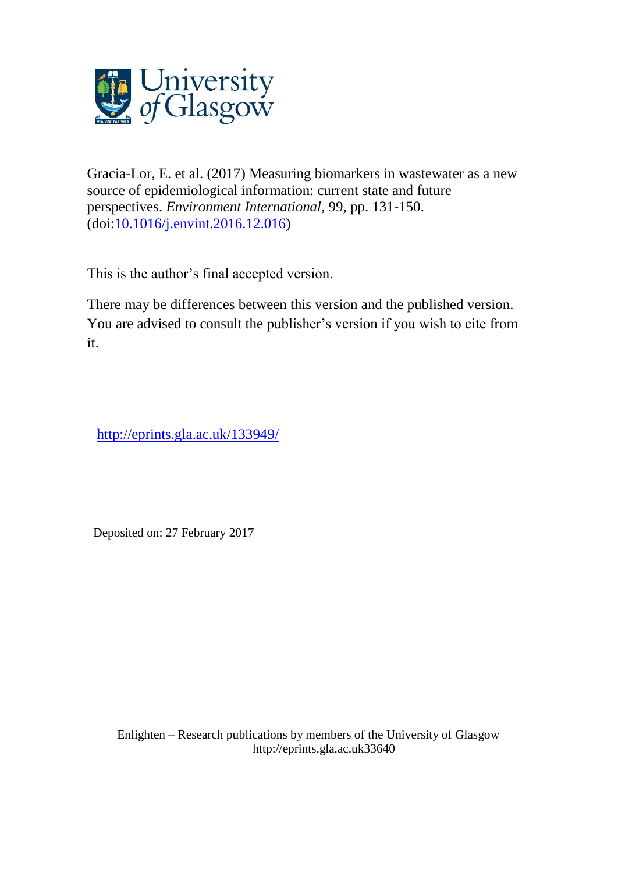

Gracia-Lor, E. et al. (2017) Measuring biomarkers in wastewater as a new source of epidemiological information: current state and future perspectives. *Environment International*, 99, pp. 131-150. (doi[:10.1016/j.envint.2016.12.016\)](http://dx.doi.org/10.1016/j.envint.2016.12.016)

This is the author's final accepted version.

There may be differences between this version and the published version. You are advised to consult the publisher's version if you wish to cite from it.

<http://eprints.gla.ac.uk/133949/>

Deposited on: 27 February 2017

Enlighten – Research publications by members of the University of Glasgo[w](http://eprints.gla.ac.uk/) [http://eprints.gla.ac.uk3](http://eprints.gla.ac.uk/)3640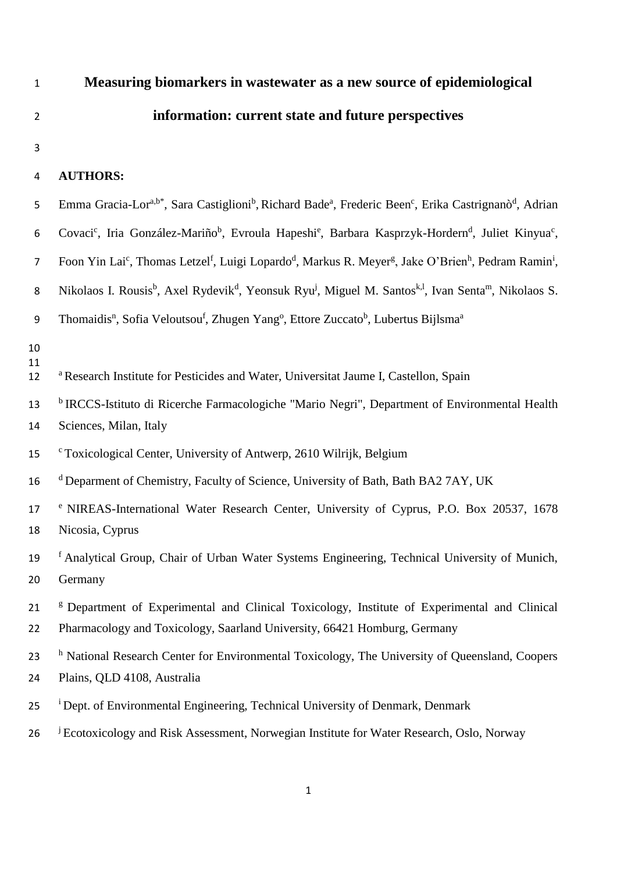# 1 **Measuring biomarkers in wastewater as a new source of epidemiological**  2 **information: current state and future perspectives**

3

# 4 **AUTHORS:**

| 5              | Emma Gracia-Lor <sup>a,b*</sup> , Sara Castiglioni <sup>b</sup> , Richard Bade <sup>a</sup> , Frederic Been <sup>c</sup> , Erika Castrignanò <sup>d</sup> , Adrian                  |
|----------------|-------------------------------------------------------------------------------------------------------------------------------------------------------------------------------------|
| 6              | Covaci <sup>c</sup> , Iria González-Mariño <sup>b</sup> , Evroula Hapeshi <sup>e</sup> , Barbara Kasprzyk-Hordern <sup>d</sup> , Juliet Kinyua <sup>c</sup> ,                       |
| $\overline{7}$ | Foon Yin Lai <sup>c</sup> , Thomas Letzel <sup>f</sup> , Luigi Lopardo <sup>d</sup> , Markus R. Meyer <sup>g</sup> , Jake O'Brien <sup>h</sup> , Pedram Ramin <sup>i</sup> ,        |
| 8              | Nikolaos I. Rousis <sup>b</sup> , Axel Rydevik <sup>d</sup> , Yeonsuk Ryu <sup>j</sup> , Miguel M. Santos <sup>k, 1</sup> , Ivan Senta <sup>m</sup> , Nikolaos S.                   |
| 9              | Thomaidis <sup>n</sup> , Sofia Veloutsou <sup>f</sup> , Zhugen Yang <sup>o</sup> , Ettore Zuccato <sup>b</sup> , Lubertus Bijlsma <sup>a</sup>                                      |
| 10<br>11<br>12 | <sup>a</sup> Research Institute for Pesticides and Water, Universitat Jaume I, Castellon, Spain                                                                                     |
| 13<br>14       | <sup>b</sup> IRCCS-Istituto di Ricerche Farmacologiche "Mario Negri", Department of Environmental Health<br>Sciences, Milan, Italy                                                  |
| 15             | <sup>c</sup> Toxicological Center, University of Antwerp, 2610 Wilrijk, Belgium                                                                                                     |
| 16             | <sup>d</sup> Deparment of Chemistry, Faculty of Science, University of Bath, Bath BA2 7AY, UK                                                                                       |
| 17<br>18       | <sup>e</sup> NIREAS-International Water Research Center, University of Cyprus, P.O. Box 20537, 1678<br>Nicosia, Cyprus                                                              |
| 19<br>20       | <sup>f</sup> Analytical Group, Chair of Urban Water Systems Engineering, Technical University of Munich,<br>Germany                                                                 |
| 21<br>22       | <sup>g</sup> Department of Experimental and Clinical Toxicology, Institute of Experimental and Clinical<br>Pharmacology and Toxicology, Saarland University, 66421 Homburg, Germany |
| 23<br>24       | <sup>h</sup> National Research Center for Environmental Toxicology, The University of Queensland, Coopers<br>Plains, QLD 4108, Australia                                            |
| 25             | <sup>i</sup> Dept. of Environmental Engineering, Technical University of Denmark, Denmark                                                                                           |
| 26             | <sup>j</sup> Ecotoxicology and Risk Assessment, Norwegian Institute for Water Research, Oslo, Norway                                                                                |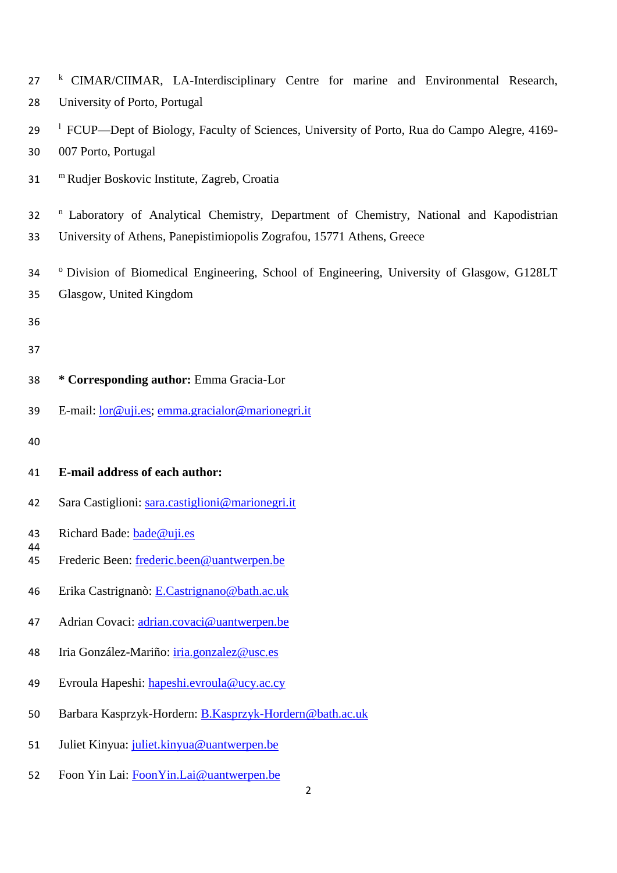| 27<br>28 | <sup>k</sup> CIMAR/CIIMAR, LA-Interdisciplinary Centre for marine and Environmental Research,<br>University of Porto, Portugal                                                |  |  |  |  |  |  |
|----------|-------------------------------------------------------------------------------------------------------------------------------------------------------------------------------|--|--|--|--|--|--|
| 29<br>30 | <sup>1</sup> FCUP—Dept of Biology, Faculty of Sciences, University of Porto, Rua do Campo Alegre, 4169-<br>007 Porto, Portugal                                                |  |  |  |  |  |  |
| 31       | <sup>m</sup> Rudjer Boskovic Institute, Zagreb, Croatia                                                                                                                       |  |  |  |  |  |  |
| 32<br>33 | <sup>n</sup> Laboratory of Analytical Chemistry, Department of Chemistry, National and Kapodistrian<br>University of Athens, Panepistimiopolis Zografou, 15771 Athens, Greece |  |  |  |  |  |  |
| 34<br>35 | <sup>o</sup> Division of Biomedical Engineering, School of Engineering, University of Glasgow, G128LT<br>Glasgow, United Kingdom                                              |  |  |  |  |  |  |
| 36<br>37 |                                                                                                                                                                               |  |  |  |  |  |  |
| 38       | * Corresponding author: Emma Gracia-Lor                                                                                                                                       |  |  |  |  |  |  |
| 39       | E-mail: <u>lor@uji.es; emma.gracialor@marionegri.it</u>                                                                                                                       |  |  |  |  |  |  |
| 40       |                                                                                                                                                                               |  |  |  |  |  |  |
| 41       | E-mail address of each author:                                                                                                                                                |  |  |  |  |  |  |
| 42       | Sara Castiglioni: sara.castiglioni@marionegri.it                                                                                                                              |  |  |  |  |  |  |
| 43       | Richard Bade: bade@uji.es                                                                                                                                                     |  |  |  |  |  |  |
| 44<br>45 | Frederic Been: frederic.been@uantwerpen.be                                                                                                                                    |  |  |  |  |  |  |
| 46       | Erika Castrignanò: E.Castrignano@bath.ac.uk                                                                                                                                   |  |  |  |  |  |  |
| 47       | Adrian Covaci: adrian.covaci@uantwerpen.be                                                                                                                                    |  |  |  |  |  |  |
| 48       | Iria González-Mariño: <i>iria.gonzalez@usc.es</i>                                                                                                                             |  |  |  |  |  |  |
| 49       | Evroula Hapeshi: hapeshi.evroula@ucy.ac.cy                                                                                                                                    |  |  |  |  |  |  |
| 50       | Barbara Kasprzyk-Hordern: B.Kasprzyk-Hordern@bath.ac.uk                                                                                                                       |  |  |  |  |  |  |
| 51       | Juliet Kinyua: juliet.kinyua@uantwerpen.be                                                                                                                                    |  |  |  |  |  |  |

52 Foon Yin Lai: Foon Yin.Lai@uantwerpen.be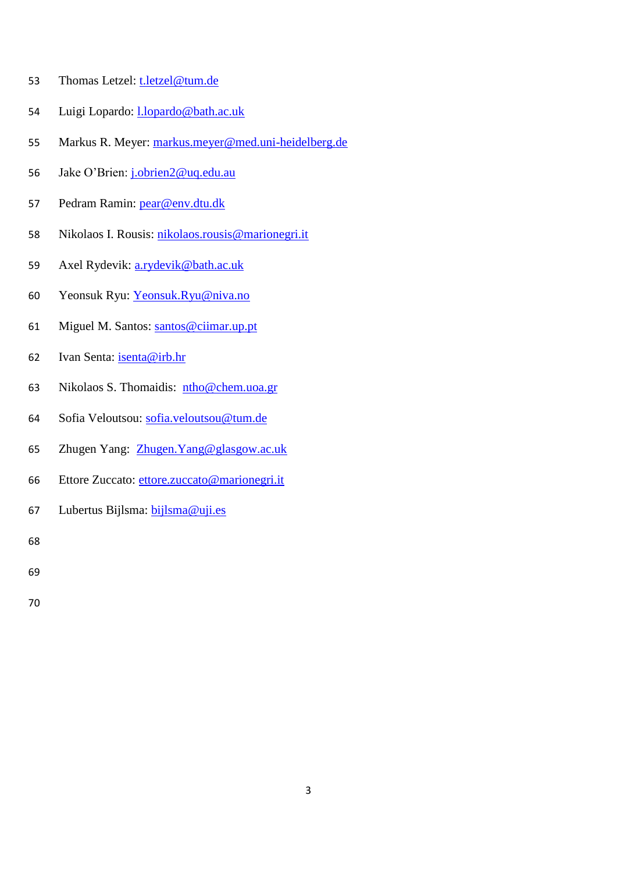- Thomas Letzel: [t.letzel@tum.de](mailto:t.letzel@tum.de)
- 54 Luigi Lopardo: [l.lopardo@bath.ac.uk](mailto:l.lopardo@bath.ac.uk)
- Markus R. Meyer: [markus.meyer@med.uni-heidelberg.de](mailto:markus.meyer@med.uni-heidelberg.de)
- 56 Jake O'Brien: [j.obrien2@uq.edu.au](mailto:j.obrien2@uq.edu.au)
- Pedram Ramin: [pear@env.dtu.dk](mailto:pear@env.dtu.dk)
- Nikolaos I. Rousis: [nikolaos.rousis@marionegri.it](mailto:nikolaos.rousis@marionegri.it)
- Axel Rydevik: [a.rydevik@bath.ac.uk](mailto:a.rydevik@bath.ac.uk)
- Yeonsuk Ryu: [Yeonsuk.Ryu@niva.no](mailto:Yeonsuk.Ryu@niva.no)
- Miguel M. Santos: [santos@ciimar.up.pt](mailto:santos@ciimar.up.pt)
- Ivan Senta: [isenta@irb.hr](mailto:isenta@irb.hr)
- Nikolaos S. Thomaidis: [ntho@chem.uoa.gr](mailto:ntho@chem.uoa.gr)
- Sofia Veloutsou: [sofia.veloutsou@tum.de](mailto:sofia.veloutsou@tum.de)
- Zhugen Yang: [Zhugen.Yang@glasgow.ac.uk](mailto:Zhugen.Yang@glasgow.ac.uk)
- Ettore Zuccato: ettore.zuccato@marionegri.it
- Lubertus Bijlsma: [bijlsma@uji.es](mailto:bijlsma@uji.es)

- 
-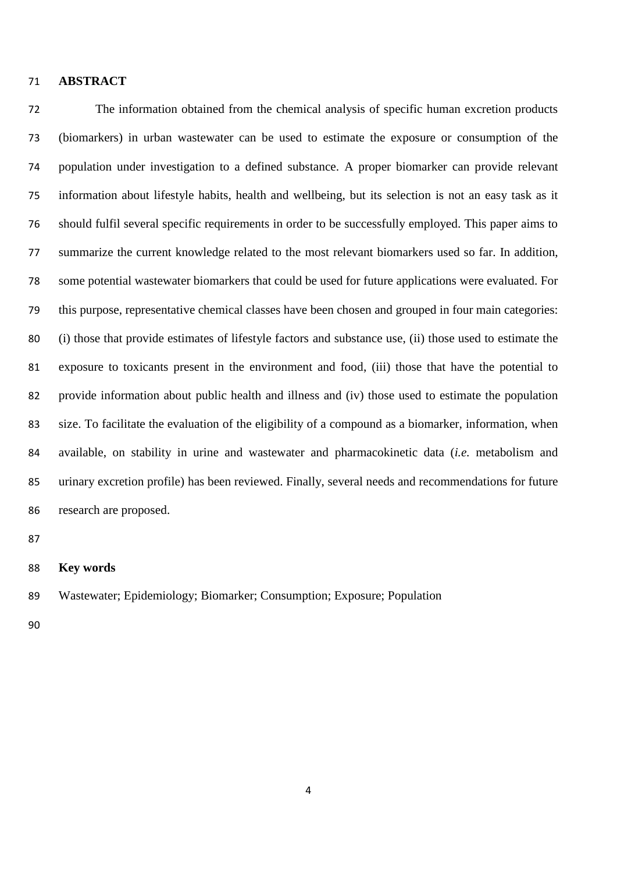#### **ABSTRACT**

 The information obtained from the chemical analysis of specific human excretion products (biomarkers) in urban wastewater can be used to estimate the exposure or consumption of the population under investigation to a defined substance. A proper biomarker can provide relevant information about lifestyle habits, health and wellbeing, but its selection is not an easy task as it should fulfil several specific requirements in order to be successfully employed. This paper aims to summarize the current knowledge related to the most relevant biomarkers used so far. In addition, some potential wastewater biomarkers that could be used for future applications were evaluated. For this purpose, representative chemical classes have been chosen and grouped in four main categories: (i) those that provide estimates of lifestyle factors and substance use, (ii) those used to estimate the exposure to toxicants present in the environment and food, (iii) those that have the potential to provide information about public health and illness and (iv) those used to estimate the population size. To facilitate the evaluation of the eligibility of a compound as a biomarker, information, when available, on stability in urine and wastewater and pharmacokinetic data (*i.e.* metabolism and urinary excretion profile) has been reviewed. Finally, several needs and recommendations for future research are proposed.

#### **Key words**

Wastewater; Epidemiology; Biomarker; Consumption; Exposure; Population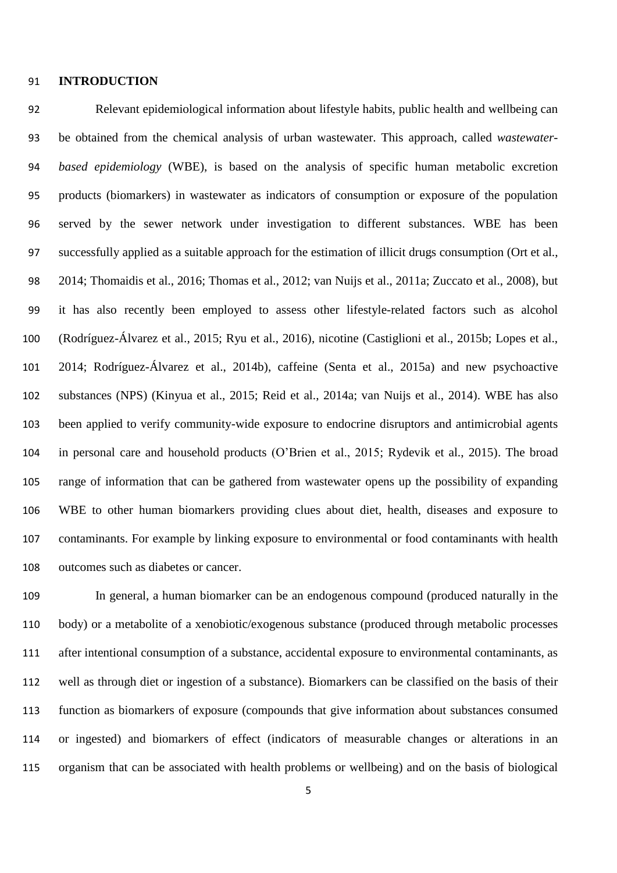#### **INTRODUCTION**

 Relevant epidemiological information about lifestyle habits, public health and wellbeing can be obtained from the chemical analysis of urban wastewater. This approach, called *wastewater- based epidemiology* (WBE), is based on the analysis of specific human metabolic excretion products (biomarkers) in wastewater as indicators of consumption or exposure of the population served by the sewer network under investigation to different substances. WBE has been successfully applied as a suitable approach for the estimation of illicit drugs consumption (Ort et al., 2014; Thomaidis et al., 2016; Thomas et al., 2012; van Nuijs et al., 2011a; Zuccato et al., 2008), but it has also recently been employed to assess other lifestyle-related factors such as alcohol (Rodríguez-Álvarez et al., 2015; Ryu et al., 2016), nicotine (Castiglioni et al., 2015b; Lopes et al., 2014; Rodríguez-Álvarez et al., 2014b), caffeine (Senta et al., 2015a) and new psychoactive substances (NPS) (Kinyua et al., 2015; Reid et al., 2014a; van Nuijs et al., 2014). WBE has also been applied to verify community-wide exposure to endocrine disruptors and antimicrobial agents in personal care and household products (O'Brien et al., 2015; Rydevik et al., 2015). The broad range of information that can be gathered from wastewater opens up the possibility of expanding WBE to other human biomarkers providing clues about diet, health, diseases and exposure to contaminants. For example by linking exposure to environmental or food contaminants with health outcomes such as diabetes or cancer.

 In general, a human biomarker can be an endogenous compound (produced naturally in the body) or a metabolite of a xenobiotic/exogenous substance (produced through metabolic processes after intentional consumption of a substance, accidental exposure to environmental contaminants, as well as through diet or ingestion of a substance). Biomarkers can be classified on the basis of their function as biomarkers of exposure (compounds that give information about substances consumed or ingested) and biomarkers of effect (indicators of measurable changes or alterations in an organism that can be associated with health problems or wellbeing) and on the basis of biological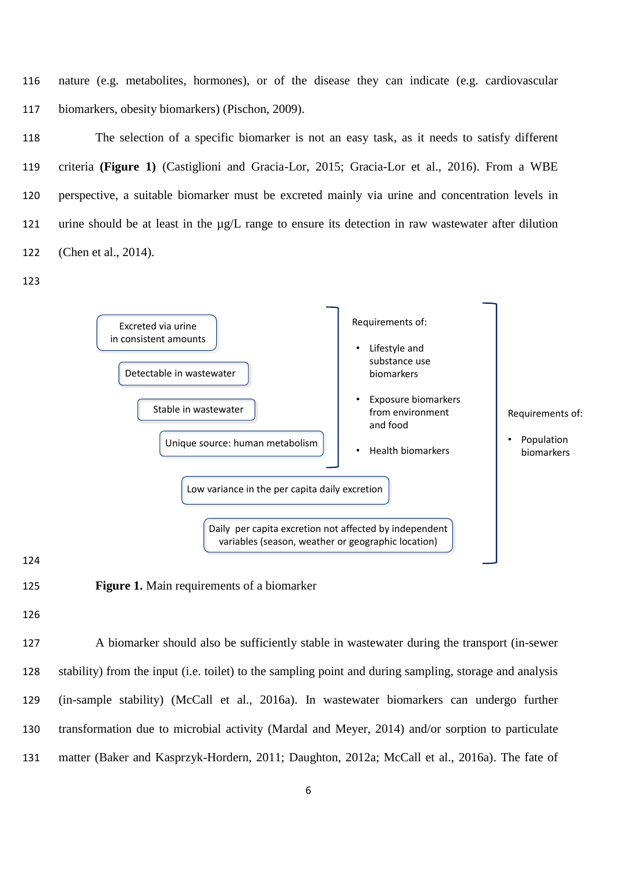116 nature (e.g. metabolites, hormones), or of the disease they can indicate (e.g. cardiovascular 117 biomarkers, obesity biomarkers) (Pischon, 2009).

 The selection of a specific biomarker is not an easy task, as it needs to satisfy different criteria **(Figure 1)** (Castiglioni and Gracia-Lor, 2015; Gracia-Lor et al., 2016). From a WBE perspective, a suitable biomarker must be excreted mainly via urine and concentration levels in urine should be at least in the µg/L range to ensure its detection in raw wastewater after dilution (Chen et al., 2014).





124

125 **Figure 1.** Main requirements of a biomarker

126

 A biomarker should also be sufficiently stable in wastewater during the transport (in-sewer stability) from the input (i.e. toilet) to the sampling point and during sampling, storage and analysis (in-sample stability) (McCall et al., 2016a). In wastewater biomarkers can undergo further transformation due to microbial activity (Mardal and Meyer, 2014) and/or sorption to particulate matter (Baker and Kasprzyk-Hordern, 2011; Daughton, 2012a; McCall et al., 2016a). The fate of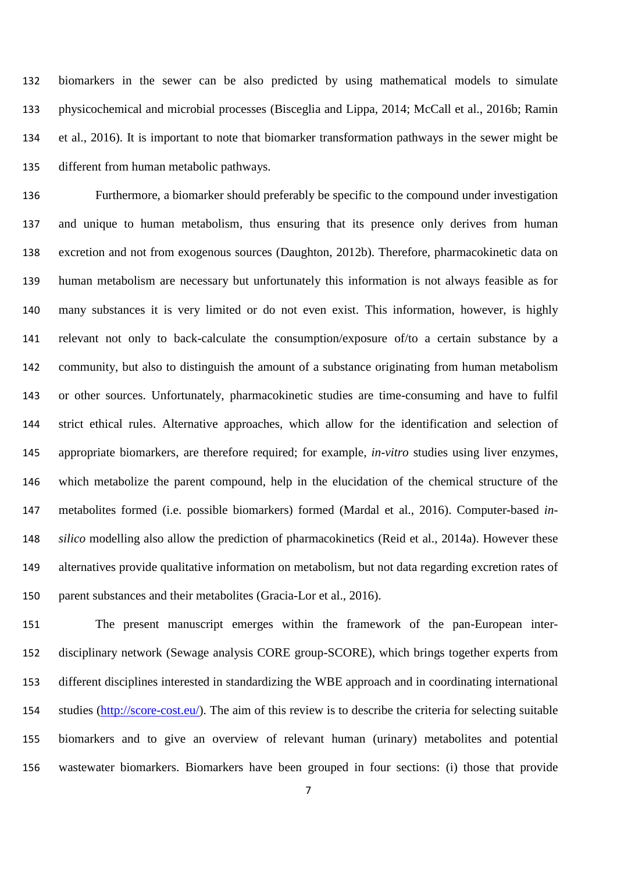biomarkers in the sewer can be also predicted by using mathematical models to simulate physicochemical and microbial processes (Bisceglia and Lippa, 2014; McCall et al., 2016b; Ramin et al., 2016). It is important to note that biomarker transformation pathways in the sewer might be different from human metabolic pathways.

 Furthermore, a biomarker should preferably be specific to the compound under investigation and unique to human metabolism, thus ensuring that its presence only derives from human excretion and not from exogenous sources (Daughton, 2012b). Therefore, pharmacokinetic data on human metabolism are necessary but unfortunately this information is not always feasible as for many substances it is very limited or do not even exist. This information, however, is highly relevant not only to back-calculate the consumption/exposure of/to a certain substance by a community, but also to distinguish the amount of a substance originating from human metabolism or other sources. Unfortunately, pharmacokinetic studies are time-consuming and have to fulfil strict ethical rules. Alternative approaches, which allow for the identification and selection of appropriate biomarkers, are therefore required; for example, *in-vitro* studies using liver enzymes, which metabolize the parent compound, help in the elucidation of the chemical structure of the metabolites formed (i.e. possible biomarkers) formed (Mardal et al., 2016). Computer-based *in- silico* modelling also allow the prediction of pharmacokinetics (Reid et al., 2014a). However these alternatives provide qualitative information on metabolism, but not data regarding excretion rates of parent substances and their metabolites (Gracia-Lor et al., 2016).

 The present manuscript emerges within the framework of the pan-European inter- disciplinary network (Sewage analysis CORE group-SCORE), which brings together experts from different disciplines interested in standardizing the WBE approach and in coordinating international studies [\(http://score-cost.eu/\)](http://score-cost.eu/). The aim of this review is to describe the criteria for selecting suitable biomarkers and to give an overview of relevant human (urinary) metabolites and potential wastewater biomarkers. Biomarkers have been grouped in four sections: (i) those that provide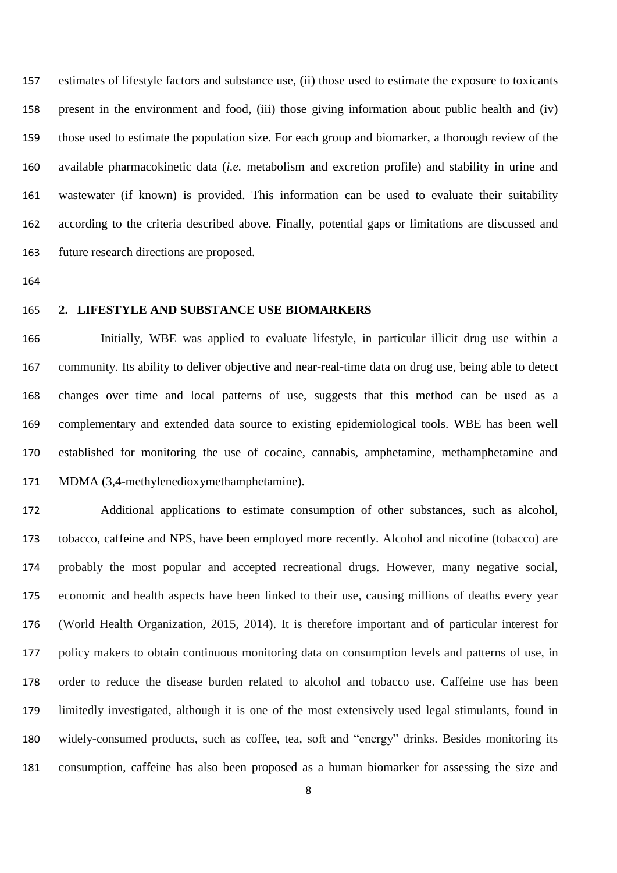estimates of lifestyle factors and substance use, (ii) those used to estimate the exposure to toxicants present in the environment and food, (iii) those giving information about public health and (iv) those used to estimate the population size. For each group and biomarker, a thorough review of the available pharmacokinetic data (*i.e.* metabolism and excretion profile) and stability in urine and wastewater (if known) is provided. This information can be used to evaluate their suitability according to the criteria described above. Finally, potential gaps or limitations are discussed and future research directions are proposed.

#### **2. LIFESTYLE AND SUBSTANCE USE BIOMARKERS**

 Initially, WBE was applied to evaluate lifestyle, in particular illicit drug use within a community. Its ability to deliver objective and near-real-time data on drug use, being able to detect changes over time and local patterns of use, suggests that this method can be used as a complementary and extended data source to existing epidemiological tools. WBE has been well established for monitoring the use of cocaine, cannabis, amphetamine, methamphetamine and MDMA (3,4-methylenedioxymethamphetamine).

 Additional applications to estimate consumption of other substances, such as alcohol, tobacco, caffeine and NPS, have been employed more recently. Alcohol and nicotine (tobacco) are probably the most popular and accepted recreational drugs. However, many negative social, economic and health aspects have been linked to their use, causing millions of deaths every year (World Health Organization, 2015, 2014). It is therefore important and of particular interest for policy makers to obtain continuous monitoring data on consumption levels and patterns of use, in order to reduce the disease burden related to alcohol and tobacco use. Caffeine use has been limitedly investigated, although it is one of the most extensively used legal stimulants, found in widely-consumed products, such as coffee, tea, soft and "energy" drinks. Besides monitoring its consumption, caffeine has also been proposed as a human biomarker for assessing the size and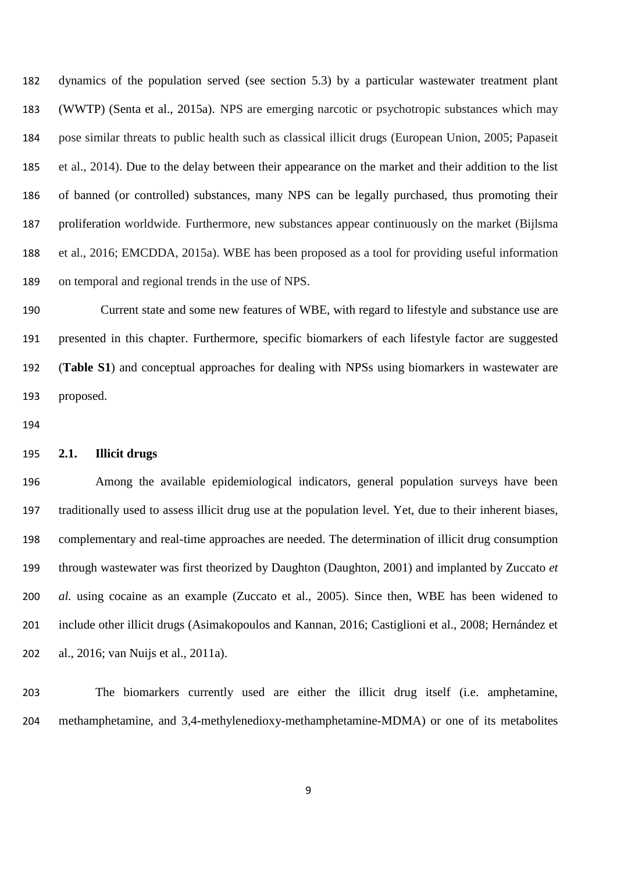dynamics of the population served (see section 5.3) by a particular wastewater treatment plant (WWTP) (Senta et al., 2015a). NPS are emerging narcotic or psychotropic substances which may pose similar threats to public health such as classical illicit drugs (European Union, 2005; Papaseit et al., 2014). Due to the delay between their appearance on the market and their addition to the list of banned (or controlled) substances, many NPS can be legally purchased, thus promoting their proliferation worldwide. Furthermore, new substances appear continuously on the market (Bijlsma et al., 2016; EMCDDA, 2015a). WBE has been proposed as a tool for providing useful information on temporal and regional trends in the use of NPS.

 Current state and some new features of WBE, with regard to lifestyle and substance use are presented in this chapter. Furthermore, specific biomarkers of each lifestyle factor are suggested (**Table S1**) and conceptual approaches for dealing with NPSs using biomarkers in wastewater are proposed.

#### **2.1. Illicit drugs**

 Among the available epidemiological indicators, general population surveys have been traditionally used to assess illicit drug use at the population level. Yet, due to their inherent biases, complementary and real-time approaches are needed. The determination of illicit drug consumption through wastewater was first theorized by Daughton (Daughton, 2001) and implanted by Zuccato *et al.* using cocaine as an example (Zuccato et al., 2005). Since then, WBE has been widened to include other illicit drugs (Asimakopoulos and Kannan, 2016; Castiglioni et al., 2008; Hernández et al., 2016; van Nuijs et al., 2011a).

 The biomarkers currently used are either the illicit drug itself (i.e. amphetamine, methamphetamine, and 3,4-methylenedioxy-methamphetamine-MDMA) or one of its metabolites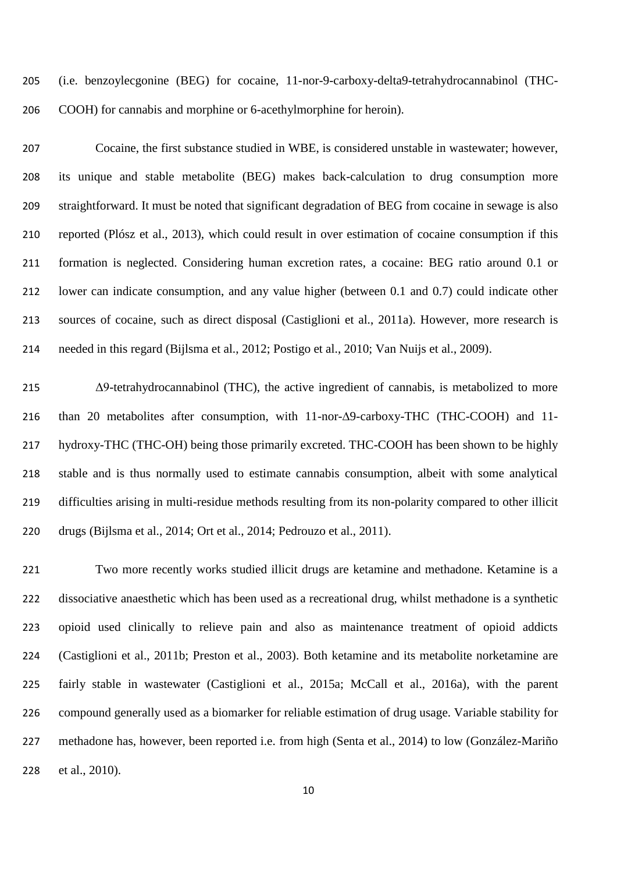(i.e. benzoylecgonine (BEG) for cocaine, 11-nor-9-carboxy-delta9-tetrahydrocannabinol (THC-COOH) for cannabis and morphine or 6-acethylmorphine for heroin).

 Cocaine, the first substance studied in WBE, is considered unstable in wastewater; however, its unique and stable metabolite (BEG) makes back-calculation to drug consumption more straightforward. It must be noted that significant degradation of BEG from cocaine in sewage is also reported (Plósz et al., 2013), which could result in over estimation of cocaine consumption if this formation is neglected. Considering human excretion rates, a cocaine: BEG ratio around 0.1 or lower can indicate consumption, and any value higher (between 0.1 and 0.7) could indicate other sources of cocaine, such as direct disposal (Castiglioni et al., 2011a). However, more research is needed in this regard (Bijlsma et al., 2012; Postigo et al., 2010; Van Nuijs et al., 2009).

 Δ9-tetrahydrocannabinol (THC), the active ingredient of cannabis, is metabolized to more than 20 metabolites after consumption, with 11-nor-∆9-carboxy-THC (THC-COOH) and 11- hydroxy-THC (THC-OH) being those primarily excreted. THC-COOH has been shown to be highly stable and is thus normally used to estimate cannabis consumption, albeit with some analytical difficulties arising in multi-residue methods resulting from its non-polarity compared to other illicit drugs (Bijlsma et al., 2014; Ort et al., 2014; Pedrouzo et al., 2011).

 Two more recently works studied illicit drugs are ketamine and methadone. Ketamine is a dissociative anaesthetic which has been used as a recreational drug, whilst methadone is a synthetic opioid used clinically to relieve pain and also as maintenance treatment of opioid addicts (Castiglioni et al., 2011b; Preston et al., 2003). Both ketamine and its metabolite norketamine are fairly stable in wastewater (Castiglioni et al., 2015a; McCall et al., 2016a), with the parent compound generally used as a biomarker for reliable estimation of drug usage. Variable stability for methadone has, however, been reported i.e. from high (Senta et al., 2014) to low (González-Mariño et al., 2010).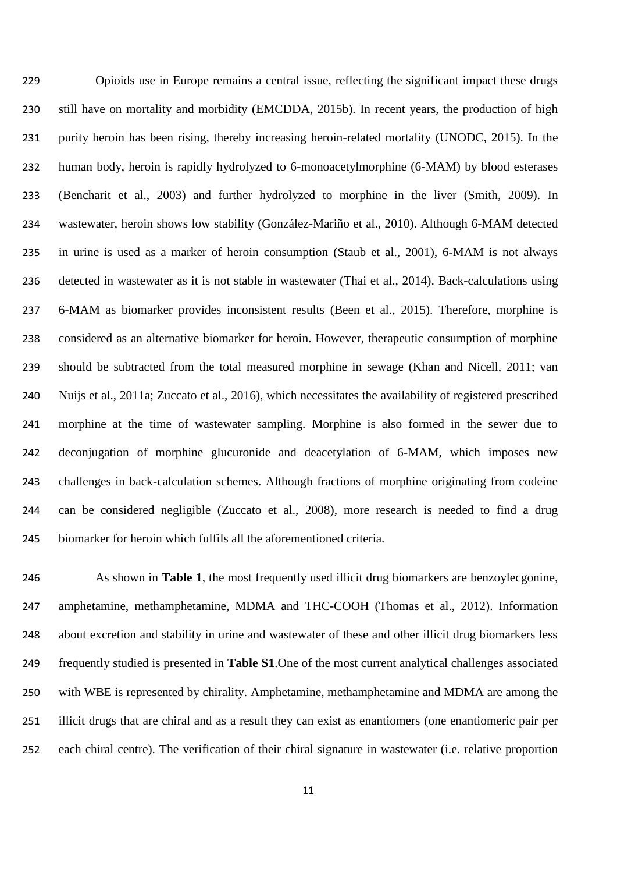Opioids use in Europe remains a central issue, reflecting the significant impact these drugs still have on mortality and morbidity (EMCDDA, 2015b). In recent years, the production of high purity heroin has been rising, thereby increasing heroin-related mortality (UNODC, 2015). In the human body, heroin is rapidly hydrolyzed to 6-monoacetylmorphine (6-MAM) by blood esterases (Bencharit et al., 2003) and further hydrolyzed to morphine in the liver (Smith, 2009). In wastewater, heroin shows low stability (González-Mariño et al., 2010). Although 6-MAM detected in urine is used as a marker of heroin consumption (Staub et al., 2001), 6-MAM is not always detected in wastewater as it is not stable in wastewater (Thai et al., 2014). Back-calculations using 6-MAM as biomarker provides inconsistent results (Been et al., 2015). Therefore, morphine is considered as an alternative biomarker for heroin. However, therapeutic consumption of morphine should be subtracted from the total measured morphine in sewage (Khan and Nicell, 2011; van Nuijs et al., 2011a; Zuccato et al., 2016), which necessitates the availability of registered prescribed morphine at the time of wastewater sampling. Morphine is also formed in the sewer due to deconjugation of morphine glucuronide and deacetylation of 6-MAM, which imposes new challenges in back-calculation schemes. Although fractions of morphine originating from codeine can be considered negligible (Zuccato et al., 2008), more research is needed to find a drug biomarker for heroin which fulfils all the aforementioned criteria.

 As shown in **Table 1**, the most frequently used illicit drug biomarkers are benzoylecgonine, amphetamine, methamphetamine, MDMA and THC-COOH (Thomas et al., 2012). Information about excretion and stability in urine and wastewater of these and other illicit drug biomarkers less frequently studied is presented in **Table S1**.One of the most current analytical challenges associated with WBE is represented by chirality. Amphetamine, methamphetamine and MDMA are among the illicit drugs that are chiral and as a result they can exist as enantiomers (one enantiomeric pair per each chiral centre). The verification of their chiral signature in wastewater (i.e. relative proportion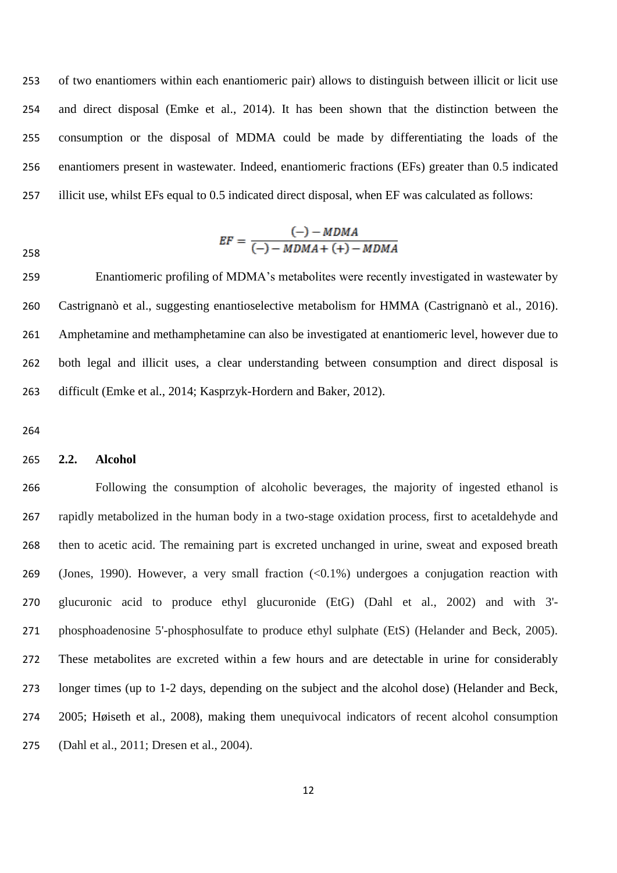of two enantiomers within each enantiomeric pair) allows to distinguish between illicit or licit use and direct disposal (Emke et al., 2014). It has been shown that the distinction between the consumption or the disposal of MDMA could be made by differentiating the loads of the enantiomers present in wastewater. Indeed, enantiomeric fractions (EFs) greater than 0.5 indicated illicit use, whilst EFs equal to 0.5 indicated direct disposal, when EF was calculated as follows:

$$
EF = \frac{(-) - MDMA}{(-) - MDMA + (+) - MDMA}
$$

 Enantiomeric profiling of MDMA's metabolites were recently investigated in wastewater by Castrignanò et al., suggesting enantioselective metabolism for HMMA (Castrignanò et al., 2016). Amphetamine and methamphetamine can also be investigated at enantiomeric level, however due to both legal and illicit uses, a clear understanding between consumption and direct disposal is difficult (Emke et al., 2014; Kasprzyk-Hordern and Baker, 2012).

#### **2.2. Alcohol**

 Following the consumption of alcoholic beverages, the majority of ingested ethanol is rapidly metabolized in the human body in a two-stage oxidation process, first to acetaldehyde and then to acetic acid. The remaining part is excreted unchanged in urine, sweat and exposed breath (Jones, 1990). However, a very small fraction (<0.1%) undergoes a conjugation reaction with glucuronic acid to produce ethyl glucuronide (EtG) (Dahl et al., 2002) and with 3'- phosphoadenosine 5'-phosphosulfate to produce ethyl sulphate (EtS) (Helander and Beck, 2005). These metabolites are excreted within a few hours and are detectable in urine for considerably longer times (up to 1-2 days, depending on the subject and the alcohol dose) (Helander and Beck, 2005; Høiseth et al., 2008), making them unequivocal indicators of recent alcohol consumption (Dahl et al., 2011; Dresen et al., 2004).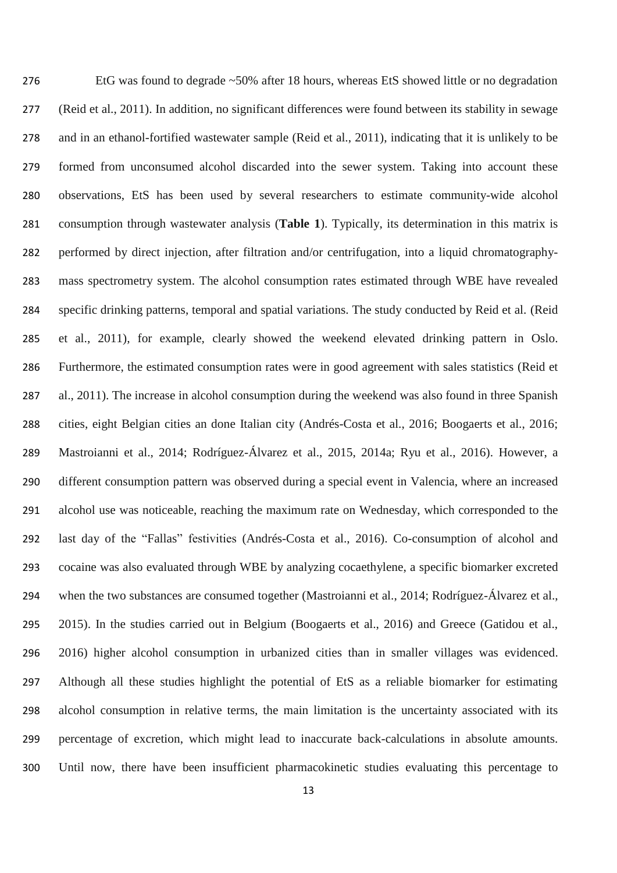EtG was found to degrade ~50% after 18 hours, whereas EtS showed little or no degradation (Reid et al., 2011). In addition, no significant differences were found between its stability in sewage and in an ethanol-fortified wastewater sample (Reid et al., 2011), indicating that it is unlikely to be formed from unconsumed alcohol discarded into the sewer system. Taking into account these observations, EtS has been used by several researchers to estimate community-wide alcohol consumption through wastewater analysis (**Table 1**). Typically, its determination in this matrix is performed by direct injection, after filtration and/or centrifugation, into a liquid chromatography- mass spectrometry system. The alcohol consumption rates estimated through WBE have revealed specific drinking patterns, temporal and spatial variations. The study conducted by Reid et al. (Reid et al., 2011), for example, clearly showed the weekend elevated drinking pattern in Oslo. Furthermore, the estimated consumption rates were in good agreement with sales statistics (Reid et al., 2011). The increase in alcohol consumption during the weekend was also found in three Spanish cities, eight Belgian cities an done Italian city (Andrés-Costa et al., 2016; Boogaerts et al., 2016; Mastroianni et al., 2014; Rodríguez-Álvarez et al., 2015, 2014a; Ryu et al., 2016). However, a different consumption pattern was observed during a special event in Valencia, where an increased alcohol use was noticeable, reaching the maximum rate on Wednesday, which corresponded to the last day of the "Fallas" festivities (Andrés-Costa et al., 2016). Co-consumption of alcohol and cocaine was also evaluated through WBE by analyzing cocaethylene, a specific biomarker excreted when the two substances are consumed together (Mastroianni et al., 2014; Rodríguez-Álvarez et al., 2015). In the studies carried out in Belgium (Boogaerts et al., 2016) and Greece (Gatidou et al., 2016) higher alcohol consumption in urbanized cities than in smaller villages was evidenced. Although all these studies highlight the potential of EtS as a reliable biomarker for estimating alcohol consumption in relative terms, the main limitation is the uncertainty associated with its percentage of excretion, which might lead to inaccurate back-calculations in absolute amounts. Until now, there have been insufficient pharmacokinetic studies evaluating this percentage to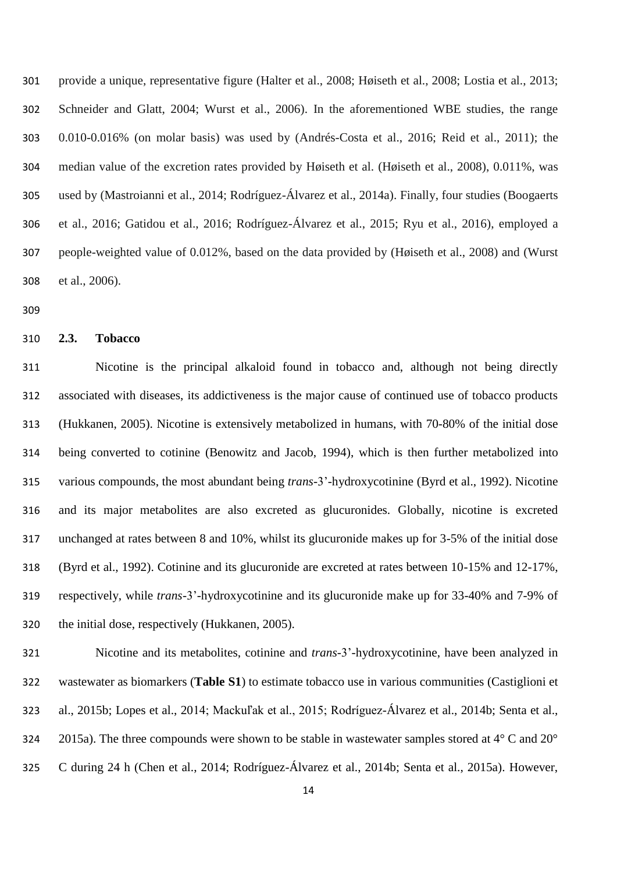provide a unique, representative figure (Halter et al., 2008; Høiseth et al., 2008; Lostia et al., 2013; Schneider and Glatt, 2004; Wurst et al., 2006). In the aforementioned WBE studies, the range 0.010-0.016% (on molar basis) was used by (Andrés-Costa et al., 2016; Reid et al., 2011); the median value of the excretion rates provided by Høiseth et al. (Høiseth et al., 2008), 0.011%, was used by (Mastroianni et al., 2014; Rodríguez-Álvarez et al., 2014a). Finally, four studies (Boogaerts et al., 2016; Gatidou et al., 2016; Rodríguez-Álvarez et al., 2015; Ryu et al., 2016), employed a people-weighted value of 0.012%, based on the data provided by (Høiseth et al., 2008) and (Wurst et al., 2006).

#### **2.3. Tobacco**

 Nicotine is the principal alkaloid found in tobacco and, although not being directly associated with diseases, its addictiveness is the major cause of continued use of tobacco products (Hukkanen, 2005). Nicotine is extensively metabolized in humans, with 70-80% of the initial dose being converted to cotinine (Benowitz and Jacob, 1994), which is then further metabolized into various compounds, the most abundant being *trans-*3'-hydroxycotinine (Byrd et al., 1992). Nicotine and its major metabolites are also excreted as glucuronides. Globally, nicotine is excreted unchanged at rates between 8 and 10%, whilst its glucuronide makes up for 3-5% of the initial dose (Byrd et al., 1992). Cotinine and its glucuronide are excreted at rates between 10-15% and 12-17%, respectively, while *trans-*3'-hydroxycotinine and its glucuronide make up for 33-40% and 7-9% of the initial dose, respectively (Hukkanen, 2005).

 Nicotine and its metabolites, cotinine and *trans-*3'-hydroxycotinine, have been analyzed in wastewater as biomarkers (**Table S1**) to estimate tobacco use in various communities (Castiglioni et al., 2015b; Lopes et al., 2014; Mackuľak et al., 2015; Rodríguez-Álvarez et al., 2014b; Senta et al., 2015a). The three compounds were shown to be stable in wastewater samples stored at 4° C and 20° C during 24 h (Chen et al., 2014; Rodríguez-Álvarez et al., 2014b; Senta et al., 2015a). However,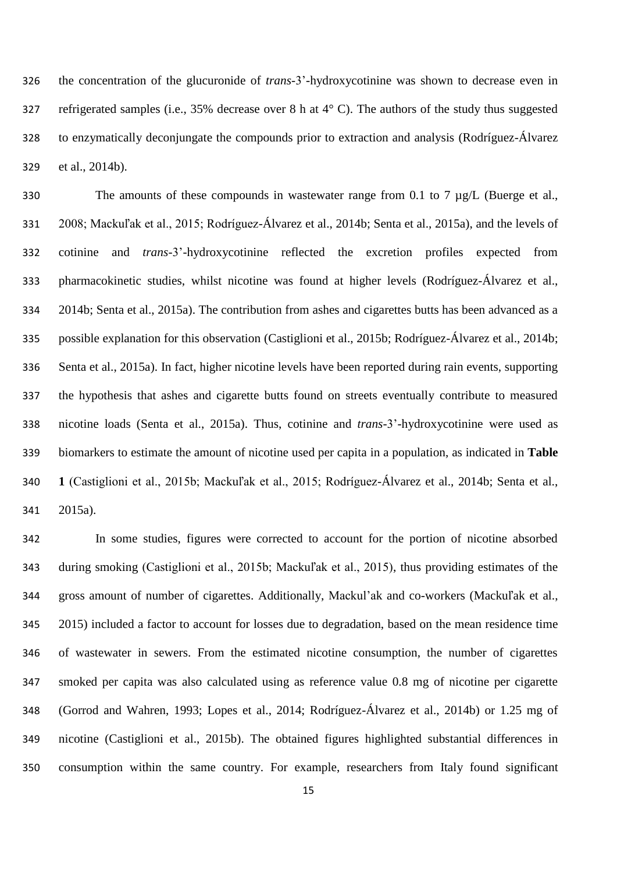the concentration of the glucuronide of *trans-*3'-hydroxycotinine was shown to decrease even in refrigerated samples (i.e., 35% decrease over 8 h at 4° C). The authors of the study thus suggested to enzymatically deconjungate the compounds prior to extraction and analysis (Rodríguez-Álvarez et al., 2014b).

330 The amounts of these compounds in wastewater range from 0.1 to 7 µg/L (Buerge et al., 2008; Mackuľak et al., 2015; Rodríguez-Álvarez et al., 2014b; Senta et al., 2015a), and the levels of cotinine and *trans-*3'-hydroxycotinine reflected the excretion profiles expected from pharmacokinetic studies, whilst nicotine was found at higher levels (Rodríguez-Álvarez et al., 2014b; Senta et al., 2015a). The contribution from ashes and cigarettes butts has been advanced as a possible explanation for this observation (Castiglioni et al., 2015b; Rodríguez-Álvarez et al., 2014b; Senta et al., 2015a). In fact, higher nicotine levels have been reported during rain events, supporting the hypothesis that ashes and cigarette butts found on streets eventually contribute to measured nicotine loads (Senta et al., 2015a). Thus, cotinine and *trans-*3'-hydroxycotinine were used as biomarkers to estimate the amount of nicotine used per capita in a population, as indicated in **Table 1** (Castiglioni et al., 2015b; Mackuľak et al., 2015; Rodríguez-Álvarez et al., 2014b; Senta et al., 2015a).

 In some studies, figures were corrected to account for the portion of nicotine absorbed during smoking (Castiglioni et al., 2015b; Mackuľak et al., 2015), thus providing estimates of the gross amount of number of cigarettes. Additionally, Mackul'ak and co-workers (Mackuľak et al., 2015) included a factor to account for losses due to degradation, based on the mean residence time of wastewater in sewers. From the estimated nicotine consumption, the number of cigarettes smoked per capita was also calculated using as reference value 0.8 mg of nicotine per cigarette (Gorrod and Wahren, 1993; Lopes et al., 2014; Rodríguez-Álvarez et al., 2014b) or 1.25 mg of nicotine (Castiglioni et al., 2015b). The obtained figures highlighted substantial differences in consumption within the same country. For example, researchers from Italy found significant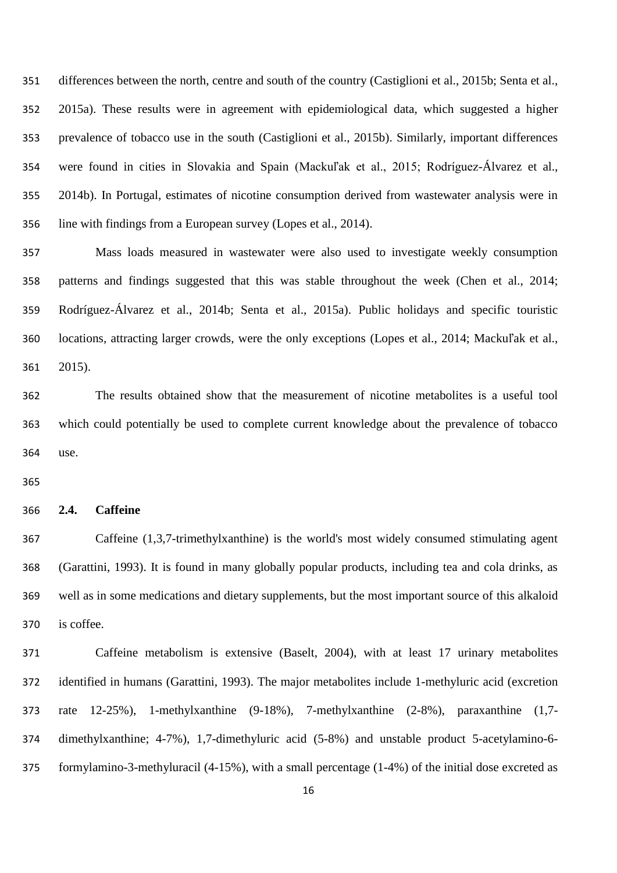differences between the north, centre and south of the country (Castiglioni et al., 2015b; Senta et al., 2015a). These results were in agreement with epidemiological data, which suggested a higher prevalence of tobacco use in the south (Castiglioni et al., 2015b). Similarly, important differences were found in cities in Slovakia and Spain (Mackuľak et al., 2015; Rodríguez-Álvarez et al., 2014b). In Portugal, estimates of nicotine consumption derived from wastewater analysis were in line with findings from a European survey (Lopes et al., 2014).

 Mass loads measured in wastewater were also used to investigate weekly consumption patterns and findings suggested that this was stable throughout the week (Chen et al., 2014; Rodríguez-Álvarez et al., 2014b; Senta et al., 2015a). Public holidays and specific touristic locations, attracting larger crowds, were the only exceptions (Lopes et al., 2014; Mackuľak et al., 2015).

 The results obtained show that the measurement of nicotine metabolites is a useful tool which could potentially be used to complete current knowledge about the prevalence of tobacco use.

#### **2.4. Caffeine**

 Caffeine (1,3,7-trimethylxanthine) is the world's most widely consumed stimulating agent (Garattini, 1993). It is found in many globally popular products, including tea and cola drinks, as well as in some medications and dietary supplements, but the most important source of this alkaloid is coffee.

 Caffeine metabolism is extensive (Baselt, 2004), with at least 17 urinary metabolites identified in humans (Garattini, 1993). The major metabolites include 1-methyluric acid (excretion rate 12-25%), 1-methylxanthine (9-18%), 7-methylxanthine (2-8%), paraxanthine (1,7- dimethylxanthine; 4-7%), 1,7-dimethyluric acid (5-8%) and unstable product 5-acetylamino-6- formylamino-3-methyluracil (4-15%), with a small percentage (1-4%) of the initial dose excreted as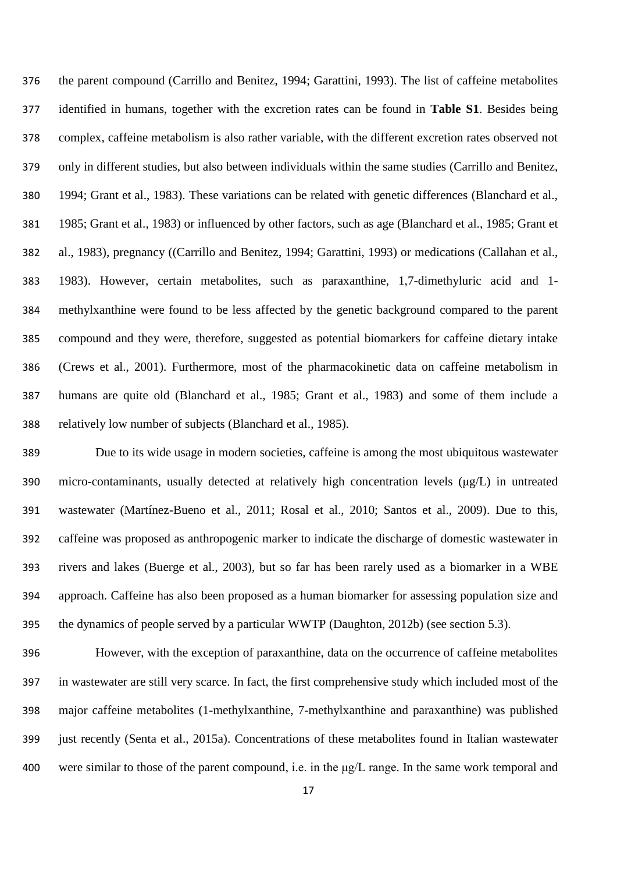the parent compound (Carrillo and Benitez, 1994; Garattini, 1993). The list of caffeine metabolites identified in humans, together with the excretion rates can be found in **Table S1**. Besides being complex, caffeine metabolism is also rather variable, with the different excretion rates observed not only in different studies, but also between individuals within the same studies (Carrillo and Benitez, 1994; Grant et al., 1983). These variations can be related with genetic differences (Blanchard et al., 1985; Grant et al., 1983) or influenced by other factors, such as age (Blanchard et al., 1985; Grant et al., 1983), pregnancy ((Carrillo and Benitez, 1994; Garattini, 1993) or medications (Callahan et al., 1983). However, certain metabolites, such as paraxanthine, 1,7-dimethyluric acid and 1- methylxanthine were found to be less affected by the genetic background compared to the parent compound and they were, therefore, suggested as potential biomarkers for caffeine dietary intake (Crews et al., 2001). Furthermore, most of the pharmacokinetic data on caffeine metabolism in humans are quite old (Blanchard et al., 1985; Grant et al., 1983) and some of them include a relatively low number of subjects (Blanchard et al., 1985).

 Due to its wide usage in modern societies, caffeine is among the most ubiquitous wastewater 390 micro-contaminants, usually detected at relatively high concentration levels ( $\mu$ g/L) in untreated wastewater (Martínez-Bueno et al., 2011; Rosal et al., 2010; Santos et al., 2009). Due to this, caffeine was proposed as anthropogenic marker to indicate the discharge of domestic wastewater in rivers and lakes (Buerge et al., 2003), but so far has been rarely used as a biomarker in a WBE approach. Caffeine has also been proposed as a human biomarker for assessing population size and the dynamics of people served by a particular WWTP (Daughton, 2012b) (see section 5.3).

 However, with the exception of paraxanthine, data on the occurrence of caffeine metabolites in wastewater are still very scarce. In fact, the first comprehensive study which included most of the major caffeine metabolites (1-methylxanthine, 7-methylxanthine and paraxanthine) was published just recently (Senta et al., 2015a). Concentrations of these metabolites found in Italian wastewater were similar to those of the parent compound, i.e. in the μg/L range. In the same work temporal and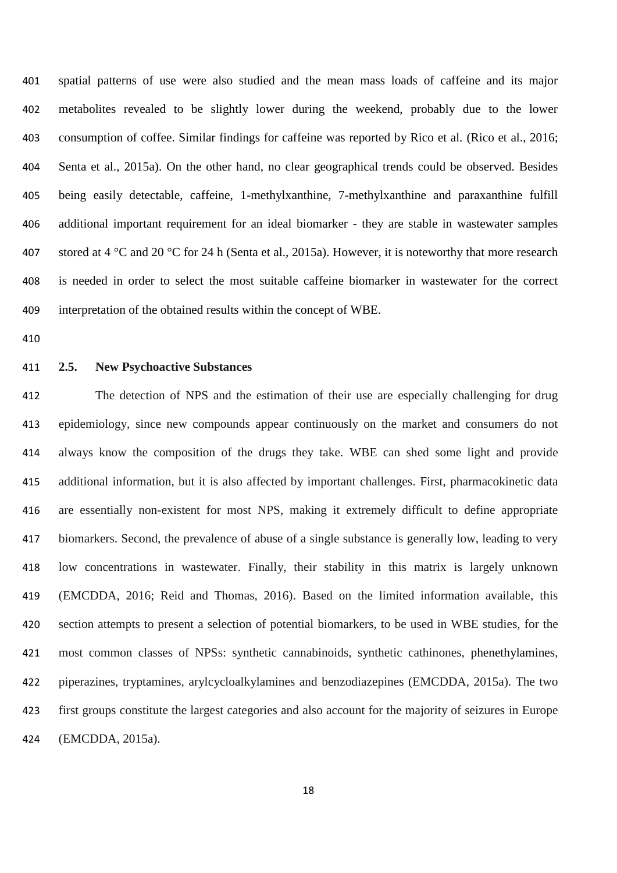spatial patterns of use were also studied and the mean mass loads of caffeine and its major metabolites revealed to be slightly lower during the weekend, probably due to the lower consumption of coffee. Similar findings for caffeine was reported by Rico et al. (Rico et al., 2016; Senta et al., 2015a). On the other hand, no clear geographical trends could be observed. Besides being easily detectable, caffeine, 1-methylxanthine, 7-methylxanthine and paraxanthine fulfill additional important requirement for an ideal biomarker - they are stable in wastewater samples 407 stored at 4 °C and 20 °C for 24 h (Senta et al., 2015a). However, it is noteworthy that more research is needed in order to select the most suitable caffeine biomarker in wastewater for the correct interpretation of the obtained results within the concept of WBE.

#### **2.5. New Psychoactive Substances**

 The detection of NPS and the estimation of their use are especially challenging for drug epidemiology, since new compounds appear continuously on the market and consumers do not always know the composition of the drugs they take. WBE can shed some light and provide additional information, but it is also affected by important challenges. First, pharmacokinetic data are essentially non-existent for most NPS, making it extremely difficult to define appropriate biomarkers. Second, the prevalence of abuse of a single substance is generally low, leading to very low concentrations in wastewater. Finally, their stability in this matrix is largely unknown (EMCDDA, 2016; Reid and Thomas, 2016). Based on the limited information available, this section attempts to present a selection of potential biomarkers, to be used in WBE studies, for the most common classes of NPSs: synthetic cannabinoids, synthetic cathinones, phenethylamines, piperazines, tryptamines, arylcycloalkylamines and benzodiazepines (EMCDDA, 2015a). The two first groups constitute the largest categories and also account for the majority of seizures in Europe (EMCDDA, 2015a).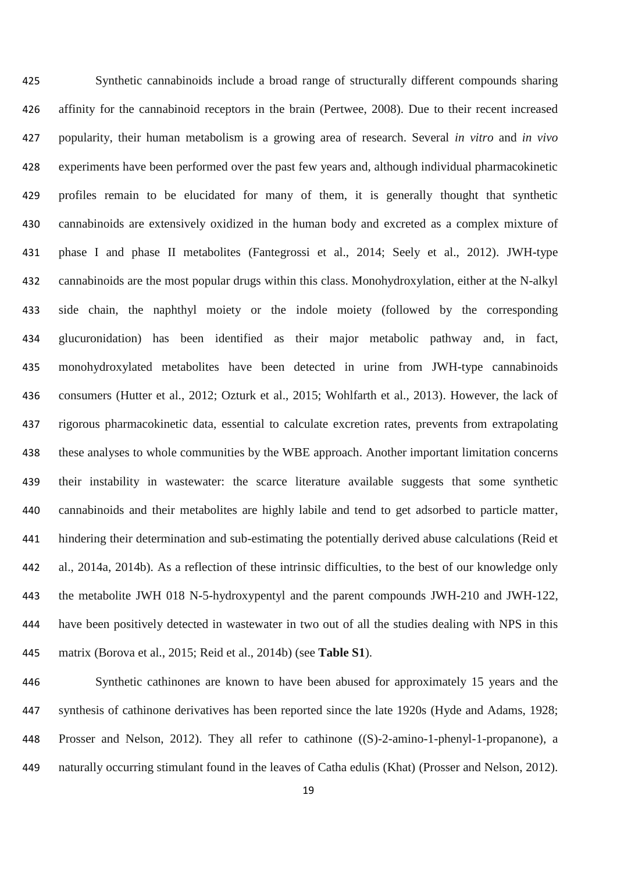Synthetic cannabinoids include a broad range of structurally different compounds sharing affinity for the cannabinoid receptors in the brain (Pertwee, 2008). Due to their recent increased popularity, their human metabolism is a growing area of research. Several *in vitro* and *in vivo* experiments have been performed over the past few years and, although individual pharmacokinetic profiles remain to be elucidated for many of them, it is generally thought that synthetic cannabinoids are extensively oxidized in the human body and excreted as a complex mixture of phase I and phase II metabolites (Fantegrossi et al., 2014; Seely et al., 2012). JWH-type cannabinoids are the most popular drugs within this class. Monohydroxylation, either at the N-alkyl side chain, the naphthyl moiety or the indole moiety (followed by the corresponding glucuronidation) has been identified as their major metabolic pathway and, in fact, monohydroxylated metabolites have been detected in urine from JWH-type cannabinoids consumers (Hutter et al., 2012; Ozturk et al., 2015; Wohlfarth et al., 2013). However, the lack of rigorous pharmacokinetic data, essential to calculate excretion rates, prevents from extrapolating these analyses to whole communities by the WBE approach. Another important limitation concerns their instability in wastewater: the scarce literature available suggests that some synthetic cannabinoids and their metabolites are highly labile and tend to get adsorbed to particle matter, hindering their determination and sub-estimating the potentially derived abuse calculations (Reid et al., 2014a, 2014b). As a reflection of these intrinsic difficulties, to the best of our knowledge only the metabolite JWH 018 N-5-hydroxypentyl and the parent compounds JWH-210 and JWH-122, have been positively detected in wastewater in two out of all the studies dealing with NPS in this matrix (Borova et al., 2015; Reid et al., 2014b) (see **Table S1**).

 Synthetic cathinones are known to have been abused for approximately 15 years and the synthesis of cathinone derivatives has been reported since the late 1920s (Hyde and Adams, 1928; Prosser and Nelson, 2012). They all refer to cathinone ((S)-2-amino-1-phenyl-1-propanone), a naturally occurring stimulant found in the leaves of Catha edulis (Khat) (Prosser and Nelson, 2012).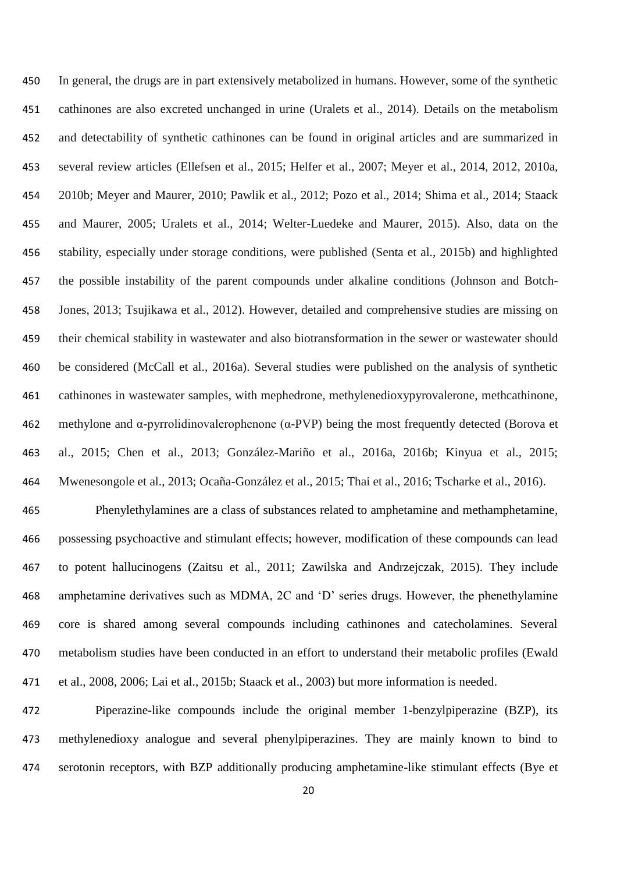In general, the drugs are in part extensively metabolized in humans. However, some of the synthetic cathinones are also excreted unchanged in urine (Uralets et al., 2014). Details on the metabolism and detectability of synthetic cathinones can be found in original articles and are summarized in several review articles (Ellefsen et al., 2015; Helfer et al., 2007; Meyer et al., 2014, 2012, 2010a, 2010b; Meyer and Maurer, 2010; Pawlik et al., 2012; Pozo et al., 2014; Shima et al., 2014; Staack and Maurer, 2005; Uralets et al., 2014; Welter-Luedeke and Maurer, 2015). Also, data on the stability, especially under storage conditions, were published (Senta et al., 2015b) and highlighted the possible instability of the parent compounds under alkaline conditions (Johnson and Botch- Jones, 2013; Tsujikawa et al., 2012). However, detailed and comprehensive studies are missing on their chemical stability in wastewater and also biotransformation in the sewer or wastewater should be considered (McCall et al., 2016a). Several studies were published on the analysis of synthetic cathinones in wastewater samples, with mephedrone, methylenedioxypyrovalerone, methcathinone, methylone and α-pyrrolidinovalerophenone (α-PVP) being the most frequently detected (Borova et al., 2015; Chen et al., 2013; González-Mariño et al., 2016a, 2016b; Kinyua et al., 2015; Mwenesongole et al., 2013; Ocaña-González et al., 2015; Thai et al., 2016; Tscharke et al., 2016).

 Phenylethylamines are a class of substances related to amphetamine and methamphetamine, possessing psychoactive and stimulant effects; however, modification of these compounds can lead to potent hallucinogens (Zaitsu et al., 2011; Zawilska and Andrzejczak, 2015). They include amphetamine derivatives such as MDMA, 2C and 'D' series drugs. However, the phenethylamine core is shared among several compounds including cathinones and catecholamines. Several metabolism studies have been conducted in an effort to understand their metabolic profiles (Ewald et al., 2008, 2006; Lai et al., 2015b; Staack et al., 2003) but more information is needed.

 Piperazine-like compounds include the original member 1-benzylpiperazine (BZP), its methylenedioxy analogue and several phenylpiperazines. They are mainly known to bind to serotonin receptors, with BZP additionally producing amphetamine-like stimulant effects (Bye et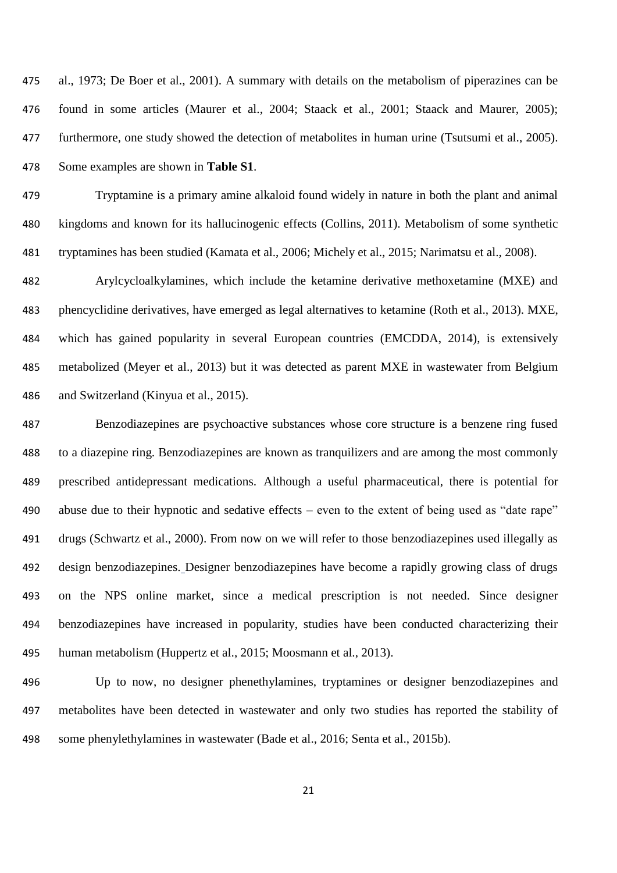al., 1973; De Boer et al., 2001). A summary with details on the metabolism of piperazines can be found in some articles (Maurer et al., 2004; Staack et al., 2001; Staack and Maurer, 2005); furthermore, one study showed the detection of metabolites in human urine (Tsutsumi et al., 2005). Some examples are shown in **Table S1**.

 Tryptamine is a primary amine alkaloid found widely in nature in both the plant and animal kingdoms and known for its hallucinogenic effects (Collins, 2011). Metabolism of some synthetic tryptamines has been studied (Kamata et al., 2006; Michely et al., 2015; Narimatsu et al., 2008).

 Arylcycloalkylamines, which include the ketamine derivative methoxetamine (MXE) and phencyclidine derivatives, have emerged as legal alternatives to ketamine (Roth et al., 2013). MXE, which has gained popularity in several European countries (EMCDDA, 2014), is extensively metabolized (Meyer et al., 2013) but it was detected as parent MXE in wastewater from Belgium and Switzerland (Kinyua et al., 2015).

 Benzodiazepines are psychoactive substances whose core structure is a benzene ring fused to a diazepine ring. Benzodiazepines are known as tranquilizers and are among the most commonly prescribed antidepressant medications. Although a useful pharmaceutical, there is potential for abuse due to their hypnotic and sedative effects – even to the extent of being used as "date rape" drugs (Schwartz et al., 2000). From now on we will refer to those benzodiazepines used illegally as design benzodiazepines. Designer benzodiazepines have become a rapidly growing class of drugs on the NPS online market, since a medical prescription is not needed. Since designer benzodiazepines have increased in popularity, studies have been conducted characterizing their human metabolism (Huppertz et al., 2015; Moosmann et al., 2013).

 Up to now, no designer phenethylamines, tryptamines or designer benzodiazepines and metabolites have been detected in wastewater and only two studies has reported the stability of some phenylethylamines in wastewater (Bade et al., 2016; Senta et al., 2015b).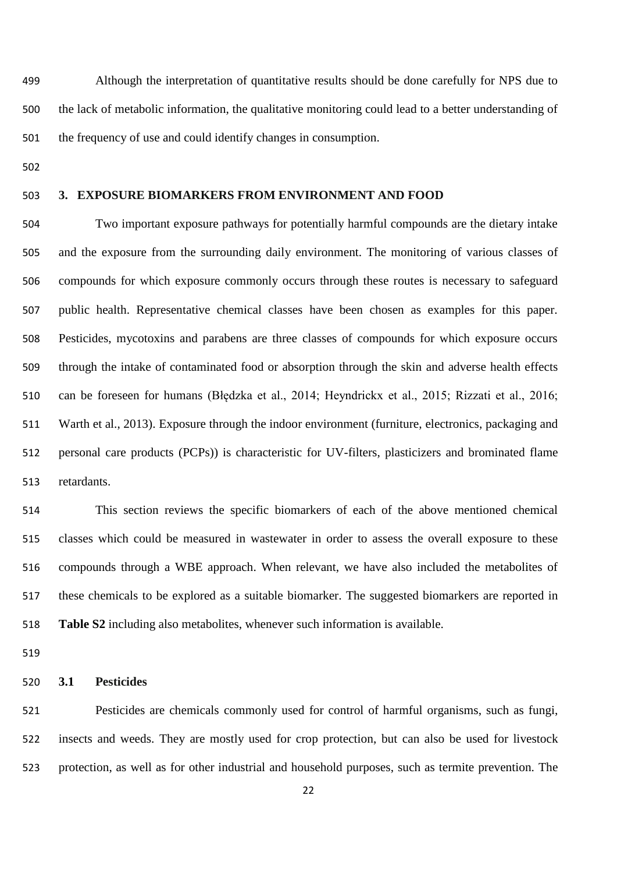Although the interpretation of quantitative results should be done carefully for NPS due to the lack of metabolic information, the qualitative monitoring could lead to a better understanding of the frequency of use and could identify changes in consumption.

#### **3. EXPOSURE BIOMARKERS FROM ENVIRONMENT AND FOOD**

 Two important exposure pathways for potentially harmful compounds are the dietary intake and the exposure from the surrounding daily environment. The monitoring of various classes of compounds for which exposure commonly occurs through these routes is necessary to safeguard public health. Representative chemical classes have been chosen as examples for this paper. Pesticides, mycotoxins and parabens are three classes of compounds for which exposure occurs through the intake of contaminated food or absorption through the skin and adverse health effects can be foreseen for humans (Błędzka et al., 2014; Heyndrickx et al., 2015; Rizzati et al., 2016; Warth et al., 2013). Exposure through the indoor environment (furniture, electronics, packaging and personal care products (PCPs)) is characteristic for UV-filters, plasticizers and brominated flame retardants.

 This section reviews the specific biomarkers of each of the above mentioned chemical classes which could be measured in wastewater in order to assess the overall exposure to these compounds through a WBE approach. When relevant, we have also included the metabolites of these chemicals to be explored as a suitable biomarker. The suggested biomarkers are reported in **Table S2** including also metabolites, whenever such information is available.

#### **3.1 Pesticides**

 Pesticides are chemicals commonly used for control of harmful organisms, such as fungi, insects and weeds. They are mostly used for crop protection, but can also be used for livestock protection, as well as for other industrial and household purposes, such as termite prevention. The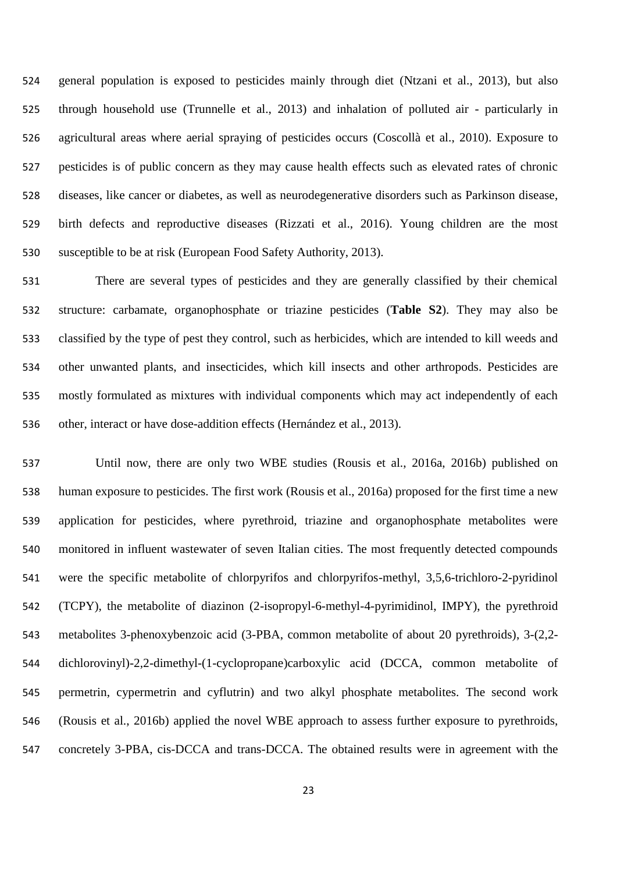general population is exposed to pesticides mainly through diet (Ntzani et al., 2013), but also through household use (Trunnelle et al., 2013) and inhalation of polluted air - particularly in agricultural areas where aerial spraying of pesticides occurs (Coscollà et al., 2010). Exposure to pesticides is of public concern as they may cause health effects such as elevated rates of chronic diseases, like cancer or diabetes, as well as neurodegenerative disorders such as Parkinson disease, birth defects and reproductive diseases (Rizzati et al., 2016). Young children are the most susceptible to be at risk (European Food Safety Authority, 2013).

 There are several types of pesticides and they are generally classified by their chemical structure: carbamate, organophosphate or triazine pesticides (**Table S2**). They may also be classified by the type of pest they control, such as herbicides, which are intended to kill weeds and other unwanted plants, and insecticides, which kill insects and other arthropods. Pesticides are mostly formulated as mixtures with individual components which may act independently of each other, interact or have dose-addition effects (Hernández et al., 2013).

 Until now, there are only two WBE studies (Rousis et al., 2016a, 2016b) published on human exposure to pesticides. The first work (Rousis et al., 2016a) proposed for the first time a new application for pesticides, where pyrethroid, triazine and organophosphate metabolites were monitored in influent wastewater of seven Italian cities. The most frequently detected compounds were the specific metabolite of chlorpyrifos and chlorpyrifos-methyl, 3,5,6-trichloro-2-pyridinol (TCPY), the metabolite of diazinon (2-isopropyl-6-methyl-4-pyrimidinol, IMPY), the pyrethroid metabolites 3-phenoxybenzoic acid (3-PBA, common metabolite of about 20 pyrethroids), 3-(2,2- dichlorovinyl)-2,2-dimethyl-(1-cyclopropane)carboxylic acid (DCCA, common metabolite of permetrin, cypermetrin and cyflutrin) and two alkyl phosphate metabolites. The second work (Rousis et al., 2016b) applied the novel WBE approach to assess further exposure to pyrethroids, concretely 3-PBA, cis-DCCA and trans-DCCA. The obtained results were in agreement with the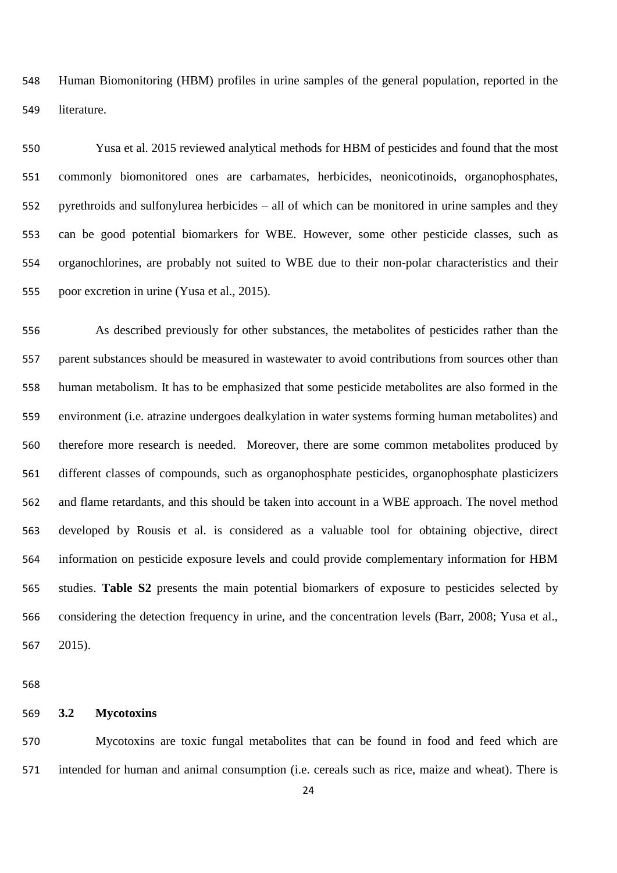Human Biomonitoring (HBM) profiles in urine samples of the general population, reported in the literature.

 Yusa et al. 2015 reviewed analytical methods for HBM of pesticides and found that the most commonly biomonitored ones are carbamates, herbicides, neonicotinoids, organophosphates, pyrethroids and sulfonylurea herbicides – all of which can be monitored in urine samples and they can be good potential biomarkers for WBE. However, some other pesticide classes, such as organochlorines, are probably not suited to WBE due to their non-polar characteristics and their poor excretion in urine (Yusa et al., 2015).

 As described previously for other substances, the metabolites of pesticides rather than the parent substances should be measured in wastewater to avoid contributions from sources other than human metabolism. It has to be emphasized that some pesticide metabolites are also formed in the environment (i.e. atrazine undergoes dealkylation in water systems forming human metabolites) and therefore more research is needed. Moreover, there are some common metabolites produced by different classes of compounds, such as organophosphate pesticides, organophosphate plasticizers and flame retardants, and this should be taken into account in a WBE approach. The novel method developed by Rousis et al. is considered as a valuable tool for obtaining objective, direct information on pesticide exposure levels and could provide complementary information for HBM studies. **Table S2** presents the main potential biomarkers of exposure to pesticides selected by considering the detection frequency in urine, and the concentration levels (Barr, 2008; Yusa et al., 2015).

#### **3.2 Mycotoxins**

 Mycotoxins are toxic fungal metabolites that can be found in food and feed which are intended for human and animal consumption (i.e. cereals such as rice, maize and wheat). There is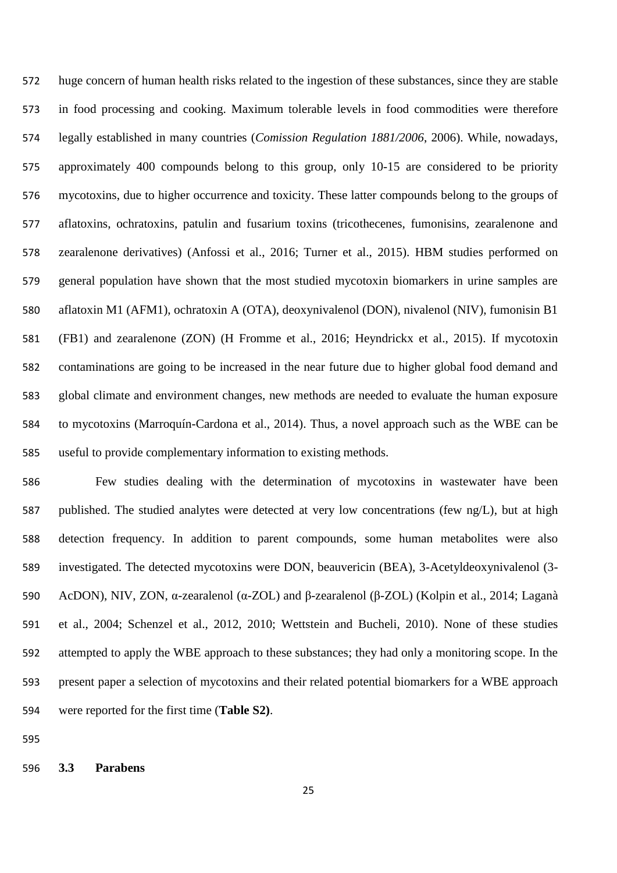huge concern of human health risks related to the ingestion of these substances, since they are stable in food processing and cooking. Maximum tolerable levels in food commodities were therefore legally established in many countries (*Comission Regulation 1881/2006*, 2006). While, nowadays, approximately 400 compounds belong to this group, only 10-15 are considered to be priority mycotoxins, due to higher occurrence and toxicity. These latter compounds belong to the groups of aflatoxins, ochratoxins, patulin and fusarium toxins (tricothecenes, fumonisins, zearalenone and zearalenone derivatives) (Anfossi et al., 2016; Turner et al., 2015). HBM studies performed on general population have shown that the most studied mycotoxin biomarkers in urine samples are aflatoxin M1 (AFM1), ochratoxin A (OTA), deoxynivalenol (DON), nivalenol (NIV), fumonisin B1 (FB1) and zearalenone (ZON) (H Fromme et al., 2016; Heyndrickx et al., 2015). If mycotoxin contaminations are going to be increased in the near future due to higher global food demand and global climate and environment changes, new methods are needed to evaluate the human exposure to mycotoxins (Marroquín-Cardona et al., 2014). Thus, a novel approach such as the WBE can be useful to provide complementary information to existing methods.

 Few studies dealing with the determination of mycotoxins in wastewater have been published. The studied analytes were detected at very low concentrations (few ng/L), but at high detection frequency. In addition to parent compounds, some human metabolites were also investigated. The detected mycotoxins were DON, beauvericin (BEA), 3-Acetyldeoxynivalenol (3- AcDON), NIV, ZON, α-zearalenol (α-ZOL) and β-zearalenol (β-ZOL) (Kolpin et al., 2014; Laganà et al., 2004; Schenzel et al., 2012, 2010; Wettstein and Bucheli, 2010). None of these studies attempted to apply the WBE approach to these substances; they had only a monitoring scope. In the present paper a selection of mycotoxins and their related potential biomarkers for a WBE approach were reported for the first time (**Table S2)**.

**3.3 Parabens**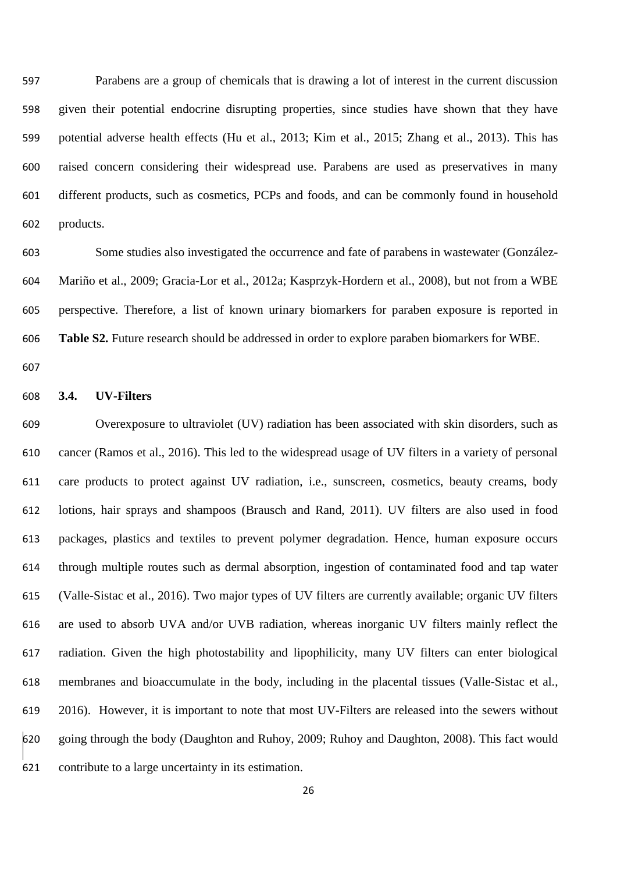Parabens are a group of chemicals that is drawing a lot of interest in the current discussion given their potential endocrine disrupting properties, since studies have shown that they have potential adverse health effects (Hu et al., 2013; Kim et al., 2015; Zhang et al., 2013). This has raised concern considering their widespread use. Parabens are used as preservatives in many different products, such as cosmetics, PCPs and foods, and can be commonly found in household products.

 Some studies also investigated the occurrence and fate of parabens in wastewater (González- Mariño et al., 2009; Gracia-Lor et al., 2012a; Kasprzyk-Hordern et al., 2008), but not from a WBE perspective. Therefore, a list of known urinary biomarkers for paraben exposure is reported in **Table S2.** Future research should be addressed in order to explore paraben biomarkers for WBE.

#### **3.4. UV-Filters**

 Overexposure to ultraviolet (UV) radiation has been associated with skin disorders, such as cancer (Ramos et al., 2016). This led to the widespread usage of UV filters in a variety of personal care products to protect against UV radiation, i.e., sunscreen, cosmetics, beauty creams, body lotions, hair sprays and shampoos (Brausch and Rand, 2011). UV filters are also used in food packages, plastics and textiles to prevent polymer degradation. Hence, human exposure occurs through multiple routes such as dermal absorption, ingestion of contaminated food and tap water (Valle-Sistac et al., 2016). Two major types of UV filters are currently available; organic UV filters are used to absorb UVA and/or UVB radiation, whereas inorganic UV filters mainly reflect the radiation. Given the high photostability and lipophilicity, many UV filters can enter biological membranes and bioaccumulate in the body, including in the placental tissues (Valle-Sistac et al., 2016). However, it is important to note that most UV-Filters are released into the sewers without going through the body (Daughton and Ruhoy, 2009; Ruhoy and Daughton, 2008). This fact would contribute to a large uncertainty in its estimation.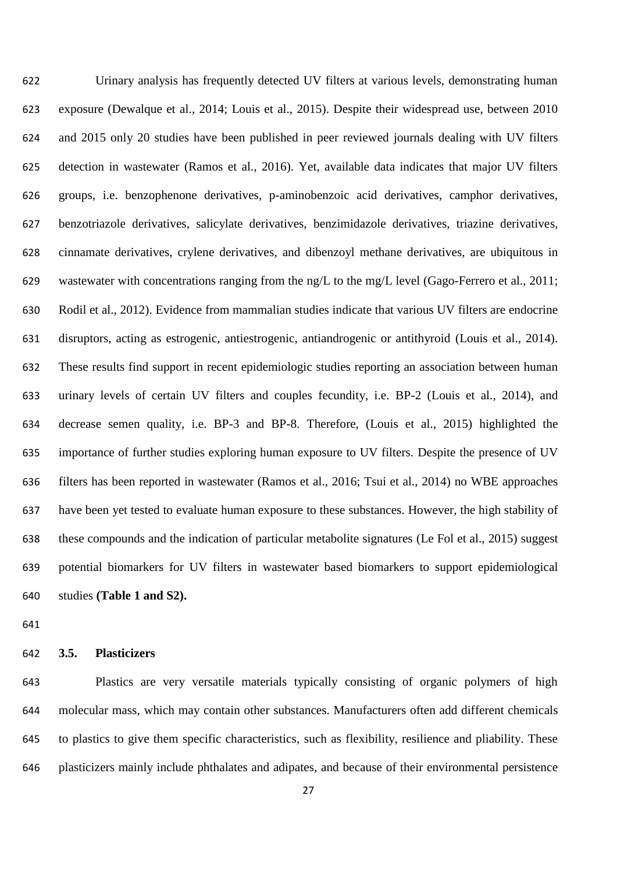Urinary analysis has frequently detected UV filters at various levels, demonstrating human exposure (Dewalque et al., 2014; Louis et al., 2015). Despite their widespread use, between 2010 and 2015 only 20 studies have been published in peer reviewed journals dealing with UV filters detection in wastewater (Ramos et al., 2016). Yet, available data indicates that major UV filters groups, i.e. benzophenone derivatives, p-aminobenzoic acid derivatives, camphor derivatives, benzotriazole derivatives, salicylate derivatives, benzimidazole derivatives, triazine derivatives, cinnamate derivatives, crylene derivatives, and dibenzoyl methane derivatives, are ubiquitous in wastewater with concentrations ranging from the ng/L to the mg/L level (Gago-Ferrero et al., 2011; Rodil et al., 2012). Evidence from mammalian studies indicate that various UV filters are endocrine disruptors, acting as estrogenic, antiestrogenic, antiandrogenic or antithyroid (Louis et al., 2014). These results find support in recent epidemiologic studies reporting an association between human urinary levels of certain UV filters and couples fecundity, i.e. BP-2 (Louis et al., 2014), and decrease semen quality, i.e. BP-3 and BP-8. Therefore, (Louis et al., 2015) highlighted the importance of further studies exploring human exposure to UV filters. Despite the presence of UV filters has been reported in wastewater (Ramos et al., 2016; Tsui et al., 2014) no WBE approaches have been yet tested to evaluate human exposure to these substances. However, the high stability of these compounds and the indication of particular metabolite signatures (Le Fol et al., 2015) suggest potential biomarkers for UV filters in wastewater based biomarkers to support epidemiological studies **(Table 1 and S2).**

## **3.5. Plasticizers**

 Plastics are very versatile materials typically consisting of organic polymers of high molecular mass, which may contain other substances. Manufacturers often add different chemicals to plastics to give them specific characteristics, such as flexibility, resilience and pliability. These plasticizers mainly include phthalates and adipates, and because of their environmental persistence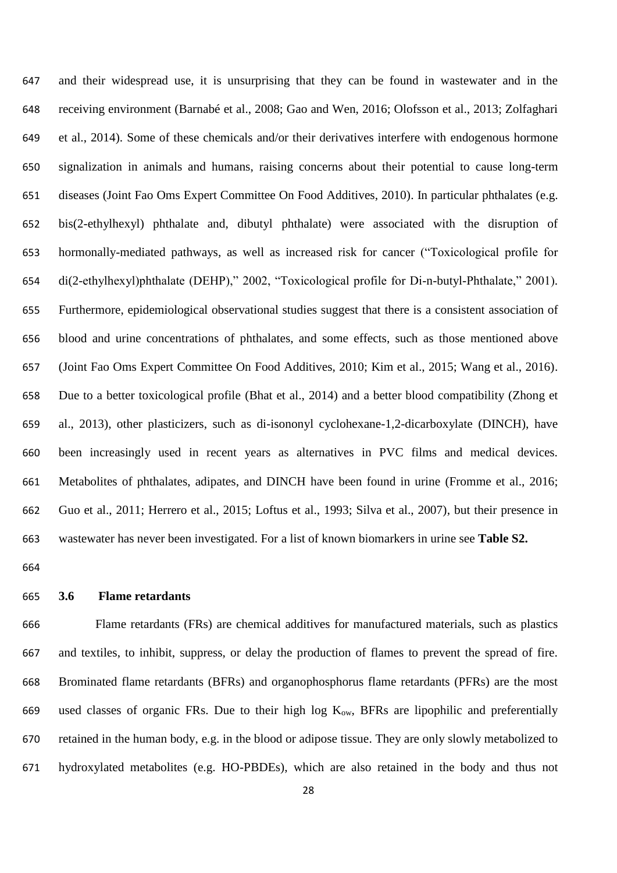and their widespread use, it is unsurprising that they can be found in wastewater and in the receiving environment (Barnabé et al., 2008; Gao and Wen, 2016; Olofsson et al., 2013; Zolfaghari et al., 2014). Some of these chemicals and/or their derivatives interfere with endogenous hormone signalization in animals and humans, raising concerns about their potential to cause long-term diseases (Joint Fao Oms Expert Committee On Food Additives, 2010). In particular phthalates (e.g. bis(2-ethylhexyl) phthalate and, dibutyl phthalate) were associated with the disruption of hormonally-mediated pathways, as well as increased risk for cancer ("Toxicological profile for di(2-ethylhexyl)phthalate (DEHP)," 2002, "Toxicological profile for Di-n-butyl-Phthalate," 2001). Furthermore, epidemiological observational studies suggest that there is a consistent association of blood and urine concentrations of phthalates, and some effects, such as those mentioned above (Joint Fao Oms Expert Committee On Food Additives, 2010; Kim et al., 2015; Wang et al., 2016). Due to a better toxicological profile (Bhat et al., 2014) and a better blood compatibility (Zhong et al., 2013), other plasticizers, such as di-isononyl cyclohexane-1,2-dicarboxylate (DINCH), have been increasingly used in recent years as alternatives in PVC films and medical devices. Metabolites of phthalates, adipates, and DINCH have been found in urine (Fromme et al., 2016; Guo et al., 2011; Herrero et al., 2015; Loftus et al., 1993; Silva et al., 2007), but their presence in wastewater has never been investigated. For a list of known biomarkers in urine see **Table S2.**

#### **3.6 Flame retardants**

 Flame retardants (FRs) are chemical additives for manufactured materials, such as plastics and textiles, to inhibit, suppress, or delay the production of flames to prevent the spread of fire. Brominated flame retardants (BFRs) and organophosphorus flame retardants (PFRs) are the most 669 used classes of organic FRs. Due to their high log  $K_{ow}$ , BFRs are lipophilic and preferentially retained in the human body, e.g. in the blood or adipose tissue. They are only slowly metabolized to hydroxylated metabolites (e.g. HO-PBDEs), which are also retained in the body and thus not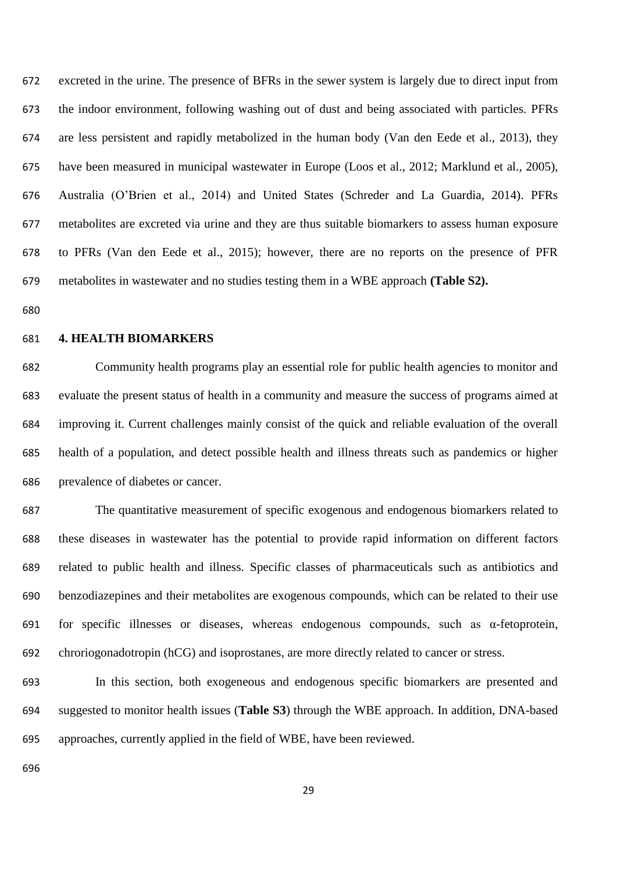excreted in the urine. The presence of BFRs in the sewer system is largely due to direct input from the indoor environment, following washing out of dust and being associated with particles. PFRs are less persistent and rapidly metabolized in the human body (Van den Eede et al., 2013), they have been measured in municipal wastewater in Europe (Loos et al., 2012; Marklund et al., 2005), Australia (O'Brien et al., 2014) and United States (Schreder and La Guardia, 2014). PFRs metabolites are excreted via urine and they are thus suitable biomarkers to assess human exposure to PFRs (Van den Eede et al., 2015); however, there are no reports on the presence of PFR metabolites in wastewater and no studies testing them in a WBE approach **(Table S2).**

#### **4. HEALTH BIOMARKERS**

 Community health programs play an essential role for public health agencies to monitor and evaluate the present status of health in a community and measure the success of programs aimed at improving it. Current challenges mainly consist of the quick and reliable evaluation of the overall health of a population, and detect possible health and illness threats such as pandemics or higher prevalence of diabetes or cancer.

 The quantitative measurement of specific exogenous and endogenous biomarkers related to these diseases in wastewater has the potential to provide rapid information on different factors related to public health and illness. Specific classes of pharmaceuticals such as antibiotics and benzodiazepines and their metabolites are exogenous compounds, which can be related to their use 691 for specific illnesses or diseases, whereas endogenous compounds, such as  $\alpha$ -fetoprotein, chroriogonadotropin (hCG) and isoprostanes, are more directly related to cancer or stress.

 In this section, both exogeneous and endogenous specific biomarkers are presented and suggested to monitor health issues (**Table S3**) through the WBE approach. In addition, DNA-based approaches, currently applied in the field of WBE, have been reviewed.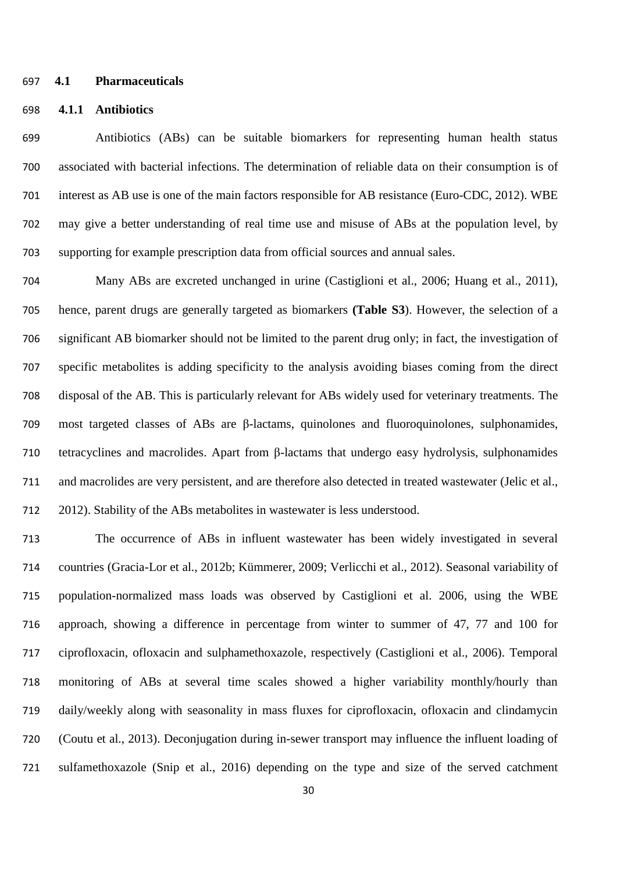#### **4.1 Pharmaceuticals**

#### **4.1.1 Antibiotics**

 Antibiotics (ABs) can be suitable biomarkers for representing human health status associated with bacterial infections. The determination of reliable data on their consumption is of interest as AB use is one of the main factors responsible for AB resistance (Euro-CDC, 2012). WBE may give a better understanding of real time use and misuse of ABs at the population level, by supporting for example prescription data from official sources and annual sales.

 Many ABs are excreted unchanged in urine (Castiglioni et al., 2006; Huang et al., 2011), hence, parent drugs are generally targeted as biomarkers **(Table S3**). However, the selection of a significant AB biomarker should not be limited to the parent drug only; in fact, the investigation of specific metabolites is adding specificity to the analysis avoiding biases coming from the direct disposal of the AB. This is particularly relevant for ABs widely used for veterinary treatments. The most targeted classes of ABs are β-lactams, quinolones and fluoroquinolones, sulphonamides, tetracyclines and macrolides. Apart from β-lactams that undergo easy hydrolysis, sulphonamides and macrolides are very persistent, and are therefore also detected in treated wastewater (Jelic et al., 2012). Stability of the ABs metabolites in wastewater is less understood.

 The occurrence of ABs in influent wastewater has been widely investigated in several countries (Gracia-Lor et al., 2012b; Kümmerer, 2009; Verlicchi et al., 2012). Seasonal variability of population-normalized mass loads was observed by Castiglioni et al. 2006, using the WBE approach, showing a difference in percentage from winter to summer of 47, 77 and 100 for ciprofloxacin, ofloxacin and sulphamethoxazole, respectively (Castiglioni et al., 2006). Temporal monitoring of ABs at several time scales showed a higher variability monthly/hourly than daily/weekly along with seasonality in mass fluxes for ciprofloxacin, ofloxacin and clindamycin (Coutu et al., 2013). Deconjugation during in-sewer transport may influence the influent loading of sulfamethoxazole (Snip et al., 2016) depending on the type and size of the served catchment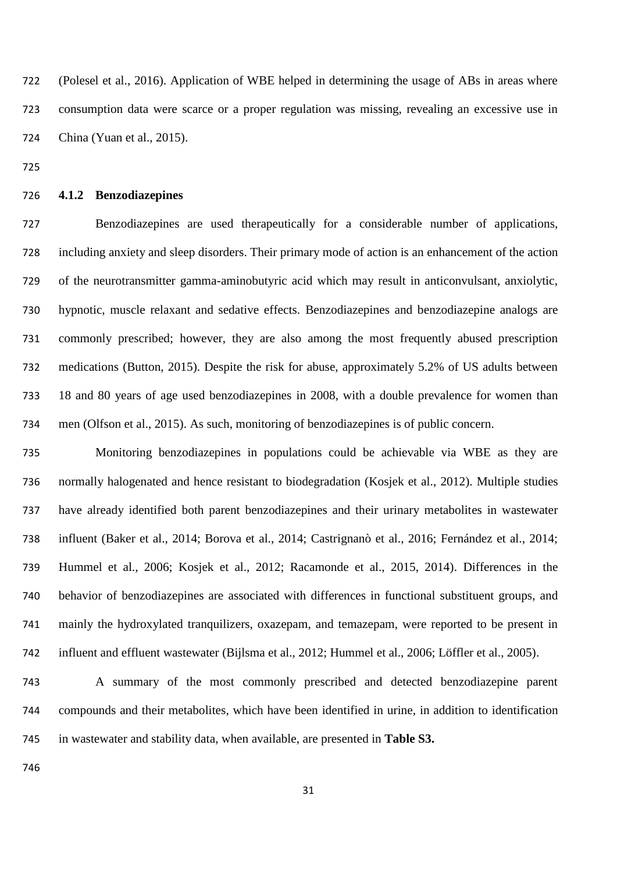(Polesel et al., 2016). Application of WBE helped in determining the usage of ABs in areas where consumption data were scarce or a proper regulation was missing, revealing an excessive use in China (Yuan et al., 2015).

#### **4.1.2 Benzodiazepines**

 Benzodiazepines are used therapeutically for a considerable number of applications, including anxiety and sleep disorders. Their primary mode of action is an enhancement of the action of the neurotransmitter gamma-aminobutyric acid which may result in anticonvulsant, anxiolytic, hypnotic, muscle relaxant and sedative effects. Benzodiazepines and benzodiazepine analogs are commonly prescribed; however, they are also among the most frequently abused prescription medications (Button, 2015). Despite the risk for abuse, approximately 5.2% of US adults between 18 and 80 years of age used benzodiazepines in 2008, with a double prevalence for women than men (Olfson et al., 2015). As such, monitoring of benzodiazepines is of public concern.

 Monitoring benzodiazepines in populations could be achievable via WBE as they are normally halogenated and hence resistant to biodegradation (Kosjek et al., 2012). Multiple studies have already identified both parent benzodiazepines and their urinary metabolites in wastewater influent (Baker et al., 2014; Borova et al., 2014; Castrignanò et al., 2016; Fernández et al., 2014; Hummel et al., 2006; Kosjek et al., 2012; Racamonde et al., 2015, 2014). Differences in the behavior of benzodiazepines are associated with differences in functional substituent groups, and mainly the hydroxylated tranquilizers, oxazepam, and temazepam, were reported to be present in influent and effluent wastewater (Bijlsma et al., 2012; Hummel et al., 2006; Löffler et al., 2005).

 A summary of the most commonly prescribed and detected benzodiazepine parent compounds and their metabolites, which have been identified in urine, in addition to identification in wastewater and stability data, when available, are presented in **Table S3.**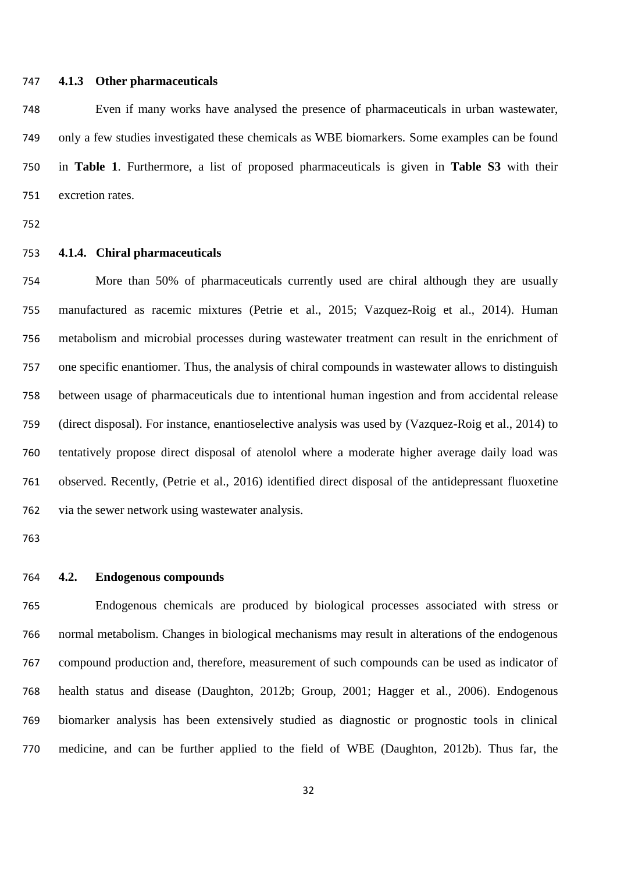#### **4.1.3 Other pharmaceuticals**

 Even if many works have analysed the presence of pharmaceuticals in urban wastewater, only a few studies investigated these chemicals as WBE biomarkers. Some examples can be found in **Table 1**. Furthermore, a list of proposed pharmaceuticals is given in **Table S3** with their excretion rates.

#### **4.1.4. Chiral pharmaceuticals**

 More than 50% of pharmaceuticals currently used are chiral although they are usually manufactured as racemic mixtures (Petrie et al., 2015; Vazquez-Roig et al., 2014). Human metabolism and microbial processes during wastewater treatment can result in the enrichment of one specific enantiomer. Thus, the analysis of chiral compounds in wastewater allows to distinguish between usage of pharmaceuticals due to intentional human ingestion and from accidental release (direct disposal). For instance, enantioselective analysis was used by (Vazquez-Roig et al., 2014) to tentatively propose direct disposal of atenolol where a moderate higher average daily load was observed. Recently, (Petrie et al., 2016) identified direct disposal of the antidepressant fluoxetine via the sewer network using wastewater analysis.

#### **4.2. Endogenous compounds**

 Endogenous chemicals are produced by biological processes associated with stress or normal metabolism. Changes in biological mechanisms may result in alterations of the endogenous compound production and, therefore, measurement of such compounds can be used as indicator of health status and disease (Daughton, 2012b; Group, 2001; Hagger et al., 2006). Endogenous biomarker analysis has been extensively studied as diagnostic or prognostic tools in clinical medicine, and can be further applied to the field of WBE (Daughton, 2012b). Thus far, the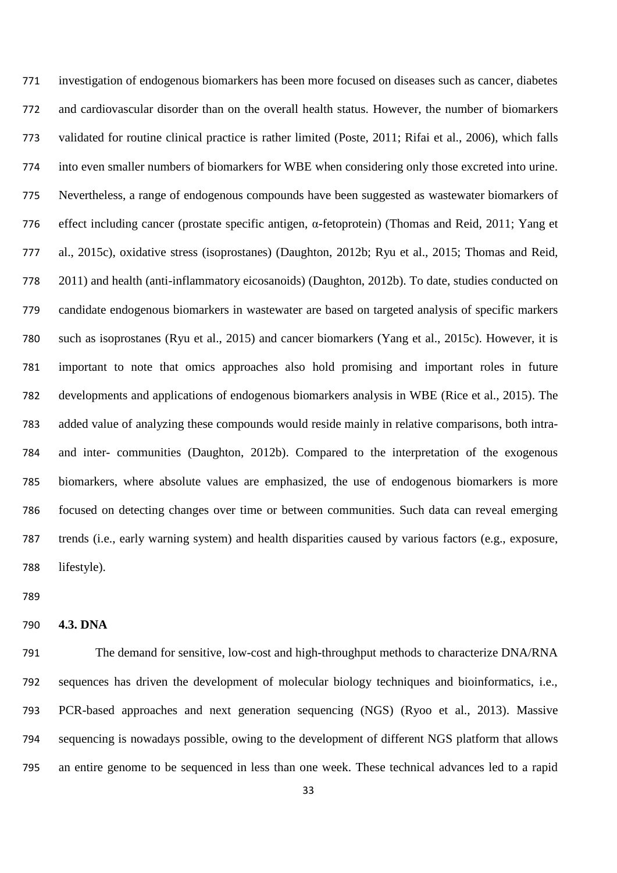investigation of endogenous biomarkers has been more focused on diseases such as cancer, diabetes and cardiovascular disorder than on the overall health status. However, the number of biomarkers validated for routine clinical practice is rather limited (Poste, 2011; Rifai et al., 2006), which falls into even smaller numbers of biomarkers for WBE when considering only those excreted into urine. Nevertheless, a range of endogenous compounds have been suggested as wastewater biomarkers of effect including cancer (prostate specific antigen, α-fetoprotein) (Thomas and Reid, 2011; Yang et al., 2015c), oxidative stress (isoprostanes) (Daughton, 2012b; Ryu et al., 2015; Thomas and Reid, 2011) and health (anti-inflammatory eicosanoids) (Daughton, 2012b). To date, studies conducted on candidate endogenous biomarkers in wastewater are based on targeted analysis of specific markers such as isoprostanes (Ryu et al., 2015) and cancer biomarkers (Yang et al., 2015c). However, it is important to note that omics approaches also hold promising and important roles in future developments and applications of endogenous biomarkers analysis in WBE (Rice et al., 2015). The added value of analyzing these compounds would reside mainly in relative comparisons, both intra- and inter- communities (Daughton, 2012b). Compared to the interpretation of the exogenous biomarkers, where absolute values are emphasized, the use of endogenous biomarkers is more focused on detecting changes over time or between communities. Such data can reveal emerging trends (i.e., early warning system) and health disparities caused by various factors (e.g., exposure, lifestyle).

#### **4.3. DNA**

 The demand for sensitive, low-cost and high-throughput methods to characterize DNA/RNA sequences has driven the development of molecular biology techniques and bioinformatics, i.e., PCR-based approaches and next generation sequencing (NGS) (Ryoo et al., 2013). Massive sequencing is nowadays possible, owing to the development of different NGS platform that allows an entire genome to be sequenced in less than one week. These technical advances led to a rapid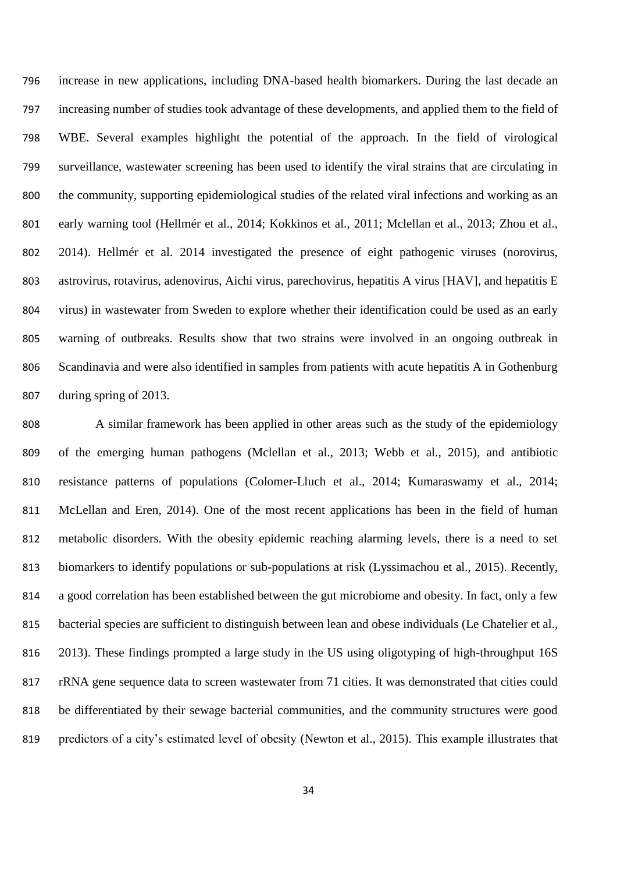increase in new applications, including DNA-based health biomarkers. During the last decade an increasing number of studies took advantage of these developments, and applied them to the field of WBE. Several examples highlight the potential of the approach. In the field of virological surveillance, wastewater screening has been used to identify the viral strains that are circulating in the community, supporting epidemiological studies of the related viral infections and working as an early warning tool (Hellmér et al., 2014; Kokkinos et al., 2011; Mclellan et al., 2013; Zhou et al., 2014). Hellmér et al. 2014 investigated the presence of eight pathogenic viruses (norovirus, astrovirus, rotavirus, adenovirus, Aichi virus, parechovirus, hepatitis A virus [HAV], and hepatitis E virus) in wastewater from Sweden to explore whether their identification could be used as an early warning of outbreaks. Results show that two strains were involved in an ongoing outbreak in Scandinavia and were also identified in samples from patients with acute hepatitis A in Gothenburg during spring of 2013.

 A similar framework has been applied in other areas such as the study of the epidemiology of the emerging human pathogens (Mclellan et al., 2013; Webb et al., 2015), and antibiotic resistance patterns of populations (Colomer-Lluch et al., 2014; Kumaraswamy et al., 2014; McLellan and Eren, 2014). One of the most recent applications has been in the field of human metabolic disorders. With the obesity epidemic reaching alarming levels, there is a need to set biomarkers to identify populations or sub-populations at risk (Lyssimachou et al., 2015). Recently, a good correlation has been established between the gut microbiome and obesity. In fact, only a few bacterial species are sufficient to distinguish between lean and obese individuals (Le Chatelier et al., 2013). These findings prompted a large study in the US using oligotyping of high-throughput 16S rRNA gene sequence data to screen wastewater from 71 cities. It was demonstrated that cities could be differentiated by their sewage bacterial communities, and the community structures were good predictors of a city's estimated level of obesity (Newton et al., 2015). This example illustrates that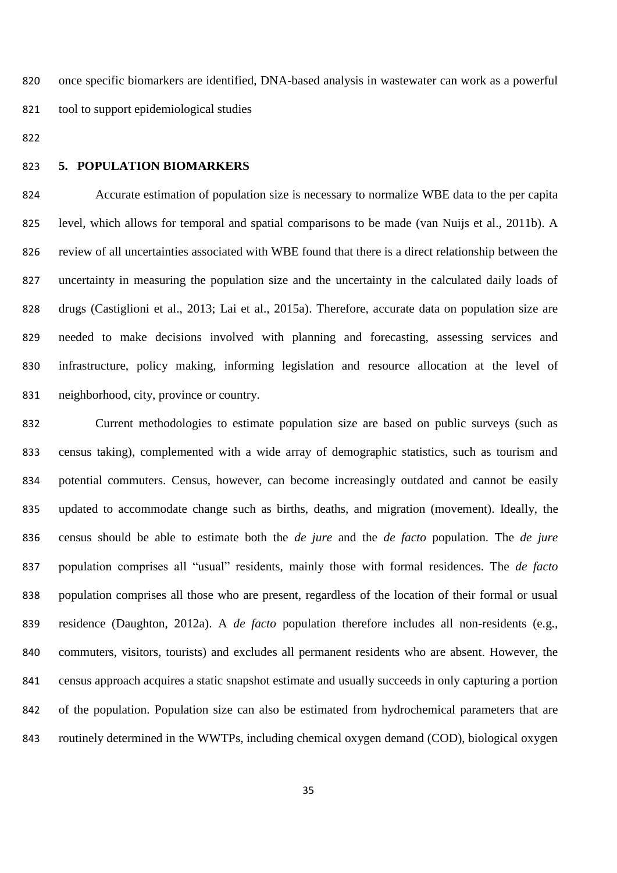once specific biomarkers are identified, DNA-based analysis in wastewater can work as a powerful tool to support epidemiological studies

#### **5. POPULATION BIOMARKERS**

 Accurate estimation of population size is necessary to normalize WBE data to the per capita level, which allows for temporal and spatial comparisons to be made (van Nuijs et al., 2011b). A review of all uncertainties associated with WBE found that there is a direct relationship between the uncertainty in measuring the population size and the uncertainty in the calculated daily loads of drugs (Castiglioni et al., 2013; Lai et al., 2015a). Therefore, accurate data on population size are needed to make decisions involved with planning and forecasting, assessing services and infrastructure, policy making, informing legislation and resource allocation at the level of neighborhood, city, province or country.

 Current methodologies to estimate population size are based on public surveys (such as census taking), complemented with a wide array of demographic statistics, such as tourism and potential commuters. Census, however, can become increasingly outdated and cannot be easily updated to accommodate change such as births, deaths, and migration (movement). Ideally, the census should be able to estimate both the *de jure* and the *de facto* population. The *de jure* population comprises all "usual" residents, mainly those with formal residences. The *de facto* population comprises all those who are present, regardless of the location of their formal or usual residence (Daughton, 2012a). A *de facto* population therefore includes all non-residents (e.g., commuters, visitors, tourists) and excludes all permanent residents who are absent. However, the census approach acquires a static snapshot estimate and usually succeeds in only capturing a portion of the population. Population size can also be estimated from hydrochemical parameters that are routinely determined in the WWTPs, including chemical oxygen demand (COD), biological oxygen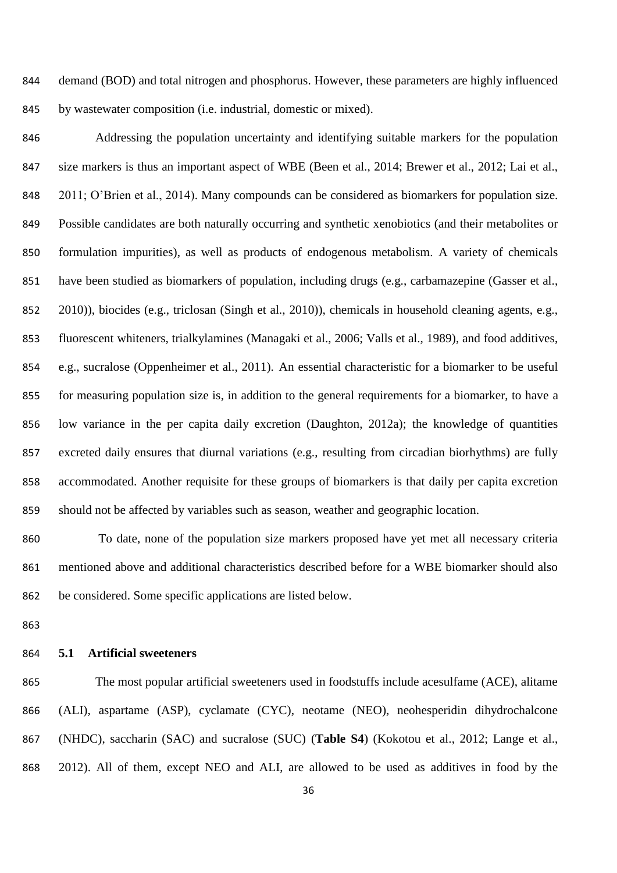demand (BOD) and total nitrogen and phosphorus. However, these parameters are highly influenced by wastewater composition (i.e. industrial, domestic or mixed).

 Addressing the population uncertainty and identifying suitable markers for the population size markers is thus an important aspect of WBE (Been et al., 2014; Brewer et al., 2012; Lai et al., 2011; O'Brien et al., 2014). Many compounds can be considered as biomarkers for population size. Possible candidates are both naturally occurring and synthetic xenobiotics (and their metabolites or formulation impurities), as well as products of endogenous metabolism. A variety of chemicals have been studied as biomarkers of population, including drugs (e.g., carbamazepine (Gasser et al., 2010)), biocides (e.g., triclosan (Singh et al., 2010)), chemicals in household cleaning agents, e.g., fluorescent whiteners, trialkylamines (Managaki et al., 2006; Valls et al., 1989), and food additives, e.g., sucralose (Oppenheimer et al., 2011). An essential characteristic for a biomarker to be useful for measuring population size is, in addition to the general requirements for a biomarker, to have a low variance in the per capita daily excretion (Daughton, 2012a); the knowledge of quantities excreted daily ensures that diurnal variations (e.g., resulting from circadian biorhythms) are fully accommodated. Another requisite for these groups of biomarkers is that daily per capita excretion should not be affected by variables such as season, weather and geographic location.

 To date, none of the population size markers proposed have yet met all necessary criteria mentioned above and additional characteristics described before for a WBE biomarker should also be considered. Some specific applications are listed below.

### **5.1 Artificial sweeteners**

 The most popular artificial sweeteners used in foodstuffs include acesulfame (ACE), alitame (ALI), aspartame (ASP), cyclamate (CYC), neotame (NEO), neohesperidin dihydrochalcone (NHDC), saccharin (SAC) and sucralose (SUC) (**Table S4**) (Kokotou et al., 2012; Lange et al., 2012). All of them, except NEO and ALI, are allowed to be used as additives in food by the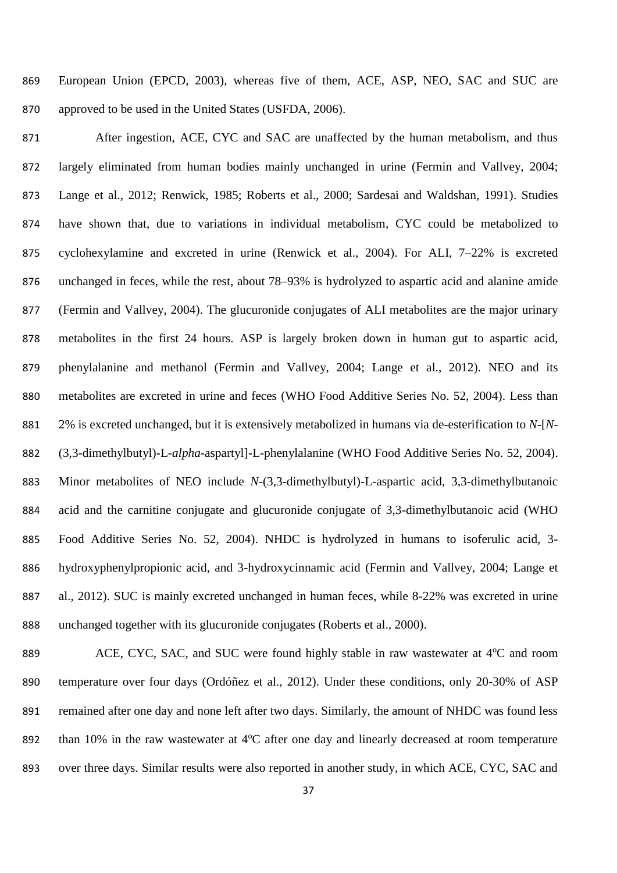European Union (EPCD, 2003), whereas five of them, ACE, ASP, NEO, SAC and SUC are approved to be used in the United States (USFDA, 2006).

871 After ingestion, ACE, CYC and SAC are unaffected by the human metabolism, and thus largely eliminated from human bodies mainly unchanged in urine (Fermin and Vallvey, 2004; Lange et al., 2012; Renwick, 1985; Roberts et al., 2000; Sardesai and Waldshan, 1991). Studies have shown that, due to variations in individual metabolism, CYC could be metabolized to cyclohexylamine and excreted in urine (Renwick et al., 2004). For ALI, 7–22% is excreted unchanged in feces, while the rest, about 78–93% is hydrolyzed to aspartic acid and alanine amide (Fermin and Vallvey, 2004). The glucuronide conjugates of ALI metabolites are the major urinary metabolites in the first 24 hours. ASP is largely broken down in human gut to aspartic acid, phenylalanine and methanol (Fermin and Vallvey, 2004; Lange et al., 2012). NEO and its metabolites are excreted in urine and feces (WHO Food Additive Series No. 52, 2004). Less than 2% is excreted unchanged, but it is extensively metabolized in humans via de-esterification to *N*-[*N*- (3,3-dimethylbutyl)-L-*alpha*-aspartyl]-L-phenylalanine (WHO Food Additive Series No. 52, 2004). Minor metabolites of NEO include *N*-(3,3-dimethylbutyl)-L-aspartic acid, 3,3-dimethylbutanoic acid and the carnitine conjugate and glucuronide conjugate of 3,3-dimethylbutanoic acid (WHO Food Additive Series No. 52, 2004). NHDC is hydrolyzed in humans to isoferulic acid, 3- hydroxyphenylpropionic acid, and 3-hydroxycinnamic acid (Fermin and Vallvey, 2004; Lange et al., 2012). SUC is mainly excreted unchanged in human feces, while 8-22% was excreted in urine unchanged together with its glucuronide conjugates (Roberts et al., 2000).

889 ACE, CYC, SAC, and SUC were found highly stable in raw wastewater at 4°C and room temperature over four days (Ordóñez et al., 2012). Under these conditions, only 20-30% of ASP remained after one day and none left after two days. Similarly, the amount of NHDC was found less 892 than  $10\%$  in the raw wastewater at  $4^{\circ}$ C after one day and linearly decreased at room temperature 893 over three days. Similar results were also reported in another study, in which ACE, CYC, SAC and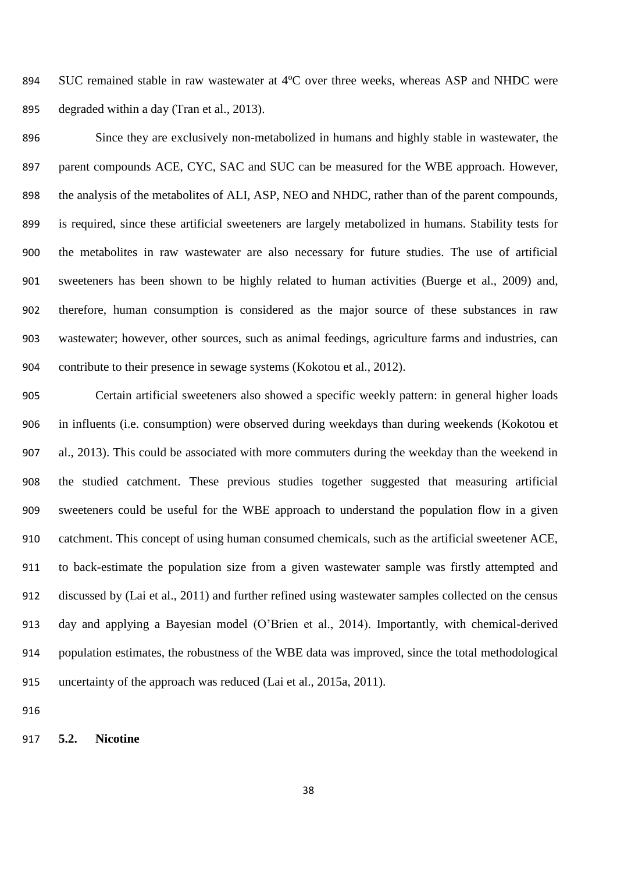894 SUC remained stable in raw wastewater at 4°C over three weeks, whereas ASP and NHDC were degraded within a day (Tran et al., 2013).

 Since they are exclusively non-metabolized in humans and highly stable in wastewater, the 897 parent compounds ACE, CYC, SAC and SUC can be measured for the WBE approach. However, the analysis of the metabolites of ALI, ASP, NEO and NHDC, rather than of the parent compounds, is required, since these artificial sweeteners are largely metabolized in humans. Stability tests for the metabolites in raw wastewater are also necessary for future studies. The use of artificial sweeteners has been shown to be highly related to human activities (Buerge et al., 2009) and, therefore, human consumption is considered as the major source of these substances in raw wastewater; however, other sources, such as animal feedings, agriculture farms and industries, can contribute to their presence in sewage systems (Kokotou et al., 2012).

 Certain artificial sweeteners also showed a specific weekly pattern: in general higher loads in influents (i.e. consumption) were observed during weekdays than during weekends (Kokotou et al., 2013). This could be associated with more commuters during the weekday than the weekend in the studied catchment. These previous studies together suggested that measuring artificial sweeteners could be useful for the WBE approach to understand the population flow in a given catchment. This concept of using human consumed chemicals, such as the artificial sweetener ACE, to back-estimate the population size from a given wastewater sample was firstly attempted and discussed by (Lai et al., 2011) and further refined using wastewater samples collected on the census day and applying a Bayesian model (O'Brien et al., 2014). Importantly, with chemical-derived population estimates, the robustness of the WBE data was improved, since the total methodological uncertainty of the approach was reduced (Lai et al., 2015a, 2011).

**5.2. Nicotine**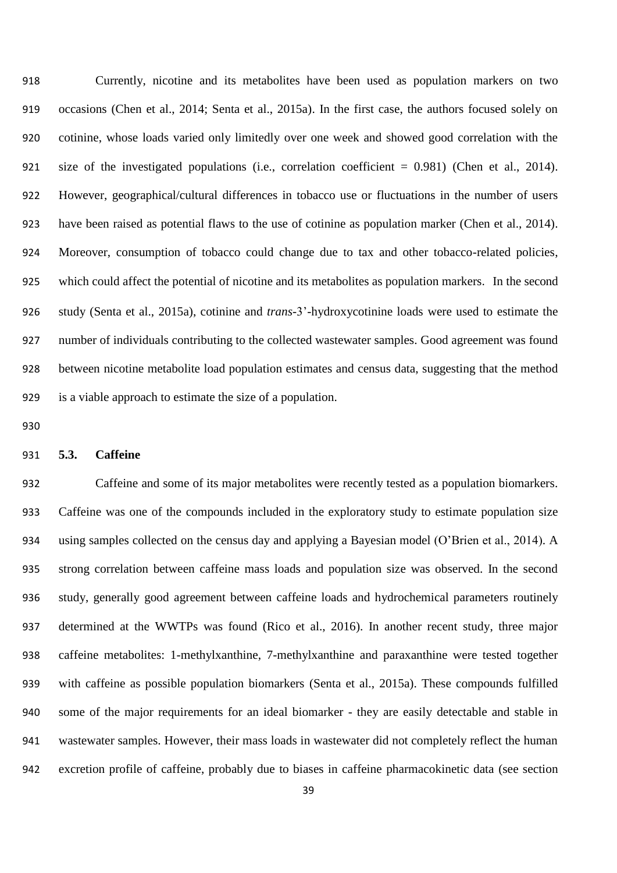Currently, nicotine and its metabolites have been used as population markers on two occasions (Chen et al., 2014; Senta et al., 2015a). In the first case, the authors focused solely on cotinine, whose loads varied only limitedly over one week and showed good correlation with the size of the investigated populations (i.e., correlation coefficient = 0.981) (Chen et al., 2014). However, geographical/cultural differences in tobacco use or fluctuations in the number of users have been raised as potential flaws to the use of cotinine as population marker (Chen et al., 2014). Moreover, consumption of tobacco could change due to tax and other tobacco-related policies, which could affect the potential of nicotine and its metabolites as population markers. In the second study (Senta et al., 2015a), cotinine and *trans-*3'-hydroxycotinine loads were used to estimate the number of individuals contributing to the collected wastewater samples. Good agreement was found between nicotine metabolite load population estimates and census data, suggesting that the method is a viable approach to estimate the size of a population.

#### **5.3. Caffeine**

 Caffeine and some of its major metabolites were recently tested as a population biomarkers. Caffeine was one of the compounds included in the exploratory study to estimate population size using samples collected on the census day and applying a Bayesian model (O'Brien et al., 2014). A strong correlation between caffeine mass loads and population size was observed. In the second study, generally good agreement between caffeine loads and hydrochemical parameters routinely determined at the WWTPs was found (Rico et al., 2016). In another recent study, three major caffeine metabolites: 1-methylxanthine, 7-methylxanthine and paraxanthine were tested together with caffeine as possible population biomarkers (Senta et al., 2015a). These compounds fulfilled some of the major requirements for an ideal biomarker - they are easily detectable and stable in wastewater samples. However, their mass loads in wastewater did not completely reflect the human excretion profile of caffeine, probably due to biases in caffeine pharmacokinetic data (see section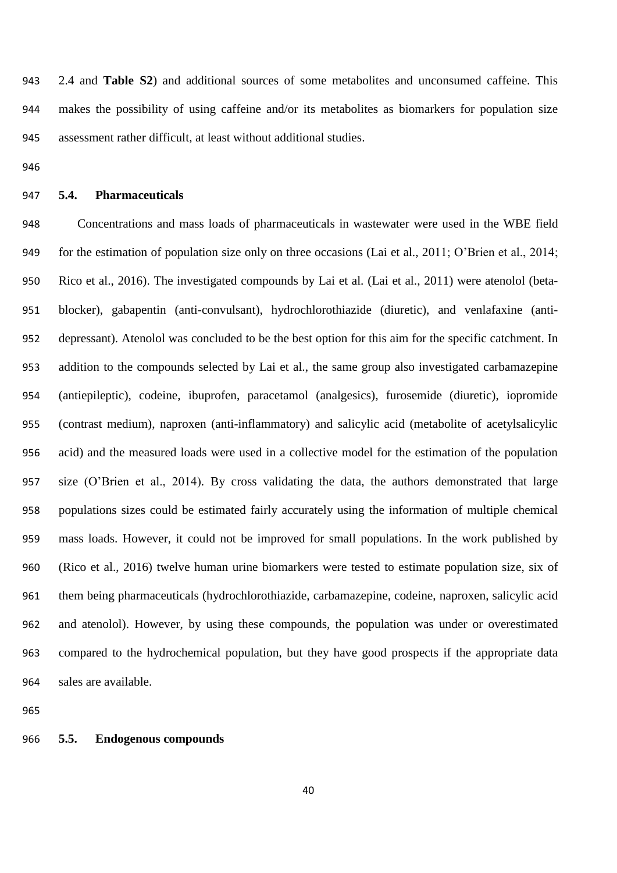2.4 and **Table S2**) and additional sources of some metabolites and unconsumed caffeine. This makes the possibility of using caffeine and/or its metabolites as biomarkers for population size assessment rather difficult, at least without additional studies.

#### **5.4. Pharmaceuticals**

 Concentrations and mass loads of pharmaceuticals in wastewater were used in the WBE field for the estimation of population size only on three occasions (Lai et al., 2011; O'Brien et al., 2014; Rico et al., 2016). The investigated compounds by Lai et al. (Lai et al., 2011) were atenolol (beta- blocker), gabapentin (anti-convulsant), hydrochlorothiazide (diuretic), and venlafaxine (anti- depressant). Atenolol was concluded to be the best option for this aim for the specific catchment. In addition to the compounds selected by Lai et al., the same group also investigated carbamazepine (antiepileptic), codeine, ibuprofen, paracetamol (analgesics), furosemide (diuretic), iopromide (contrast medium), naproxen (anti-inflammatory) and salicylic acid (metabolite of acetylsalicylic acid) and the measured loads were used in a collective model for the estimation of the population size (O'Brien et al., 2014). By cross validating the data, the authors demonstrated that large populations sizes could be estimated fairly accurately using the information of multiple chemical mass loads. However, it could not be improved for small populations. In the work published by (Rico et al., 2016) twelve human urine biomarkers were tested to estimate population size, six of them being pharmaceuticals (hydrochlorothiazide, carbamazepine, codeine, naproxen, salicylic acid and atenolol). However, by using these compounds, the population was under or overestimated compared to the hydrochemical population, but they have good prospects if the appropriate data sales are available.

#### **5.5. Endogenous compounds**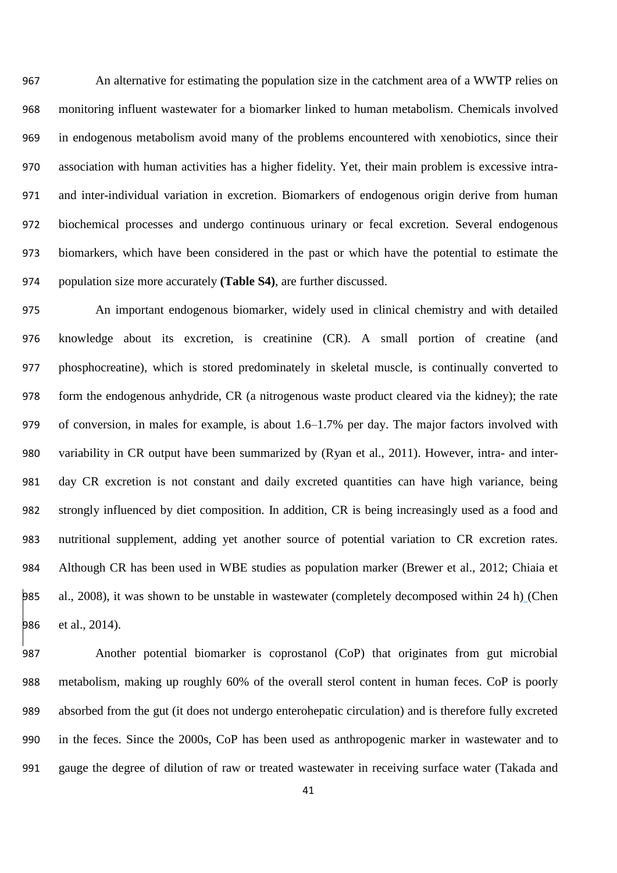An alternative for estimating the population size in the catchment area of a WWTP relies on monitoring influent wastewater for a biomarker linked to human metabolism. Chemicals involved in endogenous metabolism avoid many of the problems encountered with xenobiotics, since their association with human activities has a higher fidelity. Yet, their main problem is excessive intra- and inter-individual variation in excretion. Biomarkers of endogenous origin derive from human biochemical processes and undergo continuous urinary or fecal excretion. Several endogenous biomarkers, which have been considered in the past or which have the potential to estimate the population size more accurately **(Table S4)**, are further discussed.

 An important endogenous biomarker, widely used in clinical chemistry and with detailed knowledge about its excretion, is creatinine (CR). A small portion of creatine (and phosphocreatine), which is stored predominately in skeletal muscle, is continually converted to form the endogenous anhydride, CR (a nitrogenous waste product cleared via the kidney); the rate of conversion, in males for example, is about 1.6–1.7% per day. The major factors involved with variability in CR output have been summarized by (Ryan et al., 2011). However, intra- and inter- day CR excretion is not constant and daily excreted quantities can have high variance, being strongly influenced by diet composition. In addition, CR is being increasingly used as a food and nutritional supplement, adding yet another source of potential variation to CR excretion rates. Although CR has been used in WBE studies as population marker (Brewer et al., 2012; Chiaia et al., 2008), it was shown to be unstable in wastewater (completely decomposed within 24 h) (Chen 986 et al., 2014).

 Another potential biomarker is coprostanol (CoP) that originates from gut microbial metabolism, making up roughly 60% of the overall sterol content in human feces. CoP is poorly absorbed from the gut (it does not undergo enterohepatic circulation) and is therefore fully excreted in the feces. Since the 2000s, CoP has been used as anthropogenic marker in wastewater and to gauge the degree of dilution of raw or treated wastewater in receiving surface water (Takada and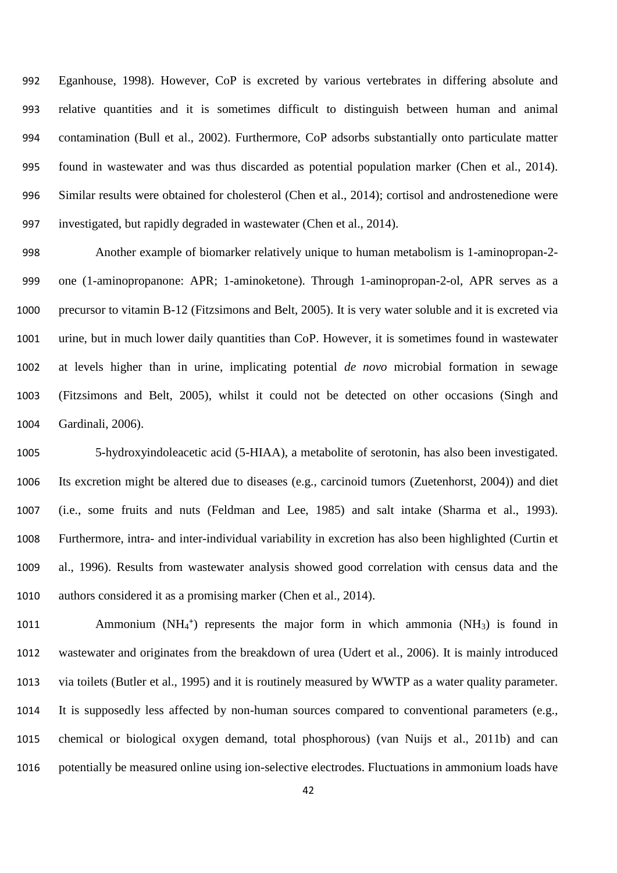Eganhouse, 1998). However, CoP is excreted by various vertebrates in differing absolute and relative quantities and it is sometimes difficult to distinguish between human and animal contamination (Bull et al., 2002). Furthermore, CoP adsorbs substantially onto particulate matter found in wastewater and was thus discarded as potential population marker (Chen et al., 2014). Similar results were obtained for cholesterol (Chen et al., 2014); cortisol and androstenedione were investigated, but rapidly degraded in wastewater (Chen et al., 2014).

 Another example of biomarker relatively unique to human metabolism is 1-aminopropan-2- one (1-aminopropanone: APR; 1-aminoketone). Through 1-aminopropan-2-ol, APR serves as a precursor to vitamin B-12 (Fitzsimons and Belt, 2005). It is very water soluble and it is excreted via urine, but in much lower daily quantities than CoP. However, it is sometimes found in wastewater at levels higher than in urine, implicating potential *de novo* microbial formation in sewage (Fitzsimons and Belt, 2005), whilst it could not be detected on other occasions (Singh and Gardinali, 2006).

 5-hydroxyindoleacetic acid (5-HIAA), a metabolite of serotonin, has also been investigated. Its excretion might be altered due to diseases (e.g., carcinoid tumors (Zuetenhorst, 2004)) and diet (i.e., some fruits and nuts (Feldman and Lee, 1985) and salt intake (Sharma et al., 1993). Furthermore, intra- and inter-individual variability in excretion has also been highlighted (Curtin et al., 1996). Results from wastewater analysis showed good correlation with census data and the authors considered it as a promising marker (Chen et al., 2014).

1011 • Ammonium (NH<sub>4</sub><sup>+</sup>) represents the major form in which ammonia (NH<sub>3</sub>) is found in wastewater and originates from the breakdown of urea (Udert et al., 2006). It is mainly introduced via toilets (Butler et al., 1995) and it is routinely measured by WWTP as a water quality parameter. It is supposedly less affected by non-human sources compared to conventional parameters (e.g., chemical or biological oxygen demand, total phosphorous) (van Nuijs et al., 2011b) and can potentially be measured online using ion-selective electrodes. Fluctuations in ammonium loads have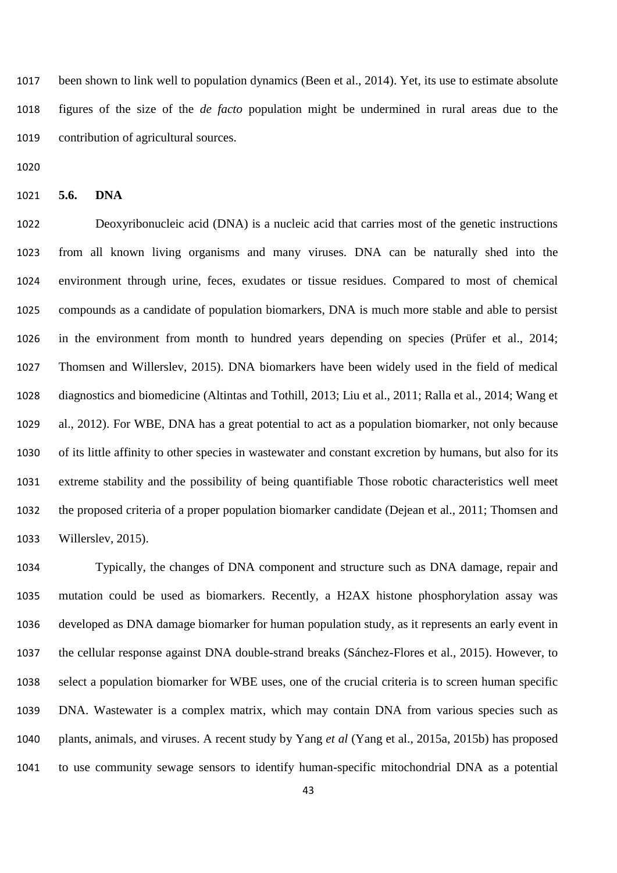been shown to link well to population dynamics (Been et al., 2014). Yet, its use to estimate absolute figures of the size of the *de facto* population might be undermined in rural areas due to the contribution of agricultural sources.

**5.6. DNA**

 Deoxyribonucleic acid (DNA) is a nucleic acid that carries most of the genetic instructions from all known living organisms and many viruses. DNA can be naturally shed into the environment through urine, feces, exudates or tissue residues. Compared to most of chemical compounds as a candidate of population biomarkers, DNA is much more stable and able to persist in the environment from month to hundred years depending on species (Prüfer et al., 2014; Thomsen and Willerslev, 2015). DNA biomarkers have been widely used in the field of medical diagnostics and biomedicine (Altintas and Tothill, 2013; Liu et al., 2011; Ralla et al., 2014; Wang et al., 2012). For WBE, DNA has a great potential to act as a population biomarker, not only because of its little affinity to other species in wastewater and constant excretion by humans, but also for its extreme stability and the possibility of being quantifiable Those robotic characteristics well meet the proposed criteria of a proper population biomarker candidate (Dejean et al., 2011; Thomsen and Willerslev, 2015).

 Typically, the changes of DNA component and structure such as DNA damage, repair and mutation could be used as biomarkers. Recently, a H2AX histone phosphorylation assay was developed as DNA damage biomarker for human population study, as it represents an early event in the cellular response against DNA double-strand breaks (Sánchez-Flores et al., 2015). However, to select a population biomarker for WBE uses, one of the crucial criteria is to screen human specific DNA. Wastewater is a complex matrix, which may contain DNA from various species such as plants, animals, and viruses. A recent study by Yang *et al* (Yang et al., 2015a, 2015b) has proposed to use community sewage sensors to identify human-specific mitochondrial DNA as a potential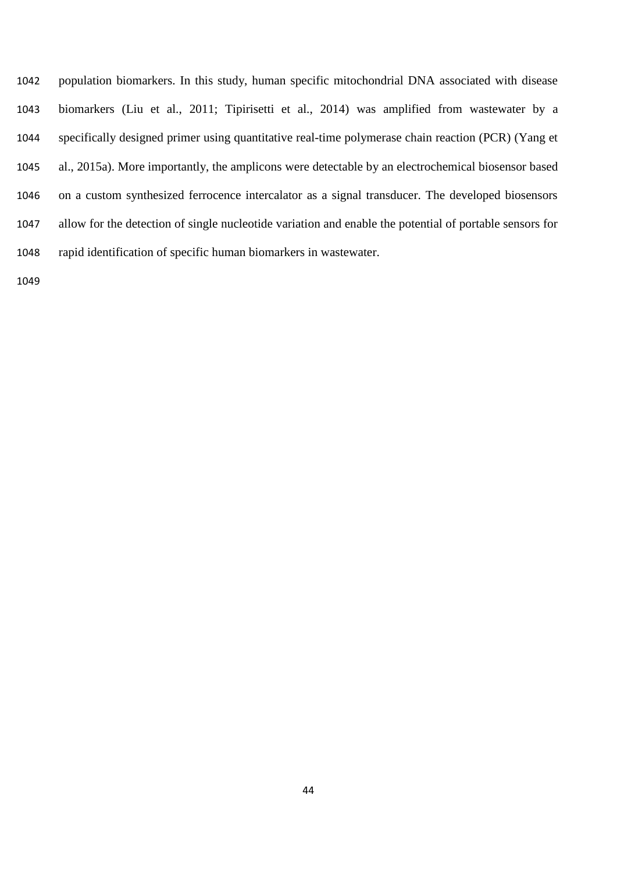population biomarkers. In this study, human specific mitochondrial DNA associated with disease biomarkers (Liu et al., 2011; Tipirisetti et al., 2014) was amplified from wastewater by a specifically designed primer using quantitative real-time polymerase chain reaction (PCR) (Yang et al., 2015a). More importantly, the amplicons were detectable by an electrochemical biosensor based on a custom synthesized ferrocence intercalator as a signal transducer. The developed biosensors allow for the detection of single nucleotide variation and enable the potential of portable sensors for rapid identification of specific human biomarkers in wastewater.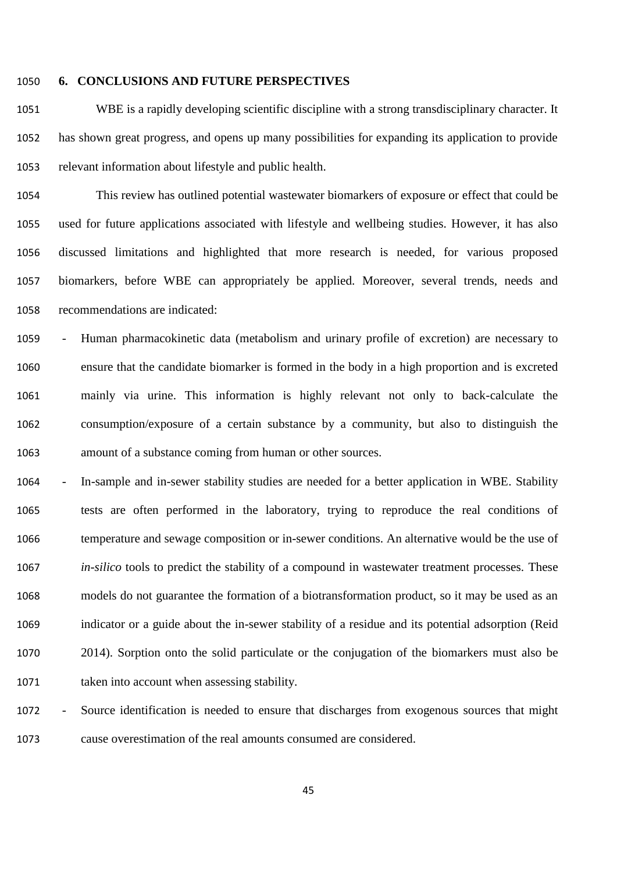#### **6. CONCLUSIONS AND FUTURE PERSPECTIVES**

 WBE is a rapidly developing scientific discipline with a strong transdisciplinary character. It has shown great progress, and opens up many possibilities for expanding its application to provide relevant information about lifestyle and public health.

 This review has outlined potential wastewater biomarkers of exposure or effect that could be used for future applications associated with lifestyle and wellbeing studies. However, it has also discussed limitations and highlighted that more research is needed, for various proposed biomarkers, before WBE can appropriately be applied. Moreover, several trends, needs and recommendations are indicated:

 - Human pharmacokinetic data (metabolism and urinary profile of excretion) are necessary to ensure that the candidate biomarker is formed in the body in a high proportion and is excreted mainly via urine. This information is highly relevant not only to back-calculate the consumption/exposure of a certain substance by a community, but also to distinguish the amount of a substance coming from human or other sources.

 - In-sample and in-sewer stability studies are needed for a better application in WBE. Stability tests are often performed in the laboratory, trying to reproduce the real conditions of temperature and sewage composition or in-sewer conditions. An alternative would be the use of *in-silico* tools to predict the stability of a compound in wastewater treatment processes. These models do not guarantee the formation of a biotransformation product, so it may be used as an indicator or a guide about the in-sewer stability of a residue and its potential adsorption (Reid 2014). Sorption onto the solid particulate or the conjugation of the biomarkers must also be 1071 taken into account when assessing stability.

 - Source identification is needed to ensure that discharges from exogenous sources that might cause overestimation of the real amounts consumed are considered.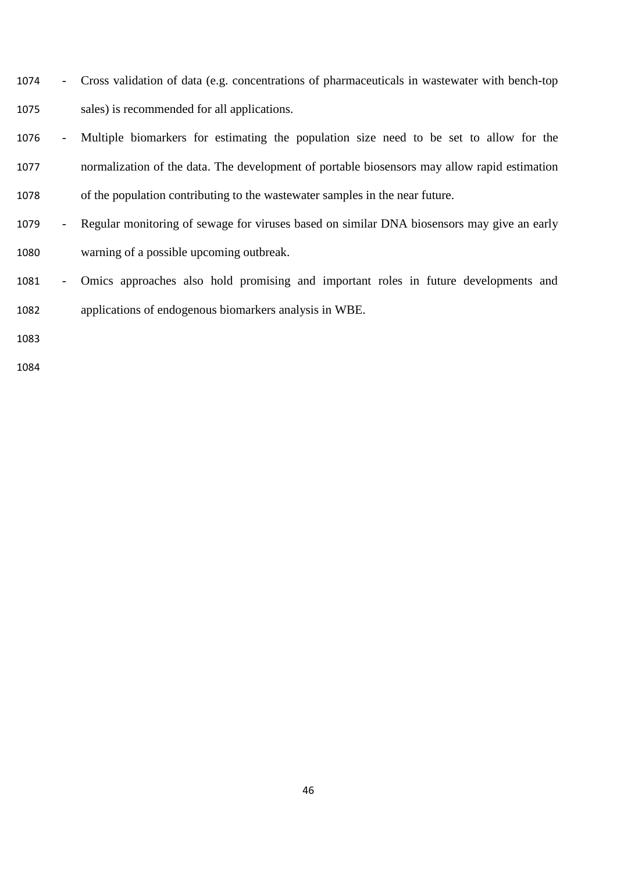- Cross validation of data (e.g. concentrations of pharmaceuticals in wastewater with bench-top sales) is recommended for all applications.
- Multiple biomarkers for estimating the population size need to be set to allow for the normalization of the data. The development of portable biosensors may allow rapid estimation of the population contributing to the wastewater samples in the near future.
- Regular monitoring of sewage for viruses based on similar DNA biosensors may give an early warning of a possible upcoming outbreak.
- Omics approaches also hold promising and important roles in future developments and applications of endogenous biomarkers analysis in WBE.
-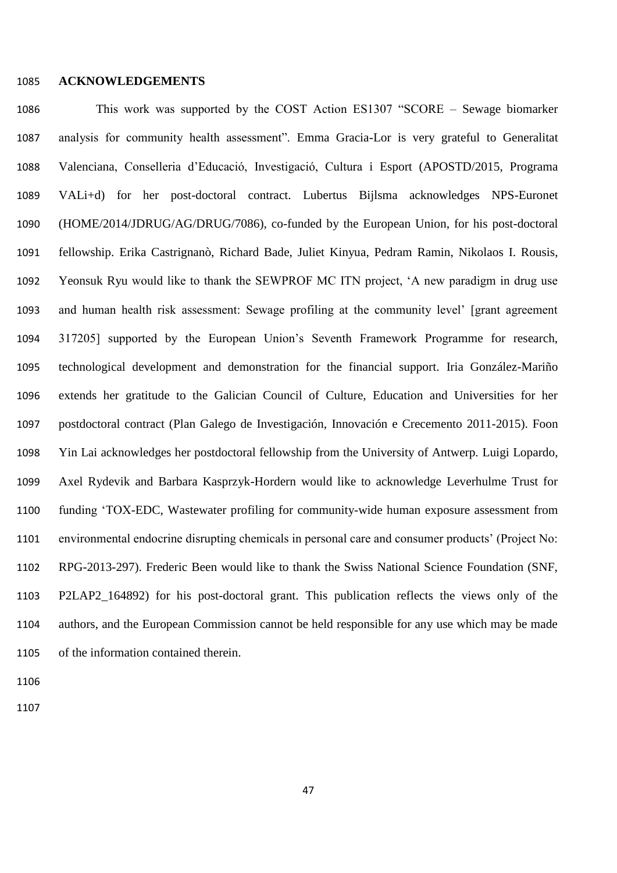#### **ACKNOWLEDGEMENTS**

 This work was supported by the COST Action ES1307 "SCORE – Sewage biomarker analysis for community health assessment". Emma Gracia-Lor is very grateful to Generalitat Valenciana, Conselleria d'Educació, Investigació, Cultura i Esport (APOSTD/2015, Programa VALi+d) for her post-doctoral contract. Lubertus Bijlsma acknowledges NPS-Euronet (HOME/2014/JDRUG/AG/DRUG/7086), co-funded by the European Union, for his post-doctoral fellowship. Erika Castrignanò, Richard Bade, Juliet Kinyua, Pedram Ramin, Nikolaos I. Rousis, Yeonsuk Ryu would like to thank the SEWPROF MC ITN project, 'A new paradigm in drug use and human health risk assessment: Sewage profiling at the community level' [grant agreement 317205] supported by the European Union's Seventh Framework Programme for research, technological development and demonstration for the financial support. Iria González-Mariño extends her gratitude to the Galician Council of Culture, Education and Universities for her postdoctoral contract (Plan Galego de Investigación, Innovación e Crecemento 2011-2015). Foon Yin Lai acknowledges her postdoctoral fellowship from the University of Antwerp. Luigi Lopardo, Axel Rydevik and Barbara Kasprzyk-Hordern would like to acknowledge Leverhulme Trust for funding 'TOX-EDC, Wastewater profiling for community-wide human exposure assessment from environmental endocrine disrupting chemicals in personal care and consumer products' (Project No: RPG-2013-297). Frederic Been would like to thank the Swiss National Science Foundation (SNF, P2LAP2\_164892) for his post-doctoral grant. This publication reflects the views only of the authors, and the European Commission cannot be held responsible for any use which may be made of the information contained therein.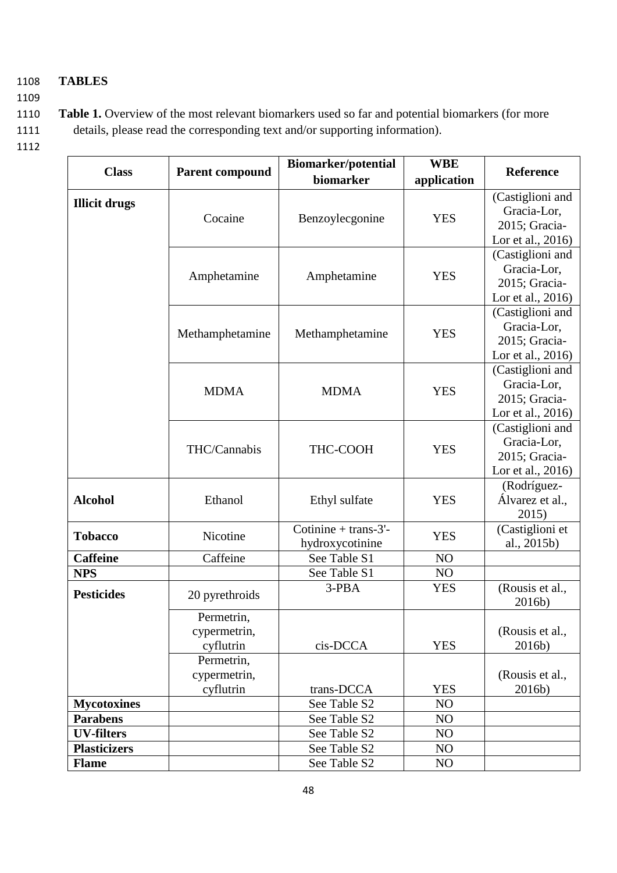# 1108 **TABLES**

1109

1110 **Table 1.** Overview of the most relevant biomarkers used so far and potential biomarkers (for more 1111 details, please read the corresponding text and/or supporting information).

| <b>Class</b>         | <b>Parent compound</b> | <b>Biomarker/potential</b><br>biomarker | <b>WBE</b><br>application | <b>Reference</b>  |
|----------------------|------------------------|-----------------------------------------|---------------------------|-------------------|
|                      |                        |                                         |                           | (Castiglioni and  |
| <b>Illicit drugs</b> |                        |                                         |                           | Gracia-Lor,       |
|                      | Cocaine                | Benzoylecgonine                         | <b>YES</b>                | 2015; Gracia-     |
|                      |                        |                                         |                           | Lor et al., 2016) |
|                      |                        |                                         |                           | (Castiglioni and  |
|                      |                        |                                         |                           | Gracia-Lor,       |
|                      | Amphetamine            | Amphetamine                             | <b>YES</b>                | 2015; Gracia-     |
|                      |                        |                                         |                           | Lor et al., 2016) |
|                      |                        |                                         |                           | (Castiglioni and  |
|                      |                        |                                         |                           | Gracia-Lor,       |
|                      | Methamphetamine        | Methamphetamine                         | <b>YES</b>                | 2015; Gracia-     |
|                      |                        |                                         |                           | Lor et al., 2016) |
|                      |                        |                                         |                           | (Castiglioni and  |
|                      |                        |                                         |                           | Gracia-Lor,       |
|                      | <b>MDMA</b>            | <b>MDMA</b>                             | <b>YES</b>                | 2015; Gracia-     |
|                      |                        |                                         |                           | Lor et al., 2016) |
|                      |                        |                                         |                           | (Castiglioni and  |
|                      |                        |                                         |                           | Gracia-Lor,       |
|                      | THC/Cannabis           | THC-COOH                                | <b>YES</b>                | 2015; Gracia-     |
|                      |                        |                                         |                           | Lor et al., 2016) |
|                      | Ethanol                | Ethyl sulfate                           | <b>YES</b>                | (Rodríguez-       |
| <b>Alcohol</b>       |                        |                                         |                           | Álvarez et al.,   |
|                      |                        |                                         |                           | 2015)             |
| <b>Tobacco</b>       | Nicotine               | Cotinine + trans- $3'$ -                | <b>YES</b>                | (Castiglioni et   |
|                      |                        | hydroxycotinine                         |                           | al., 2015b)       |
| <b>Caffeine</b>      | Caffeine               | See Table S1                            | NO                        |                   |
| <b>NPS</b>           |                        | See Table S1                            | NO                        |                   |
| <b>Pesticides</b>    | 20 pyrethroids         | 3-PBA                                   | <b>YES</b>                | (Rousis et al.,   |
|                      |                        |                                         |                           | 2016b)            |
|                      | Permetrin,             |                                         |                           |                   |
|                      | cypermetrin,           |                                         |                           | (Rousis et al.,   |
|                      | cyflutrin              | cis-DCCA                                | <b>YES</b>                | 2016b)            |
|                      | Permetrin,             |                                         |                           |                   |
|                      | cypermetrin,           |                                         |                           | (Rousis et al.,   |
|                      | cyflutrin              | trans-DCCA                              | <b>YES</b>                | 2016b)            |
| <b>Mycotoxines</b>   |                        | See Table S2                            | NO                        |                   |
| <b>Parabens</b>      |                        | See Table S2                            | NO                        |                   |
| <b>UV-filters</b>    |                        | See Table S2                            | N <sub>O</sub>            |                   |
| <b>Plasticizers</b>  |                        | See Table S2                            | N <sub>O</sub>            |                   |
| <b>Flame</b>         |                        | See Table S2                            | NO                        |                   |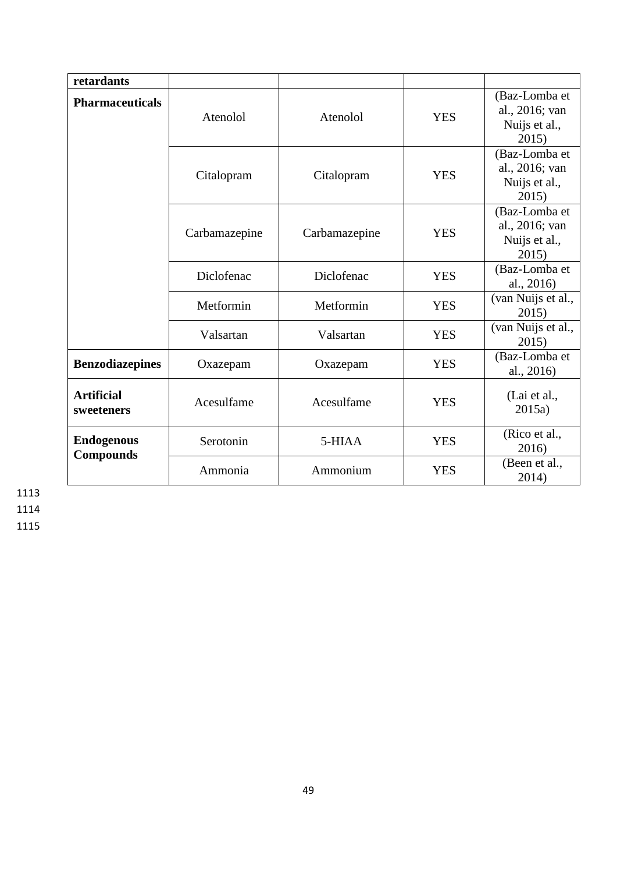| retardants                            |               |               |            |                                                           |
|---------------------------------------|---------------|---------------|------------|-----------------------------------------------------------|
| <b>Pharmaceuticals</b>                | Atenolol      | Atenolol      | <b>YES</b> | (Baz-Lomba et<br>al., 2016; van<br>Nuijs et al.,<br>2015) |
|                                       | Citalopram    | Citalopram    | <b>YES</b> | (Baz-Lomba et<br>al., 2016; van<br>Nuijs et al.,<br>2015) |
|                                       | Carbamazepine | Carbamazepine | <b>YES</b> | (Baz-Lomba et<br>al., 2016; van<br>Nuijs et al.,<br>2015) |
|                                       | Diclofenac    | Diclofenac    | <b>YES</b> | (Baz-Lomba et<br>al., 2016)                               |
|                                       | Metformin     | Metformin     | <b>YES</b> | (van Nuijs et al.,<br>2015)                               |
|                                       | Valsartan     | Valsartan     | <b>YES</b> | (van Nuijs et al.,<br>2015)                               |
| <b>Benzodiazepines</b>                | Oxazepam      | Oxazepam      | <b>YES</b> | (Baz-Lomba et<br>al., 2016)                               |
| <b>Artificial</b><br>sweeteners       | Acesulfame    | Acesulfame    | <b>YES</b> | (Lai et al.,<br>2015a)                                    |
| <b>Endogenous</b><br><b>Compounds</b> | Serotonin     | 5-HIAA        | <b>YES</b> | (Rico et al.,<br>2016)                                    |
|                                       | Ammonia       | Ammonium      | <b>YES</b> | (Been et al.,<br>2014)                                    |

1113

1114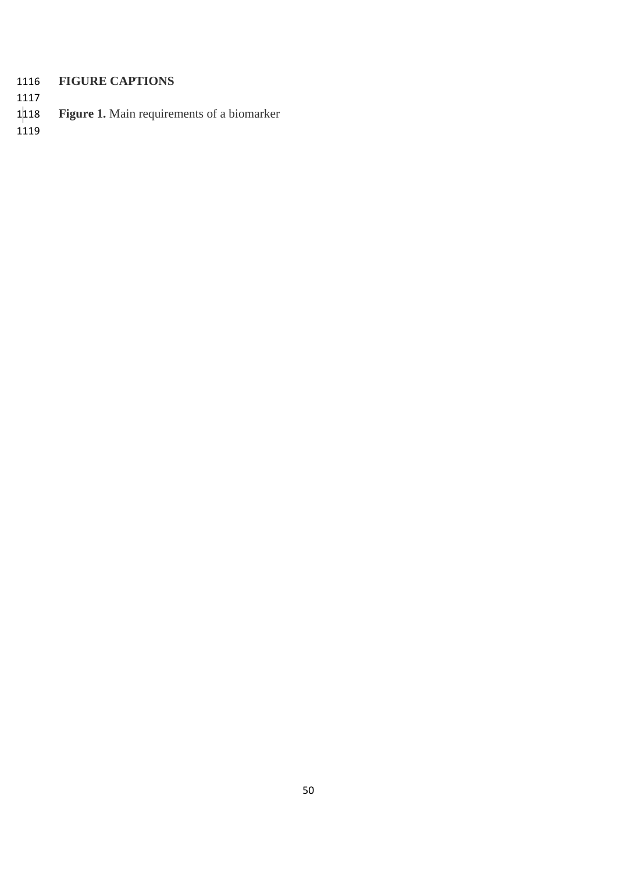# 1116 **FIGURE CAPTIONS**

- 1117
- Figure 1. Main requirements of a biomarker 1<mark>118</mark><br>1119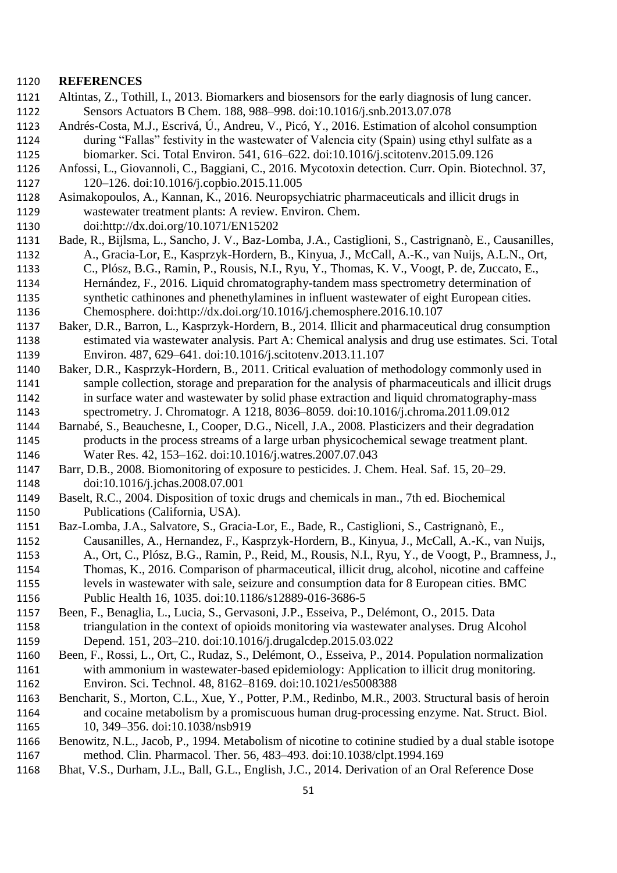#### **REFERENCES**

- Altintas, Z., Tothill, I., 2013. Biomarkers and biosensors for the early diagnosis of lung cancer. Sensors Actuators B Chem. 188, 988–998. doi:10.1016/j.snb.2013.07.078
- Andrés-Costa, M.J., Escrivá, Ú., Andreu, V., Picó, Y., 2016. Estimation of alcohol consumption during "Fallas" festivity in the wastewater of Valencia city (Spain) using ethyl sulfate as a
- biomarker. Sci. Total Environ. 541, 616–622. doi:10.1016/j.scitotenv.2015.09.126
- Anfossi, L., Giovannoli, C., Baggiani, C., 2016. Mycotoxin detection. Curr. Opin. Biotechnol. 37, 120–126. doi:10.1016/j.copbio.2015.11.005
- Asimakopoulos, A., Kannan, K., 2016. Neuropsychiatric pharmaceuticals and illicit drugs in wastewater treatment plants: A review. Environ. Chem.
- doi:http://dx.doi.org/10.1071/EN15202
- Bade, R., Bijlsma, L., Sancho, J. V., Baz-Lomba, J.A., Castiglioni, S., Castrignanò, E., Causanilles, A., Gracia-Lor, E., Kasprzyk-Hordern, B., Kinyua, J., McCall, A.-K., van Nuijs, A.L.N., Ort,
- C., Plósz, B.G., Ramin, P., Rousis, N.I., Ryu, Y., Thomas, K. V., Voogt, P. de, Zuccato, E.,
- Hernández, F., 2016. Liquid chromatography-tandem mass spectrometry determination of synthetic cathinones and phenethylamines in influent wastewater of eight European cities. Chemosphere. doi:http://dx.doi.org/10.1016/j.chemosphere.2016.10.107
- Baker, D.R., Barron, L., Kasprzyk-Hordern, B., 2014. Illicit and pharmaceutical drug consumption estimated via wastewater analysis. Part A: Chemical analysis and drug use estimates. Sci. Total Environ. 487, 629–641. doi:10.1016/j.scitotenv.2013.11.107
- Baker, D.R., Kasprzyk-Hordern, B., 2011. Critical evaluation of methodology commonly used in sample collection, storage and preparation for the analysis of pharmaceuticals and illicit drugs in surface water and wastewater by solid phase extraction and liquid chromatography-mass spectrometry. J. Chromatogr. A 1218, 8036–8059. doi:10.1016/j.chroma.2011.09.012
- Barnabé, S., Beauchesne, I., Cooper, D.G., Nicell, J.A., 2008. Plasticizers and their degradation products in the process streams of a large urban physicochemical sewage treatment plant. Water Res. 42, 153–162. doi:10.1016/j.watres.2007.07.043
- Barr, D.B., 2008. Biomonitoring of exposure to pesticides. J. Chem. Heal. Saf. 15, 20–29. doi:10.1016/j.jchas.2008.07.001
- Baselt, R.C., 2004. Disposition of toxic drugs and chemicals in man., 7th ed. Biochemical Publications (California, USA).
- Baz-Lomba, J.A., Salvatore, S., Gracia-Lor, E., Bade, R., Castiglioni, S., Castrignanò, E.,
- Causanilles, A., Hernandez, F., Kasprzyk-Hordern, B., Kinyua, J., McCall, A.-K., van Nuijs,
- A., Ort, C., Plósz, B.G., Ramin, P., Reid, M., Rousis, N.I., Ryu, Y., de Voogt, P., Bramness, J., Thomas, K., 2016. Comparison of pharmaceutical, illicit drug, alcohol, nicotine and caffeine levels in wastewater with sale, seizure and consumption data for 8 European cities. BMC
- Public Health 16, 1035. doi:10.1186/s12889-016-3686-5
- Been, F., Benaglia, L., Lucia, S., Gervasoni, J.P., Esseiva, P., Delémont, O., 2015. Data triangulation in the context of opioids monitoring via wastewater analyses. Drug Alcohol Depend. 151, 203–210. doi:10.1016/j.drugalcdep.2015.03.022
- Been, F., Rossi, L., Ort, C., Rudaz, S., Delémont, O., Esseiva, P., 2014. Population normalization with ammonium in wastewater-based epidemiology: Application to illicit drug monitoring. Environ. Sci. Technol. 48, 8162–8169. doi:10.1021/es5008388
- Bencharit, S., Morton, C.L., Xue, Y., Potter, P.M., Redinbo, M.R., 2003. Structural basis of heroin and cocaine metabolism by a promiscuous human drug-processing enzyme. Nat. Struct. Biol. 1165 10, 349–356. doi:10.1038/nsb919
- Benowitz, N.L., Jacob, P., 1994. Metabolism of nicotine to cotinine studied by a dual stable isotope method. Clin. Pharmacol. Ther. 56, 483–493. doi:10.1038/clpt.1994.169
- Bhat, V.S., Durham, J.L., Ball, G.L., English, J.C., 2014. Derivation of an Oral Reference Dose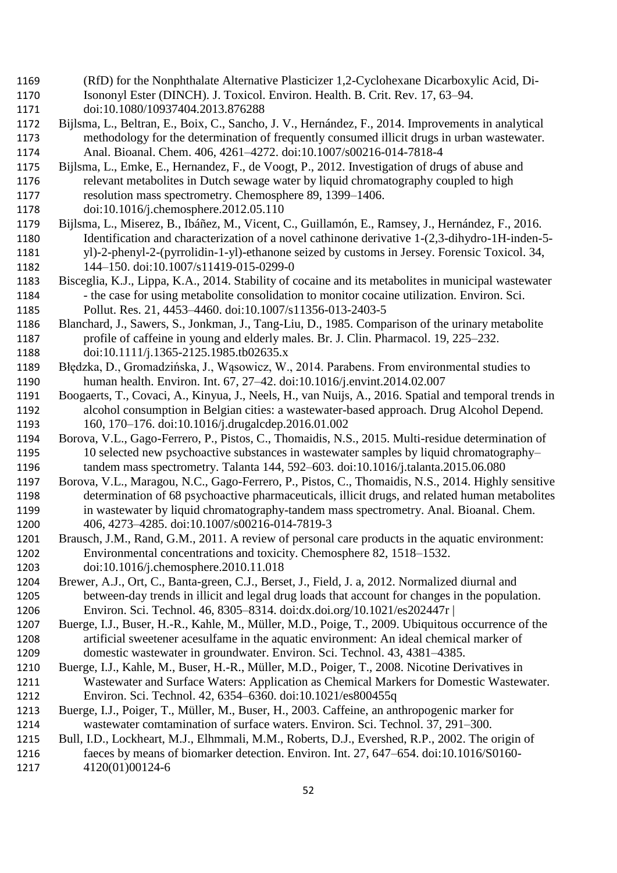- (RfD) for the Nonphthalate Alternative Plasticizer 1,2-Cyclohexane Dicarboxylic Acid, Di- Isononyl Ester (DINCH). J. Toxicol. Environ. Health. B. Crit. Rev. 17, 63–94. doi:10.1080/10937404.2013.876288
- Bijlsma, L., Beltran, E., Boix, C., Sancho, J. V., Hernández, F., 2014. Improvements in analytical methodology for the determination of frequently consumed illicit drugs in urban wastewater. Anal. Bioanal. Chem. 406, 4261–4272. doi:10.1007/s00216-014-7818-4
- Bijlsma, L., Emke, E., Hernandez, F., de Voogt, P., 2012. Investigation of drugs of abuse and relevant metabolites in Dutch sewage water by liquid chromatography coupled to high resolution mass spectrometry. Chemosphere 89, 1399–1406.
- doi:10.1016/j.chemosphere.2012.05.110
- Bijlsma, L., Miserez, B., Ibáñez, M., Vicent, C., Guillamón, E., Ramsey, J., Hernández, F., 2016. Identification and characterization of a novel cathinone derivative 1-(2,3-dihydro-1H-inden-5- yl)-2-phenyl-2-(pyrrolidin-1-yl)-ethanone seized by customs in Jersey. Forensic Toxicol. 34, 144–150. doi:10.1007/s11419-015-0299-0
- Bisceglia, K.J., Lippa, K.A., 2014. Stability of cocaine and its metabolites in municipal wastewater 1184 - the case for using metabolite consolidation to monitor cocaine utilization. Environ. Sci. Pollut. Res. 21, 4453–4460. doi:10.1007/s11356-013-2403-5
- Blanchard, J., Sawers, S., Jonkman, J., Tang-Liu, D., 1985. Comparison of the urinary metabolite profile of caffeine in young and elderly males. Br. J. Clin. Pharmacol. 19, 225–232. 1188 doi:10.1111/j.1365-2125.1985.tb02635.x
- Błędzka, D., Gromadzińska, J., Wąsowicz, W., 2014. Parabens. From environmental studies to human health. Environ. Int. 67, 27–42. doi:10.1016/j.envint.2014.02.007
- Boogaerts, T., Covaci, A., Kinyua, J., Neels, H., van Nuijs, A., 2016. Spatial and temporal trends in alcohol consumption in Belgian cities: a wastewater-based approach. Drug Alcohol Depend. 160, 170–176. doi:10.1016/j.drugalcdep.2016.01.002
- Borova, V.L., Gago-Ferrero, P., Pistos, C., Thomaidis, N.S., 2015. Multi-residue determination of 10 selected new psychoactive substances in wastewater samples by liquid chromatography– tandem mass spectrometry. Talanta 144, 592–603. doi:10.1016/j.talanta.2015.06.080
- Borova, V.L., Maragou, N.C., Gago-Ferrero, P., Pistos, C., Thomaidis, N.S., 2014. Highly sensitive determination of 68 psychoactive pharmaceuticals, illicit drugs, and related human metabolites in wastewater by liquid chromatography-tandem mass spectrometry. Anal. Bioanal. Chem. 406, 4273–4285. doi:10.1007/s00216-014-7819-3
- Brausch, J.M., Rand, G.M., 2011. A review of personal care products in the aquatic environment: Environmental concentrations and toxicity. Chemosphere 82, 1518–1532. doi:10.1016/j.chemosphere.2010.11.018
- Brewer, A.J., Ort, C., Banta-green, C.J., Berset, J., Field, J. a, 2012. Normalized diurnal and between-day trends in illicit and legal drug loads that account for changes in the population. Environ. Sci. Technol. 46, 8305–8314. doi:dx.doi.org/10.1021/es202447r |
- Buerge, I.J., Buser, H.-R., Kahle, M., Müller, M.D., Poige, T., 2009. Ubiquitous occurrence of the artificial sweetener acesulfame in the aquatic environment: An ideal chemical marker of domestic wastewater in groundwater. Environ. Sci. Technol. 43, 4381–4385.
- Buerge, I.J., Kahle, M., Buser, H.-R., Müller, M.D., Poiger, T., 2008. Nicotine Derivatives in Wastewater and Surface Waters: Application as Chemical Markers for Domestic Wastewater. Environ. Sci. Technol. 42, 6354–6360. doi:10.1021/es800455q
- Buerge, I.J., Poiger, T., Müller, M., Buser, H., 2003. Caffeine, an anthropogenic marker for wastewater comtamination of surface waters. Environ. Sci. Technol. 37, 291–300.
- Bull, I.D., Lockheart, M.J., Elhmmali, M.M., Roberts, D.J., Evershed, R.P., 2002. The origin of faeces by means of biomarker detection. Environ. Int. 27, 647–654. doi:10.1016/S0160- 4120(01)00124-6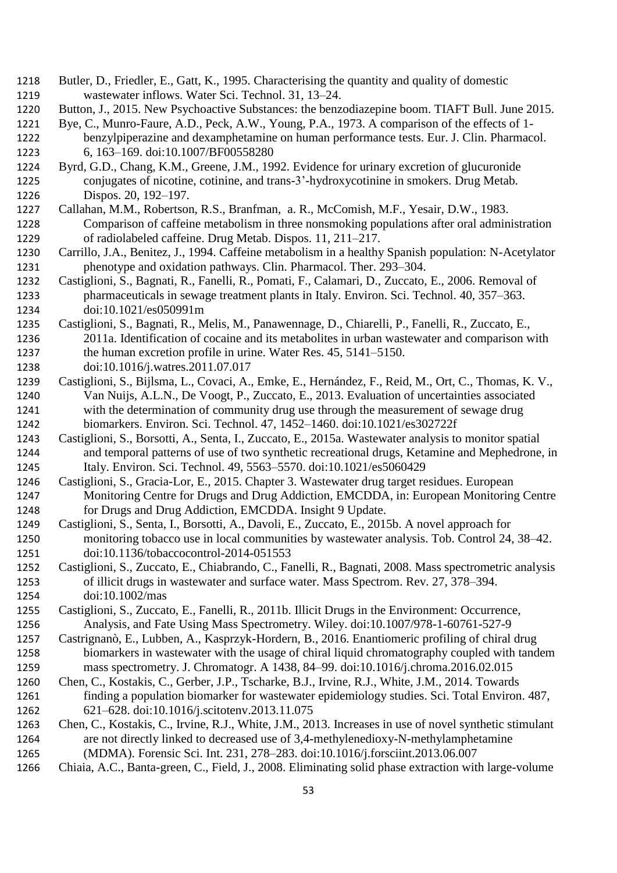- Butler, D., Friedler, E., Gatt, K., 1995. Characterising the quantity and quality of domestic wastewater inflows. Water Sci. Technol. 31, 13–24.
- Button, J., 2015. New Psychoactive Substances: the benzodiazepine boom. TIAFT Bull. June 2015.
- Bye, C., Munro-Faure, A.D., Peck, A.W., Young, P.A., 1973. A comparison of the effects of 1- benzylpiperazine and dexamphetamine on human performance tests. Eur. J. Clin. Pharmacol. 6, 163–169. doi:10.1007/BF00558280
- Byrd, G.D., Chang, K.M., Greene, J.M., 1992. Evidence for urinary excretion of glucuronide conjugates of nicotine, cotinine, and trans-3'-hydroxycotinine in smokers. Drug Metab. Dispos. 20, 192–197.
- Callahan, M.M., Robertson, R.S., Branfman, a. R., McComish, M.F., Yesair, D.W., 1983. Comparison of caffeine metabolism in three nonsmoking populations after oral administration of radiolabeled caffeine. Drug Metab. Dispos. 11, 211–217.
- Carrillo, J.A., Benitez, J., 1994. Caffeine metabolism in a healthy Spanish population: N-Acetylator phenotype and oxidation pathways. Clin. Pharmacol. Ther. 293–304.
- Castiglioni, S., Bagnati, R., Fanelli, R., Pomati, F., Calamari, D., Zuccato, E., 2006. Removal of pharmaceuticals in sewage treatment plants in Italy. Environ. Sci. Technol. 40, 357–363. doi:10.1021/es050991m
- Castiglioni, S., Bagnati, R., Melis, M., Panawennage, D., Chiarelli, P., Fanelli, R., Zuccato, E.,
- 2011a. Identification of cocaine and its metabolites in urban wastewater and comparison with the human excretion profile in urine. Water Res. 45, 5141–5150.

doi:10.1016/j.watres.2011.07.017

- Castiglioni, S., Bijlsma, L., Covaci, A., Emke, E., Hernández, F., Reid, M., Ort, C., Thomas, K. V., Van Nuijs, A.L.N., De Voogt, P., Zuccato, E., 2013. Evaluation of uncertainties associated with the determination of community drug use through the measurement of sewage drug biomarkers. Environ. Sci. Technol. 47, 1452–1460. doi:10.1021/es302722f
- Castiglioni, S., Borsotti, A., Senta, I., Zuccato, E., 2015a. Wastewater analysis to monitor spatial and temporal patterns of use of two synthetic recreational drugs, Ketamine and Mephedrone, in Italy. Environ. Sci. Technol. 49, 5563–5570. doi:10.1021/es5060429
- Castiglioni, S., Gracia-Lor, E., 2015. Chapter 3. Wastewater drug target residues. European Monitoring Centre for Drugs and Drug Addiction, EMCDDA, in: European Monitoring Centre for Drugs and Drug Addiction, EMCDDA. Insight 9 Update.
- Castiglioni, S., Senta, I., Borsotti, A., Davoli, E., Zuccato, E., 2015b. A novel approach for monitoring tobacco use in local communities by wastewater analysis. Tob. Control 24, 38–42. doi:10.1136/tobaccocontrol-2014-051553
- Castiglioni, S., Zuccato, E., Chiabrando, C., Fanelli, R., Bagnati, 2008. Mass spectrometric analysis of illicit drugs in wastewater and surface water. Mass Spectrom. Rev. 27, 378–394. doi:10.1002/mas
- Castiglioni, S., Zuccato, E., Fanelli, R., 2011b. Illicit Drugs in the Environment: Occurrence, Analysis, and Fate Using Mass Spectrometry. Wiley. doi:10.1007/978-1-60761-527-9
- Castrignanò, E., Lubben, A., Kasprzyk-Hordern, B., 2016. Enantiomeric profiling of chiral drug biomarkers in wastewater with the usage of chiral liquid chromatography coupled with tandem mass spectrometry. J. Chromatogr. A 1438, 84–99. doi:10.1016/j.chroma.2016.02.015
- Chen, C., Kostakis, C., Gerber, J.P., Tscharke, B.J., Irvine, R.J., White, J.M., 2014. Towards finding a population biomarker for wastewater epidemiology studies. Sci. Total Environ. 487, 621–628. doi:10.1016/j.scitotenv.2013.11.075
- Chen, C., Kostakis, C., Irvine, R.J., White, J.M., 2013. Increases in use of novel synthetic stimulant are not directly linked to decreased use of 3,4-methylenedioxy-N-methylamphetamine (MDMA). Forensic Sci. Int. 231, 278–283. doi:10.1016/j.forsciint.2013.06.007
- Chiaia, A.C., Banta-green, C., Field, J., 2008. Eliminating solid phase extraction with large-volume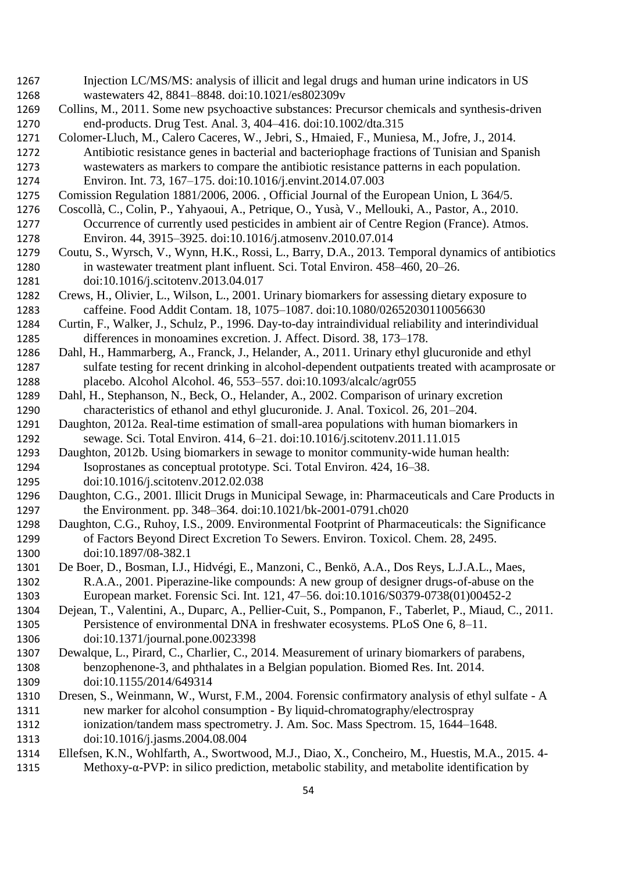- Injection LC/MS/MS: analysis of illicit and legal drugs and human urine indicators in US wastewaters 42, 8841–8848. doi:10.1021/es802309v
- Collins, M., 2011. Some new psychoactive substances: Precursor chemicals and synthesis-driven end-products. Drug Test. Anal. 3, 404–416. doi:10.1002/dta.315
- Colomer-Lluch, M., Calero Caceres, W., Jebri, S., Hmaied, F., Muniesa, M., Jofre, J., 2014. Antibiotic resistance genes in bacterial and bacteriophage fractions of Tunisian and Spanish wastewaters as markers to compare the antibiotic resistance patterns in each population. Environ. Int. 73, 167–175. doi:10.1016/j.envint.2014.07.003
- Comission Regulation 1881/2006, 2006. , Official Journal of the European Union, L 364/5.
- Coscollà, C., Colin, P., Yahyaoui, A., Petrique, O., Yusà, V., Mellouki, A., Pastor, A., 2010. Occurrence of currently used pesticides in ambient air of Centre Region (France). Atmos. Environ. 44, 3915–3925. doi:10.1016/j.atmosenv.2010.07.014
- Coutu, S., Wyrsch, V., Wynn, H.K., Rossi, L., Barry, D.A., 2013. Temporal dynamics of antibiotics in wastewater treatment plant influent. Sci. Total Environ. 458–460, 20–26. doi:10.1016/j.scitotenv.2013.04.017
- Crews, H., Olivier, L., Wilson, L., 2001. Urinary biomarkers for assessing dietary exposure to caffeine. Food Addit Contam. 18, 1075–1087. doi:10.1080/02652030110056630
- Curtin, F., Walker, J., Schulz, P., 1996. Day-to-day intraindividual reliability and interindividual differences in monoamines excretion. J. Affect. Disord. 38, 173–178.
- Dahl, H., Hammarberg, A., Franck, J., Helander, A., 2011. Urinary ethyl glucuronide and ethyl sulfate testing for recent drinking in alcohol-dependent outpatients treated with acamprosate or placebo. Alcohol Alcohol. 46, 553–557. doi:10.1093/alcalc/agr055
- Dahl, H., Stephanson, N., Beck, O., Helander, A., 2002. Comparison of urinary excretion characteristics of ethanol and ethyl glucuronide. J. Anal. Toxicol. 26, 201–204.
- Daughton, 2012a. Real-time estimation of small-area populations with human biomarkers in sewage. Sci. Total Environ. 414, 6–21. doi:10.1016/j.scitotenv.2011.11.015
- Daughton, 2012b. Using biomarkers in sewage to monitor community-wide human health: Isoprostanes as conceptual prototype. Sci. Total Environ. 424, 16–38. doi:10.1016/j.scitotenv.2012.02.038
- Daughton, C.G., 2001. Illicit Drugs in Municipal Sewage, in: Pharmaceuticals and Care Products in the Environment. pp. 348–364. doi:10.1021/bk-2001-0791.ch020
- Daughton, C.G., Ruhoy, I.S., 2009. Environmental Footprint of Pharmaceuticals: the Significance of Factors Beyond Direct Excretion To Sewers. Environ. Toxicol. Chem. 28, 2495. doi:10.1897/08-382.1
- De Boer, D., Bosman, I.J., Hidvégi, E., Manzoni, C., Benkö, A.A., Dos Reys, L.J.A.L., Maes, R.A.A., 2001. Piperazine-like compounds: A new group of designer drugs-of-abuse on the European market. Forensic Sci. Int. 121, 47–56. doi:10.1016/S0379-0738(01)00452-2
- Dejean, T., Valentini, A., Duparc, A., Pellier-Cuit, S., Pompanon, F., Taberlet, P., Miaud, C., 2011. Persistence of environmental DNA in freshwater ecosystems. PLoS One 6, 8–11. doi:10.1371/journal.pone.0023398
- Dewalque, L., Pirard, C., Charlier, C., 2014. Measurement of urinary biomarkers of parabens, benzophenone-3, and phthalates in a Belgian population. Biomed Res. Int. 2014. doi:10.1155/2014/649314
- Dresen, S., Weinmann, W., Wurst, F.M., 2004. Forensic confirmatory analysis of ethyl sulfate A new marker for alcohol consumption - By liquid-chromatography/electrospray
- ionization/tandem mass spectrometry. J. Am. Soc. Mass Spectrom. 15, 1644–1648.
- doi:10.1016/j.jasms.2004.08.004
- Ellefsen, K.N., Wohlfarth, A., Swortwood, M.J., Diao, X., Concheiro, M., Huestis, M.A., 2015. 4- Methoxy-α-PVP: in silico prediction, metabolic stability, and metabolite identification by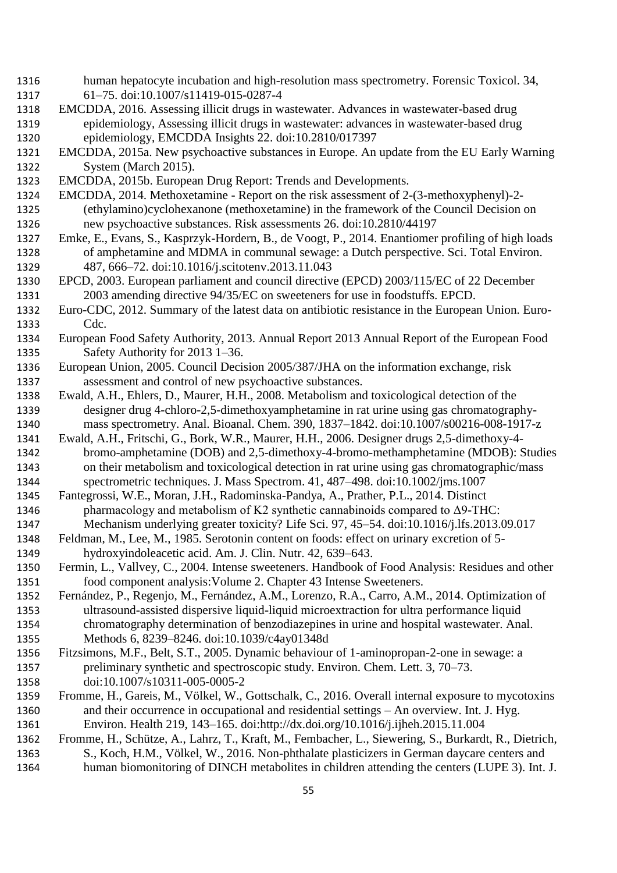- human hepatocyte incubation and high-resolution mass spectrometry. Forensic Toxicol. 34, 61–75. doi:10.1007/s11419-015-0287-4
- EMCDDA, 2016. Assessing illicit drugs in wastewater. Advances in wastewater-based drug epidemiology, Assessing illicit drugs in wastewater: advances in wastewater-based drug epidemiology, EMCDDA Insights 22. doi:10.2810/017397
- EMCDDA, 2015a. New psychoactive substances in Europe. An update from the EU Early Warning System (March 2015).
- EMCDDA, 2015b. European Drug Report: Trends and Developments.
- EMCDDA, 2014. Methoxetamine Report on the risk assessment of 2-(3-methoxyphenyl)-2- (ethylamino)cyclohexanone (methoxetamine) in the framework of the Council Decision on new psychoactive substances. Risk assessments 26. doi:10.2810/44197
- Emke, E., Evans, S., Kasprzyk-Hordern, B., de Voogt, P., 2014. Enantiomer profiling of high loads of amphetamine and MDMA in communal sewage: a Dutch perspective. Sci. Total Environ. 487, 666–72. doi:10.1016/j.scitotenv.2013.11.043
- EPCD, 2003. European parliament and council directive (EPCD) 2003/115/EC of 22 December 2003 amending directive 94/35/EC on sweeteners for use in foodstuffs. EPCD.
- Euro-CDC, 2012. Summary of the latest data on antibiotic resistance in the European Union. Euro-Cdc.
- European Food Safety Authority, 2013. Annual Report 2013 Annual Report of the European Food Safety Authority for 2013 1–36.
- European Union, 2005. Council Decision 2005/387/JHA on the information exchange, risk assessment and control of new psychoactive substances.
- Ewald, A.H., Ehlers, D., Maurer, H.H., 2008. Metabolism and toxicological detection of the designer drug 4-chloro-2,5-dimethoxyamphetamine in rat urine using gas chromatography-mass spectrometry. Anal. Bioanal. Chem. 390, 1837–1842. doi:10.1007/s00216-008-1917-z
- Ewald, A.H., Fritschi, G., Bork, W.R., Maurer, H.H., 2006. Designer drugs 2,5-dimethoxy-4- bromo-amphetamine (DOB) and 2,5-dimethoxy-4-bromo-methamphetamine (MDOB): Studies on their metabolism and toxicological detection in rat urine using gas chromatographic/mass spectrometric techniques. J. Mass Spectrom. 41, 487–498. doi:10.1002/jms.1007
- Fantegrossi, W.E., Moran, J.H., Radominska-Pandya, A., Prather, P.L., 2014. Distinct 1346 pharmacology and metabolism of K2 synthetic cannabinoids compared to  $\Delta$ 9-THC:
- Mechanism underlying greater toxicity? Life Sci. 97, 45–54. doi:10.1016/j.lfs.2013.09.017
- Feldman, M., Lee, M., 1985. Serotonin content on foods: effect on urinary excretion of 5- hydroxyindoleacetic acid. Am. J. Clin. Nutr. 42, 639–643.
- Fermin, L., Vallvey, C., 2004. Intense sweeteners. Handbook of Food Analysis: Residues and other food component analysis:Volume 2. Chapter 43 Intense Sweeteners.
- Fernández, P., Regenjo, M., Fernández, A.M., Lorenzo, R.A., Carro, A.M., 2014. Optimization of ultrasound-assisted dispersive liquid-liquid microextraction for ultra performance liquid chromatography determination of benzodiazepines in urine and hospital wastewater. Anal. Methods 6, 8239–8246. doi:10.1039/c4ay01348d
- Fitzsimons, M.F., Belt, S.T., 2005. Dynamic behaviour of 1-aminopropan-2-one in sewage: a preliminary synthetic and spectroscopic study. Environ. Chem. Lett. 3, 70–73. doi:10.1007/s10311-005-0005-2
- Fromme, H., Gareis, M., Völkel, W., Gottschalk, C., 2016. Overall internal exposure to mycotoxins and their occurrence in occupational and residential settings – An overview. Int. J. Hyg. Environ. Health 219, 143–165. doi:http://dx.doi.org/10.1016/j.ijheh.2015.11.004
- Fromme, H., Schütze, A., Lahrz, T., Kraft, M., Fembacher, L., Siewering, S., Burkardt, R., Dietrich, S., Koch, H.M., Völkel, W., 2016. Non-phthalate plasticizers in German daycare centers and human biomonitoring of DINCH metabolites in children attending the centers (LUPE 3). Int. J.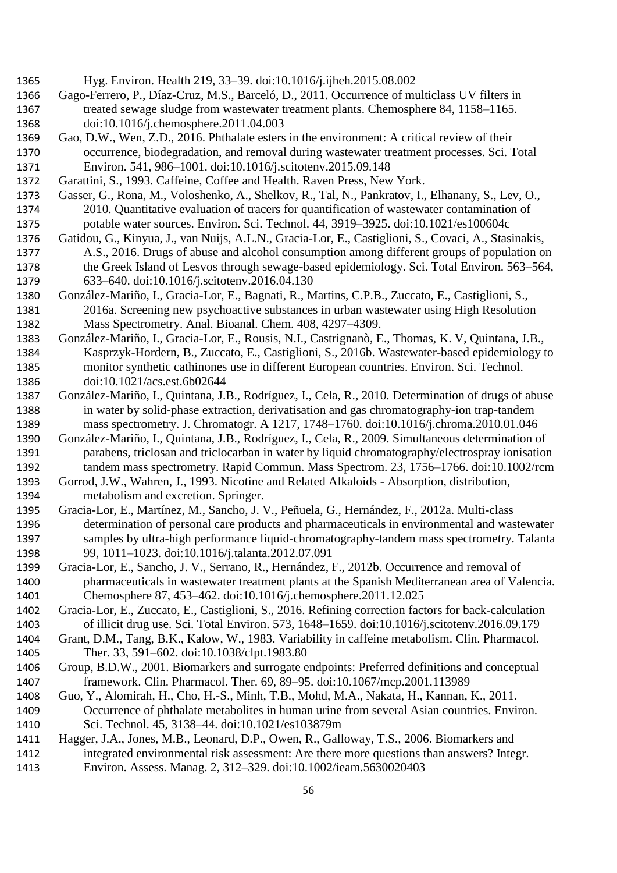- Hyg. Environ. Health 219, 33–39. doi:10.1016/j.ijheh.2015.08.002 Gago-Ferrero, P., Díaz-Cruz, M.S., Barceló, D., 2011. Occurrence of multiclass UV filters in treated sewage sludge from wastewater treatment plants. Chemosphere 84, 1158–1165. doi:10.1016/j.chemosphere.2011.04.003 Gao, D.W., Wen, Z.D., 2016. Phthalate esters in the environment: A critical review of their occurrence, biodegradation, and removal during wastewater treatment processes. Sci. Total Environ. 541, 986–1001. doi:10.1016/j.scitotenv.2015.09.148 Garattini, S., 1993. Caffeine, Coffee and Health. Raven Press, New York. Gasser, G., Rona, M., Voloshenko, A., Shelkov, R., Tal, N., Pankratov, I., Elhanany, S., Lev, O.,
	- 2010. Quantitative evaluation of tracers for quantification of wastewater contamination of potable water sources. Environ. Sci. Technol. 44, 3919–3925. doi:10.1021/es100604c
	- Gatidou, G., Kinyua, J., van Nuijs, A.L.N., Gracia-Lor, E., Castiglioni, S., Covaci, A., Stasinakis, A.S., 2016. Drugs of abuse and alcohol consumption among different groups of population on the Greek Island of Lesvos through sewage-based epidemiology. Sci. Total Environ. 563–564, 633–640. doi:10.1016/j.scitotenv.2016.04.130
	- González-Mariño, I., Gracia-Lor, E., Bagnati, R., Martins, C.P.B., Zuccato, E., Castiglioni, S., 2016a. Screening new psychoactive substances in urban wastewater using High Resolution Mass Spectrometry. Anal. Bioanal. Chem. 408, 4297–4309.
	- González-Mariño, I., Gracia-Lor, E., Rousis, N.I., Castrignanò, E., Thomas, K. V, Quintana, J.B., Kasprzyk-Hordern, B., Zuccato, E., Castiglioni, S., 2016b. Wastewater-based epidemiology to monitor synthetic cathinones use in different European countries. Environ. Sci. Technol. doi:10.1021/acs.est.6b02644
	- González-Mariño, I., Quintana, J.B., Rodríguez, I., Cela, R., 2010. Determination of drugs of abuse in water by solid-phase extraction, derivatisation and gas chromatography-ion trap-tandem mass spectrometry. J. Chromatogr. A 1217, 1748–1760. doi:10.1016/j.chroma.2010.01.046
	- González-Mariño, I., Quintana, J.B., Rodríguez, I., Cela, R., 2009. Simultaneous determination of parabens, triclosan and triclocarban in water by liquid chromatography/electrospray ionisation tandem mass spectrometry. Rapid Commun. Mass Spectrom. 23, 1756–1766. doi:10.1002/rcm
	- Gorrod, J.W., Wahren, J., 1993. Nicotine and Related Alkaloids Absorption, distribution, metabolism and excretion. Springer.
	- Gracia-Lor, E., Martínez, M., Sancho, J. V., Peñuela, G., Hernández, F., 2012a. Multi-class determination of personal care products and pharmaceuticals in environmental and wastewater samples by ultra-high performance liquid-chromatography-tandem mass spectrometry. Talanta 99, 1011–1023. doi:10.1016/j.talanta.2012.07.091
	- Gracia-Lor, E., Sancho, J. V., Serrano, R., Hernández, F., 2012b. Occurrence and removal of pharmaceuticals in wastewater treatment plants at the Spanish Mediterranean area of Valencia. Chemosphere 87, 453–462. doi:10.1016/j.chemosphere.2011.12.025
	- Gracia-Lor, E., Zuccato, E., Castiglioni, S., 2016. Refining correction factors for back-calculation of illicit drug use. Sci. Total Environ. 573, 1648–1659. doi:10.1016/j.scitotenv.2016.09.179
	- Grant, D.M., Tang, B.K., Kalow, W., 1983. Variability in caffeine metabolism. Clin. Pharmacol. Ther. 33, 591–602. doi:10.1038/clpt.1983.80
	- Group, B.D.W., 2001. Biomarkers and surrogate endpoints: Preferred definitions and conceptual framework. Clin. Pharmacol. Ther. 69, 89–95. doi:10.1067/mcp.2001.113989
- Guo, Y., Alomirah, H., Cho, H.-S., Minh, T.B., Mohd, M.A., Nakata, H., Kannan, K., 2011. Occurrence of phthalate metabolites in human urine from several Asian countries. Environ. Sci. Technol. 45, 3138–44. doi:10.1021/es103879m
- Hagger, J.A., Jones, M.B., Leonard, D.P., Owen, R., Galloway, T.S., 2006. Biomarkers and integrated environmental risk assessment: Are there more questions than answers? Integr. Environ. Assess. Manag. 2, 312–329. doi:10.1002/ieam.5630020403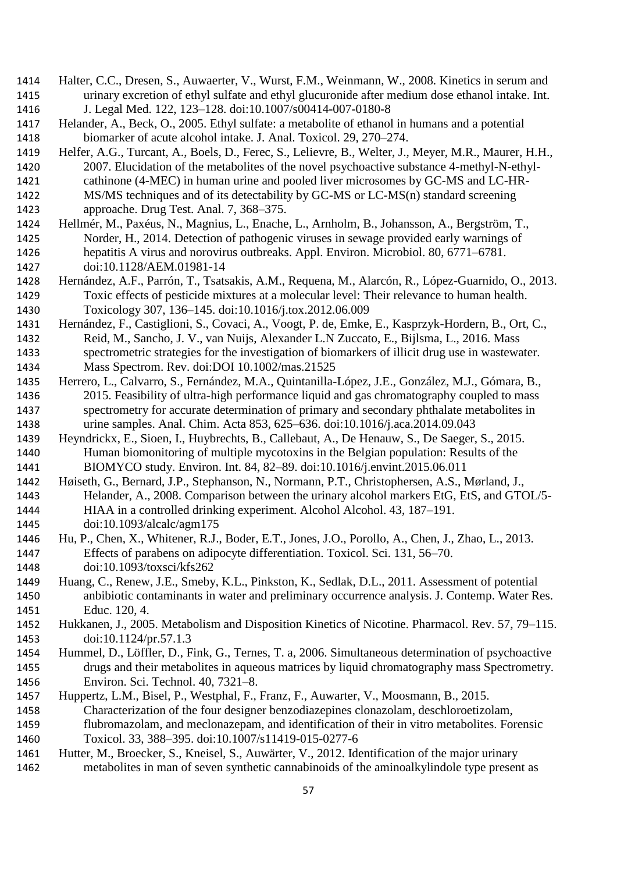- Halter, C.C., Dresen, S., Auwaerter, V., Wurst, F.M., Weinmann, W., 2008. Kinetics in serum and urinary excretion of ethyl sulfate and ethyl glucuronide after medium dose ethanol intake. Int. J. Legal Med. 122, 123–128. doi:10.1007/s00414-007-0180-8
- Helander, A., Beck, O., 2005. Ethyl sulfate: a metabolite of ethanol in humans and a potential biomarker of acute alcohol intake. J. Anal. Toxicol. 29, 270–274.

 Helfer, A.G., Turcant, A., Boels, D., Ferec, S., Lelievre, B., Welter, J., Meyer, M.R., Maurer, H.H., 2007. Elucidation of the metabolites of the novel psychoactive substance 4-methyl-N-ethyl-

- cathinone (4-MEC) in human urine and pooled liver microsomes by GC-MS and LC-HR-MS/MS techniques and of its detectability by GC-MS or LC-MS(n) standard screening
- approache. Drug Test. Anal. 7, 368–375.
- Hellmér, M., Paxéus, N., Magnius, L., Enache, L., Arnholm, B., Johansson, A., Bergström, T., Norder, H., 2014. Detection of pathogenic viruses in sewage provided early warnings of hepatitis A virus and norovirus outbreaks. Appl. Environ. Microbiol. 80, 6771–6781. doi:10.1128/AEM.01981-14
- Hernández, A.F., Parrón, T., Tsatsakis, A.M., Requena, M., Alarcón, R., López-Guarnido, O., 2013. Toxic effects of pesticide mixtures at a molecular level: Their relevance to human health. Toxicology 307, 136–145. doi:10.1016/j.tox.2012.06.009
- Hernández, F., Castiglioni, S., Covaci, A., Voogt, P. de, Emke, E., Kasprzyk-Hordern, B., Ort, C.,
- Reid, M., Sancho, J. V., van Nuijs, Alexander L.N Zuccato, E., Bijlsma, L., 2016. Mass spectrometric strategies for the investigation of biomarkers of illicit drug use in wastewater. Mass Spectrom. Rev. doi:DOI 10.1002/mas.21525
- Herrero, L., Calvarro, S., Fernández, M.A., Quintanilla-López, J.E., González, M.J., Gómara, B., 2015. Feasibility of ultra-high performance liquid and gas chromatography coupled to mass spectrometry for accurate determination of primary and secondary phthalate metabolites in urine samples. Anal. Chim. Acta 853, 625–636. doi:10.1016/j.aca.2014.09.043
- Heyndrickx, E., Sioen, I., Huybrechts, B., Callebaut, A., De Henauw, S., De Saeger, S., 2015. Human biomonitoring of multiple mycotoxins in the Belgian population: Results of the BIOMYCO study. Environ. Int. 84, 82–89. doi:10.1016/j.envint.2015.06.011
- Høiseth, G., Bernard, J.P., Stephanson, N., Normann, P.T., Christophersen, A.S., Mørland, J., Helander, A., 2008. Comparison between the urinary alcohol markers EtG, EtS, and GTOL/5- HIAA in a controlled drinking experiment. Alcohol Alcohol. 43, 187–191. doi:10.1093/alcalc/agm175
- Hu, P., Chen, X., Whitener, R.J., Boder, E.T., Jones, J.O., Porollo, A., Chen, J., Zhao, L., 2013. Effects of parabens on adipocyte differentiation. Toxicol. Sci. 131, 56–70. doi:10.1093/toxsci/kfs262
- Huang, C., Renew, J.E., Smeby, K.L., Pinkston, K., Sedlak, D.L., 2011. Assessment of potential anbibiotic contaminants in water and preliminary occurrence analysis. J. Contemp. Water Res. Educ. 120, 4.
- Hukkanen, J., 2005. Metabolism and Disposition Kinetics of Nicotine. Pharmacol. Rev. 57, 79–115. doi:10.1124/pr.57.1.3
- Hummel, D., Löffler, D., Fink, G., Ternes, T. a, 2006. Simultaneous determination of psychoactive drugs and their metabolites in aqueous matrices by liquid chromatography mass Spectrometry. Environ. Sci. Technol. 40, 7321–8.
- Huppertz, L.M., Bisel, P., Westphal, F., Franz, F., Auwarter, V., Moosmann, B., 2015. Characterization of the four designer benzodiazepines clonazolam, deschloroetizolam,
- flubromazolam, and meclonazepam, and identification of their in vitro metabolites. Forensic Toxicol. 33, 388–395. doi:10.1007/s11419-015-0277-6
- Hutter, M., Broecker, S., Kneisel, S., Auwärter, V., 2012. Identification of the major urinary metabolites in man of seven synthetic cannabinoids of the aminoalkylindole type present as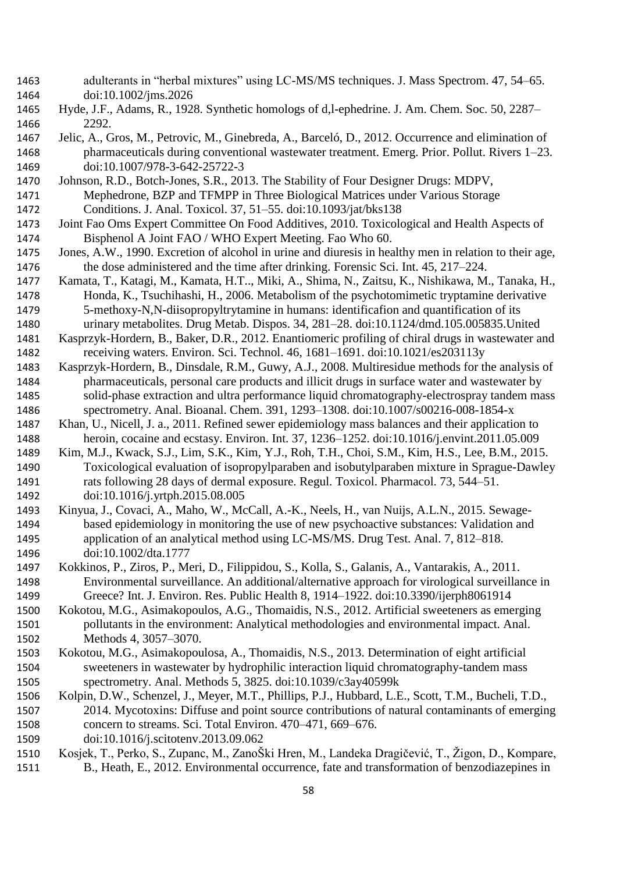- adulterants in "herbal mixtures" using LC-MS/MS techniques. J. Mass Spectrom. 47, 54–65. doi:10.1002/jms.2026
- Hyde, J.F., Adams, R., 1928. Synthetic homologs of d,l-ephedrine. J. Am. Chem. Soc. 50, 2287– 2292.
- Jelic, A., Gros, M., Petrovic, M., Ginebreda, A., Barceló, D., 2012. Occurrence and elimination of pharmaceuticals during conventional wastewater treatment. Emerg. Prior. Pollut. Rivers 1–23. doi:10.1007/978-3-642-25722-3
- Johnson, R.D., Botch-Jones, S.R., 2013. The Stability of Four Designer Drugs: MDPV, Mephedrone, BZP and TFMPP in Three Biological Matrices under Various Storage Conditions. J. Anal. Toxicol. 37, 51–55. doi:10.1093/jat/bks138
- Joint Fao Oms Expert Committee On Food Additives, 2010. Toxicological and Health Aspects of Bisphenol A Joint FAO / WHO Expert Meeting. Fao Who 60.
- Jones, A.W., 1990. Excretion of alcohol in urine and diuresis in healthy men in relation to their age, the dose administered and the time after drinking. Forensic Sci. Int. 45, 217–224.
- Kamata, T., Katagi, M., Kamata, H.T.., Miki, A., Shima, N., Zaitsu, K., Nishikawa, M., Tanaka, H., Honda, K., Tsuchihashi, H., 2006. Metabolism of the psychotomimetic tryptamine derivative 5-methoxy-N,N-diisopropyltrytamine in humans: identificafion and quantification of its urinary metabolites. Drug Metab. Dispos. 34, 281–28. doi:10.1124/dmd.105.005835.United
- Kasprzyk-Hordern, B., Baker, D.R., 2012. Enantiomeric profiling of chiral drugs in wastewater and receiving waters. Environ. Sci. Technol. 46, 1681–1691. doi:10.1021/es203113y
- Kasprzyk-Hordern, B., Dinsdale, R.M., Guwy, A.J., 2008. Multiresidue methods for the analysis of pharmaceuticals, personal care products and illicit drugs in surface water and wastewater by solid-phase extraction and ultra performance liquid chromatography-electrospray tandem mass spectrometry. Anal. Bioanal. Chem. 391, 1293–1308. doi:10.1007/s00216-008-1854-x
- Khan, U., Nicell, J. a., 2011. Refined sewer epidemiology mass balances and their application to heroin, cocaine and ecstasy. Environ. Int. 37, 1236–1252. doi:10.1016/j.envint.2011.05.009
- Kim, M.J., Kwack, S.J., Lim, S.K., Kim, Y.J., Roh, T.H., Choi, S.M., Kim, H.S., Lee, B.M., 2015. Toxicological evaluation of isopropylparaben and isobutylparaben mixture in Sprague-Dawley rats following 28 days of dermal exposure. Regul. Toxicol. Pharmacol. 73, 544–51. doi:10.1016/j.yrtph.2015.08.005
- Kinyua, J., Covaci, A., Maho, W., McCall, A.-K., Neels, H., van Nuijs, A.L.N., 2015. Sewage- based epidemiology in monitoring the use of new psychoactive substances: Validation and application of an analytical method using LC-MS/MS. Drug Test. Anal. 7, 812–818. doi:10.1002/dta.1777
- Kokkinos, P., Ziros, P., Meri, D., Filippidou, S., Kolla, S., Galanis, A., Vantarakis, A., 2011. Environmental surveillance. An additional/alternative approach for virological surveillance in Greece? Int. J. Environ. Res. Public Health 8, 1914–1922. doi:10.3390/ijerph8061914
- Kokotou, M.G., Asimakopoulos, A.G., Thomaidis, N.S., 2012. Artificial sweeteners as emerging pollutants in the environment: Analytical methodologies and environmental impact. Anal. Methods 4, 3057–3070.
- Kokotou, M.G., Asimakopoulosa, A., Thomaidis, N.S., 2013. Determination of eight artificial sweeteners in wastewater by hydrophilic interaction liquid chromatography-tandem mass spectrometry. Anal. Methods 5, 3825. doi:10.1039/c3ay40599k
- Kolpin, D.W., Schenzel, J., Meyer, M.T., Phillips, P.J., Hubbard, L.E., Scott, T.M., Bucheli, T.D., 2014. Mycotoxins: Diffuse and point source contributions of natural contaminants of emerging concern to streams. Sci. Total Environ. 470–471, 669–676.
- doi:10.1016/j.scitotenv.2013.09.062
- Kosjek, T., Perko, S., Zupanc, M., ZanoŠki Hren, M., Landeka Dragičević, T., Žigon, D., Kompare,
- 1511 B., Heath, E., 2012. Environmental occurrence, fate and transformation of benzodiazepines in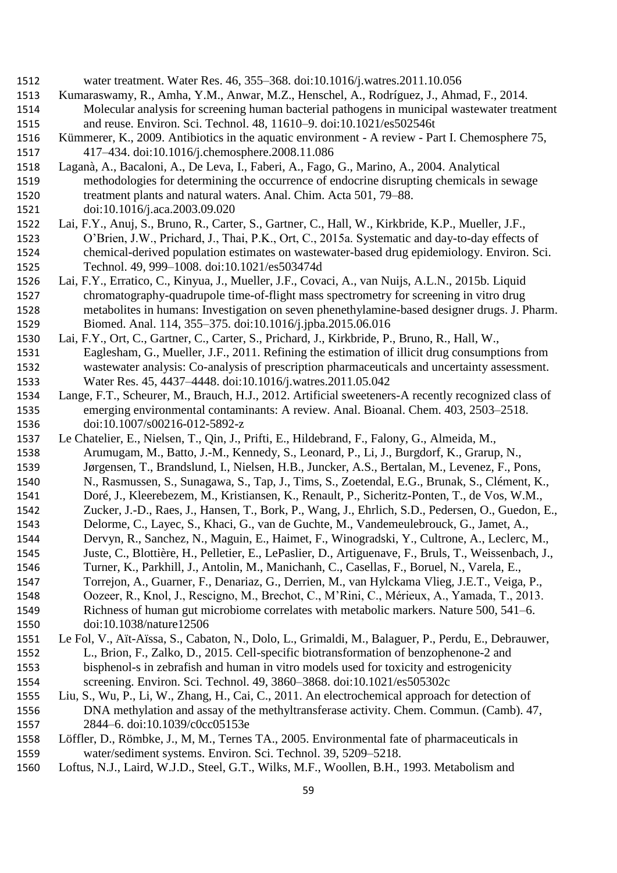- water treatment. Water Res. 46, 355–368. doi:10.1016/j.watres.2011.10.056
- Kumaraswamy, R., Amha, Y.M., Anwar, M.Z., Henschel, A., Rodríguez, J., Ahmad, F., 2014.
- Molecular analysis for screening human bacterial pathogens in municipal wastewater treatment and reuse. Environ. Sci. Technol. 48, 11610–9. doi:10.1021/es502546t
- Kümmerer, K., 2009. Antibiotics in the aquatic environment A review Part I. Chemosphere 75, 417–434. doi:10.1016/j.chemosphere.2008.11.086
- Laganà, A., Bacaloni, A., De Leva, I., Faberi, A., Fago, G., Marino, A., 2004. Analytical methodologies for determining the occurrence of endocrine disrupting chemicals in sewage treatment plants and natural waters. Anal. Chim. Acta 501, 79–88.
- doi:10.1016/j.aca.2003.09.020
- Lai, F.Y., Anuj, S., Bruno, R., Carter, S., Gartner, C., Hall, W., Kirkbride, K.P., Mueller, J.F., O'Brien, J.W., Prichard, J., Thai, P.K., Ort, C., 2015a. Systematic and day-to-day effects of chemical-derived population estimates on wastewater-based drug epidemiology. Environ. Sci. Technol. 49, 999–1008. doi:10.1021/es503474d
- Lai, F.Y., Erratico, C., Kinyua, J., Mueller, J.F., Covaci, A., van Nuijs, A.L.N., 2015b. Liquid chromatography-quadrupole time-of-flight mass spectrometry for screening in vitro drug metabolites in humans: Investigation on seven phenethylamine-based designer drugs. J. Pharm. Biomed. Anal. 114, 355–375. doi:10.1016/j.jpba.2015.06.016
- Lai, F.Y., Ort, C., Gartner, C., Carter, S., Prichard, J., Kirkbride, P., Bruno, R., Hall, W., Eaglesham, G., Mueller, J.F., 2011. Refining the estimation of illicit drug consumptions from wastewater analysis: Co-analysis of prescription pharmaceuticals and uncertainty assessment. Water Res. 45, 4437–4448. doi:10.1016/j.watres.2011.05.042
- Lange, F.T., Scheurer, M., Brauch, H.J., 2012. Artificial sweeteners-A recently recognized class of emerging environmental contaminants: A review. Anal. Bioanal. Chem. 403, 2503–2518. doi:10.1007/s00216-012-5892-z
- Le Chatelier, E., Nielsen, T., Qin, J., Prifti, E., Hildebrand, F., Falony, G., Almeida, M., Arumugam, M., Batto, J.-M., Kennedy, S., Leonard, P., Li, J., Burgdorf, K., Grarup, N., Jørgensen, T., Brandslund, I., Nielsen, H.B., Juncker, A.S., Bertalan, M., Levenez, F., Pons,
- N., Rasmussen, S., Sunagawa, S., Tap, J., Tims, S., Zoetendal, E.G., Brunak, S., Clément, K.,
- Doré, J., Kleerebezem, M., Kristiansen, K., Renault, P., Sicheritz-Ponten, T., de Vos, W.M.,
- Zucker, J.-D., Raes, J., Hansen, T., Bork, P., Wang, J., Ehrlich, S.D., Pedersen, O., Guedon, E.,
- Delorme, C., Layec, S., Khaci, G., van de Guchte, M., Vandemeulebrouck, G., Jamet, A.,
- Dervyn, R., Sanchez, N., Maguin, E., Haimet, F., Winogradski, Y., Cultrone, A., Leclerc, M.,
- Juste, C., Blottière, H., Pelletier, E., LePaslier, D., Artiguenave, F., Bruls, T., Weissenbach, J.,
- Turner, K., Parkhill, J., Antolin, M., Manichanh, C., Casellas, F., Boruel, N., Varela, E.,
- Torrejon, A., Guarner, F., Denariaz, G., Derrien, M., van Hylckama Vlieg, J.E.T., Veiga, P.,
- Oozeer, R., Knol, J., Rescigno, M., Brechot, C., M'Rini, C., Mérieux, A., Yamada, T., 2013. Richness of human gut microbiome correlates with metabolic markers. Nature 500, 541–6.
- doi:10.1038/nature12506
- Le Fol, V., Aït-Aïssa, S., Cabaton, N., Dolo, L., Grimaldi, M., Balaguer, P., Perdu, E., Debrauwer, L., Brion, F., Zalko, D., 2015. Cell-specific biotransformation of benzophenone-2 and bisphenol-s in zebrafish and human in vitro models used for toxicity and estrogenicity screening. Environ. Sci. Technol. 49, 3860–3868. doi:10.1021/es505302c
- Liu, S., Wu, P., Li, W., Zhang, H., Cai, C., 2011. An electrochemical approach for detection of DNA methylation and assay of the methyltransferase activity. Chem. Commun. (Camb). 47, 2844–6. doi:10.1039/c0cc05153e
- Löffler, D., Römbke, J., M, M., Ternes TA., 2005. Environmental fate of pharmaceuticals in water/sediment systems. Environ. Sci. Technol. 39, 5209–5218.
- Loftus, N.J., Laird, W.J.D., Steel, G.T., Wilks, M.F., Woollen, B.H., 1993. Metabolism and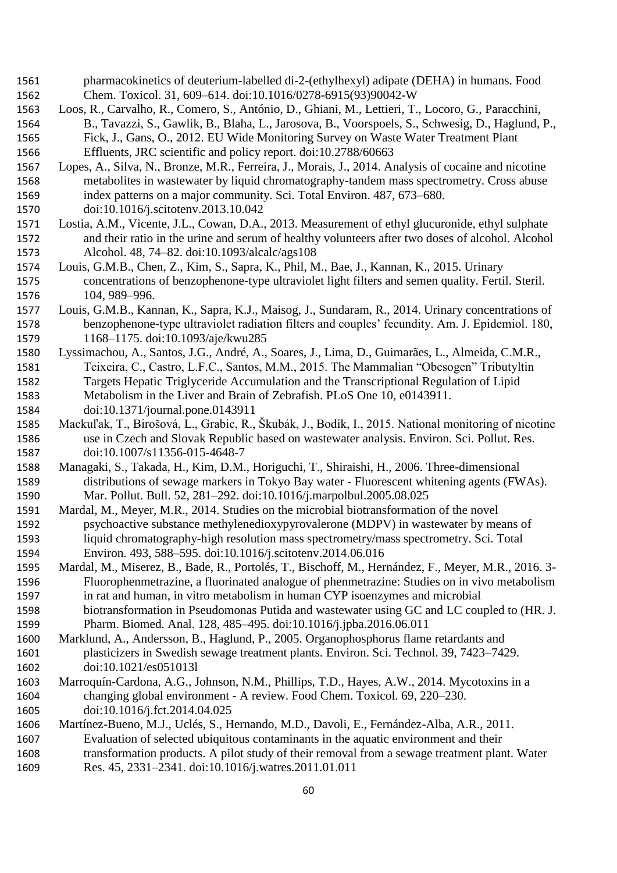- pharmacokinetics of deuterium-labelled di-2-(ethylhexyl) adipate (DEHA) in humans. Food Chem. Toxicol. 31, 609–614. doi:10.1016/0278-6915(93)90042-W
- Loos, R., Carvalho, R., Comero, S., António, D., Ghiani, M., Lettieri, T., Locoro, G., Paracchini, B., Tavazzi, S., Gawlik, B., Blaha, L., Jarosova, B., Voorspoels, S., Schwesig, D., Haglund, P., Fick, J., Gans, O., 2012. EU Wide Monitoring Survey on Waste Water Treatment Plant

Effluents, JRC scientific and policy report. doi:10.2788/60663

- Lopes, A., Silva, N., Bronze, M.R., Ferreira, J., Morais, J., 2014. Analysis of cocaine and nicotine metabolites in wastewater by liquid chromatography-tandem mass spectrometry. Cross abuse index patterns on a major community. Sci. Total Environ. 487, 673–680.
- doi:10.1016/j.scitotenv.2013.10.042
- Lostia, A.M., Vicente, J.L., Cowan, D.A., 2013. Measurement of ethyl glucuronide, ethyl sulphate and their ratio in the urine and serum of healthy volunteers after two doses of alcohol. Alcohol Alcohol. 48, 74–82. doi:10.1093/alcalc/ags108
- Louis, G.M.B., Chen, Z., Kim, S., Sapra, K., Phil, M., Bae, J., Kannan, K., 2015. Urinary concentrations of benzophenone-type ultraviolet light filters and semen quality. Fertil. Steril. 104, 989–996.
- Louis, G.M.B., Kannan, K., Sapra, K.J., Maisog, J., Sundaram, R., 2014. Urinary concentrations of benzophenone-type ultraviolet radiation filters and couples' fecundity. Am. J. Epidemiol. 180, 1168–1175. doi:10.1093/aje/kwu285
- Lyssimachou, A., Santos, J.G., André, A., Soares, J., Lima, D., Guimarães, L., Almeida, C.M.R., Teixeira, C., Castro, L.F.C., Santos, M.M., 2015. The Mammalian "Obesogen" Tributyltin Targets Hepatic Triglyceride Accumulation and the Transcriptional Regulation of Lipid Metabolism in the Liver and Brain of Zebrafish. PLoS One 10, e0143911. doi:10.1371/journal.pone.0143911
- Mackuľak, T., Birošová, L., Grabic, R., Škubák, J., Bodík, I., 2015. National monitoring of nicotine use in Czech and Slovak Republic based on wastewater analysis. Environ. Sci. Pollut. Res. doi:10.1007/s11356-015-4648-7
- Managaki, S., Takada, H., Kim, D.M., Horiguchi, T., Shiraishi, H., 2006. Three-dimensional distributions of sewage markers in Tokyo Bay water - Fluorescent whitening agents (FWAs). Mar. Pollut. Bull. 52, 281–292. doi:10.1016/j.marpolbul.2005.08.025
- Mardal, M., Meyer, M.R., 2014. Studies on the microbial biotransformation of the novel psychoactive substance methylenedioxypyrovalerone (MDPV) in wastewater by means of liquid chromatography-high resolution mass spectrometry/mass spectrometry. Sci. Total Environ. 493, 588–595. doi:10.1016/j.scitotenv.2014.06.016
- Mardal, M., Miserez, B., Bade, R., Portolés, T., Bischoff, M., Hernández, F., Meyer, M.R., 2016. 3- Fluorophenmetrazine, a fluorinated analogue of phenmetrazine: Studies on in vivo metabolism
- in rat and human, in vitro metabolism in human CYP isoenzymes and microbial biotransformation in Pseudomonas Putida and wastewater using GC and LC coupled to (HR. J. Pharm. Biomed. Anal. 128, 485–495. doi:10.1016/j.jpba.2016.06.011
- Marklund, A., Andersson, B., Haglund, P., 2005. Organophosphorus flame retardants and plasticizers in Swedish sewage treatment plants. Environ. Sci. Technol. 39, 7423–7429. doi:10.1021/es051013l
- Marroquín-Cardona, A.G., Johnson, N.M., Phillips, T.D., Hayes, A.W., 2014. Mycotoxins in a changing global environment - A review. Food Chem. Toxicol. 69, 220–230. doi:10.1016/j.fct.2014.04.025
- Martínez-Bueno, M.J., Uclés, S., Hernando, M.D., Davoli, E., Fernández-Alba, A.R., 2011.
- Evaluation of selected ubiquitous contaminants in the aquatic environment and their transformation products. A pilot study of their removal from a sewage treatment plant. Water Res. 45, 2331–2341. doi:10.1016/j.watres.2011.01.011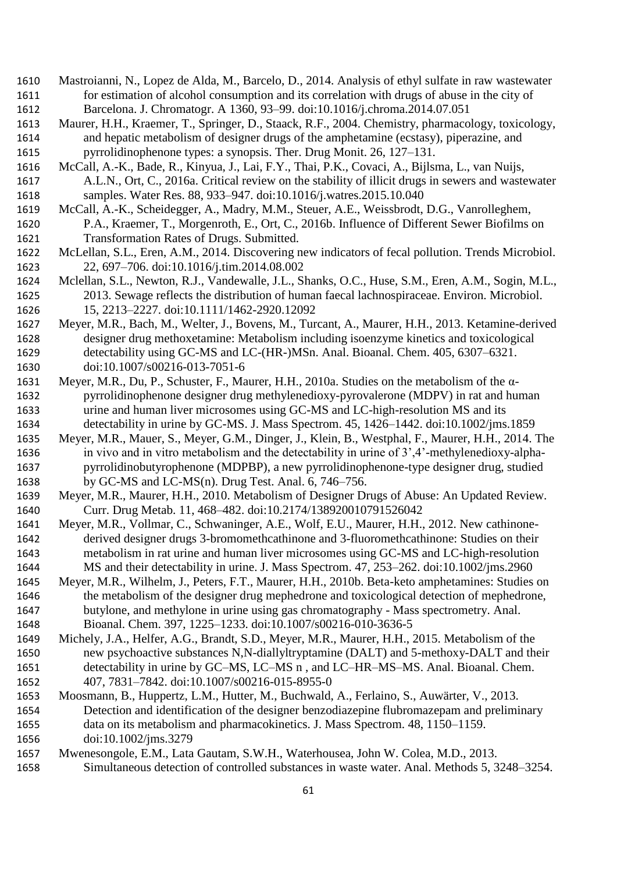- Mastroianni, N., Lopez de Alda, M., Barcelo, D., 2014. Analysis of ethyl sulfate in raw wastewater for estimation of alcohol consumption and its correlation with drugs of abuse in the city of Barcelona. J. Chromatogr. A 1360, 93–99. doi:10.1016/j.chroma.2014.07.051
- Maurer, H.H., Kraemer, T., Springer, D., Staack, R.F., 2004. Chemistry, pharmacology, toxicology, and hepatic metabolism of designer drugs of the amphetamine (ecstasy), piperazine, and pyrrolidinophenone types: a synopsis. Ther. Drug Monit. 26, 127–131.
- McCall, A.-K., Bade, R., Kinyua, J., Lai, F.Y., Thai, P.K., Covaci, A., Bijlsma, L., van Nuijs,
- A.L.N., Ort, C., 2016a. Critical review on the stability of illicit drugs in sewers and wastewater samples. Water Res. 88, 933–947. doi:10.1016/j.watres.2015.10.040
- McCall, A.-K., Scheidegger, A., Madry, M.M., Steuer, A.E., Weissbrodt, D.G., Vanrolleghem, P.A., Kraemer, T., Morgenroth, E., Ort, C., 2016b. Influence of Different Sewer Biofilms on Transformation Rates of Drugs. Submitted.
- McLellan, S.L., Eren, A.M., 2014. Discovering new indicators of fecal pollution. Trends Microbiol. 22, 697–706. doi:10.1016/j.tim.2014.08.002
- Mclellan, S.L., Newton, R.J., Vandewalle, J.L., Shanks, O.C., Huse, S.M., Eren, A.M., Sogin, M.L., 2013. Sewage reflects the distribution of human faecal lachnospiraceae. Environ. Microbiol. 15, 2213–2227. doi:10.1111/1462-2920.12092
- Meyer, M.R., Bach, M., Welter, J., Bovens, M., Turcant, A., Maurer, H.H., 2013. Ketamine-derived designer drug methoxetamine: Metabolism including isoenzyme kinetics and toxicological detectability using GC-MS and LC-(HR-)MSn. Anal. Bioanal. Chem. 405, 6307–6321. doi:10.1007/s00216-013-7051-6
- Meyer, M.R., Du, P., Schuster, F., Maurer, H.H., 2010a. Studies on the metabolism of the α- pyrrolidinophenone designer drug methylenedioxy-pyrovalerone (MDPV) in rat and human urine and human liver microsomes using GC-MS and LC-high-resolution MS and its detectability in urine by GC-MS. J. Mass Spectrom. 45, 1426–1442. doi:10.1002/jms.1859
- Meyer, M.R., Mauer, S., Meyer, G.M., Dinger, J., Klein, B., Westphal, F., Maurer, H.H., 2014. The in vivo and in vitro metabolism and the detectability in urine of 3',4'-methylenedioxy-alpha- pyrrolidinobutyrophenone (MDPBP), a new pyrrolidinophenone-type designer drug, studied by GC-MS and LC-MS(n). Drug Test. Anal. 6, 746–756.
- Meyer, M.R., Maurer, H.H., 2010. Metabolism of Designer Drugs of Abuse: An Updated Review. Curr. Drug Metab. 11, 468–482. doi:10.2174/138920010791526042
- Meyer, M.R., Vollmar, C., Schwaninger, A.E., Wolf, E.U., Maurer, H.H., 2012. New cathinone- derived designer drugs 3-bromomethcathinone and 3-fluoromethcathinone: Studies on their metabolism in rat urine and human liver microsomes using GC-MS and LC-high-resolution MS and their detectability in urine. J. Mass Spectrom. 47, 253–262. doi:10.1002/jms.2960
- Meyer, M.R., Wilhelm, J., Peters, F.T., Maurer, H.H., 2010b. Beta-keto amphetamines: Studies on the metabolism of the designer drug mephedrone and toxicological detection of mephedrone, butylone, and methylone in urine using gas chromatography - Mass spectrometry. Anal. Bioanal. Chem. 397, 1225–1233. doi:10.1007/s00216-010-3636-5
- Michely, J.A., Helfer, A.G., Brandt, S.D., Meyer, M.R., Maurer, H.H., 2015. Metabolism of the new psychoactive substances N,N-diallyltryptamine (DALT) and 5-methoxy-DALT and their detectability in urine by GC–MS, LC–MS n , and LC–HR–MS–MS. Anal. Bioanal. Chem. 407, 7831–7842. doi:10.1007/s00216-015-8955-0
- Moosmann, B., Huppertz, L.M., Hutter, M., Buchwald, A., Ferlaino, S., Auwärter, V., 2013. Detection and identification of the designer benzodiazepine flubromazepam and preliminary data on its metabolism and pharmacokinetics. J. Mass Spectrom. 48, 1150–1159. doi:10.1002/jms.3279
- Mwenesongole, E.M., Lata Gautam, S.W.H., Waterhousea, John W. Colea, M.D., 2013.
- Simultaneous detection of controlled substances in waste water. Anal. Methods 5, 3248–3254.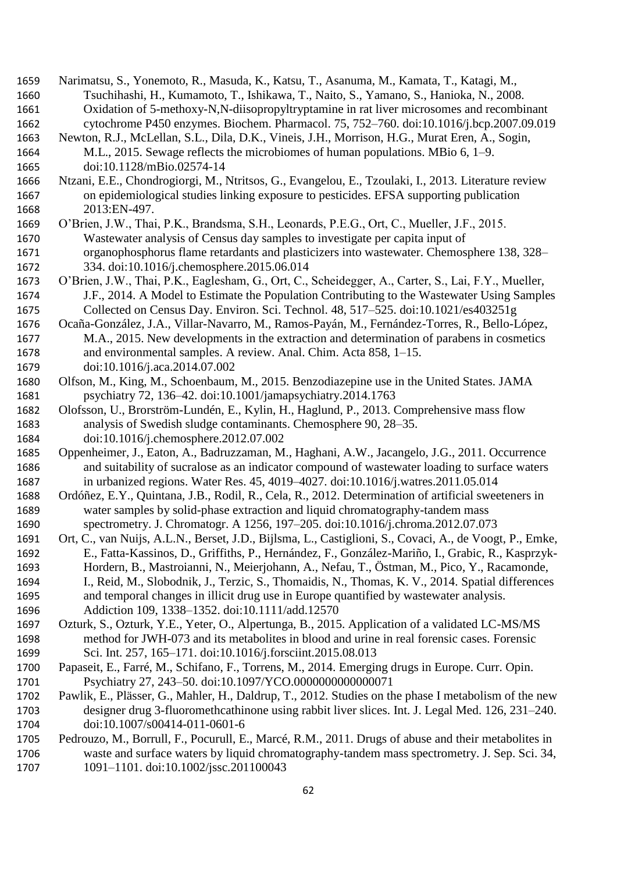- Narimatsu, S., Yonemoto, R., Masuda, K., Katsu, T., Asanuma, M., Kamata, T., Katagi, M., Tsuchihashi, H., Kumamoto, T., Ishikawa, T., Naito, S., Yamano, S., Hanioka, N., 2008. Oxidation of 5-methoxy-N,N-diisopropyltryptamine in rat liver microsomes and recombinant cytochrome P450 enzymes. Biochem. Pharmacol. 75, 752–760. doi:10.1016/j.bcp.2007.09.019
- Newton, R.J., McLellan, S.L., Dila, D.K., Vineis, J.H., Morrison, H.G., Murat Eren, A., Sogin, M.L., 2015. Sewage reflects the microbiomes of human populations. MBio 6, 1–9. doi:10.1128/mBio.02574-14
- Ntzani, E.E., Chondrogiorgi, M., Ntritsos, G., Evangelou, E., Tzoulaki, I., 2013. Literature review on epidemiological studies linking exposure to pesticides. EFSA supporting publication 2013:EN-497.
- O'Brien, J.W., Thai, P.K., Brandsma, S.H., Leonards, P.E.G., Ort, C., Mueller, J.F., 2015. Wastewater analysis of Census day samples to investigate per capita input of organophosphorus flame retardants and plasticizers into wastewater. Chemosphere 138, 328– 334. doi:10.1016/j.chemosphere.2015.06.014
- O'Brien, J.W., Thai, P.K., Eaglesham, G., Ort, C., Scheidegger, A., Carter, S., Lai, F.Y., Mueller, J.F., 2014. A Model to Estimate the Population Contributing to the Wastewater Using Samples Collected on Census Day. Environ. Sci. Technol. 48, 517–525. doi:10.1021/es403251g
- Ocaña-González, J.A., Villar-Navarro, M., Ramos-Payán, M., Fernández-Torres, R., Bello-López,
- M.A., 2015. New developments in the extraction and determination of parabens in cosmetics and environmental samples. A review. Anal. Chim. Acta 858, 1–15. doi:10.1016/j.aca.2014.07.002
- Olfson, M., King, M., Schoenbaum, M., 2015. Benzodiazepine use in the United States. JAMA psychiatry 72, 136–42. doi:10.1001/jamapsychiatry.2014.1763
- Olofsson, U., Brorström-Lundén, E., Kylin, H., Haglund, P., 2013. Comprehensive mass flow analysis of Swedish sludge contaminants. Chemosphere 90, 28–35. doi:10.1016/j.chemosphere.2012.07.002
- Oppenheimer, J., Eaton, A., Badruzzaman, M., Haghani, A.W., Jacangelo, J.G., 2011. Occurrence and suitability of sucralose as an indicator compound of wastewater loading to surface waters in urbanized regions. Water Res. 45, 4019–4027. doi:10.1016/j.watres.2011.05.014
- Ordóñez, E.Y., Quintana, J.B., Rodil, R., Cela, R., 2012. Determination of artificial sweeteners in water samples by solid-phase extraction and liquid chromatography-tandem mass
- spectrometry. J. Chromatogr. A 1256, 197–205. doi:10.1016/j.chroma.2012.07.073
- Ort, C., van Nuijs, A.L.N., Berset, J.D., Bijlsma, L., Castiglioni, S., Covaci, A., de Voogt, P., Emke, E., Fatta-Kassinos, D., Griffiths, P., Hernández, F., González-Mariño, I., Grabic, R., Kasprzyk-Hordern, B., Mastroianni, N., Meierjohann, A., Nefau, T., Östman, M., Pico, Y., Racamonde,
- I., Reid, M., Slobodnik, J., Terzic, S., Thomaidis, N., Thomas, K. V., 2014. Spatial differences and temporal changes in illicit drug use in Europe quantified by wastewater analysis. Addiction 109, 1338–1352. doi:10.1111/add.12570
- Ozturk, S., Ozturk, Y.E., Yeter, O., Alpertunga, B., 2015. Application of a validated LC-MS/MS method for JWH-073 and its metabolites in blood and urine in real forensic cases. Forensic Sci. Int. 257, 165–171. doi:10.1016/j.forsciint.2015.08.013
- Papaseit, E., Farré, M., Schifano, F., Torrens, M., 2014. Emerging drugs in Europe. Curr. Opin. Psychiatry 27, 243–50. doi:10.1097/YCO.0000000000000071
- Pawlik, E., Plässer, G., Mahler, H., Daldrup, T., 2012. Studies on the phase I metabolism of the new designer drug 3-fluoromethcathinone using rabbit liver slices. Int. J. Legal Med. 126, 231–240. doi:10.1007/s00414-011-0601-6
- Pedrouzo, M., Borrull, F., Pocurull, E., Marcé, R.M., 2011. Drugs of abuse and their metabolites in waste and surface waters by liquid chromatography-tandem mass spectrometry. J. Sep. Sci. 34, 1091–1101. doi:10.1002/jssc.201100043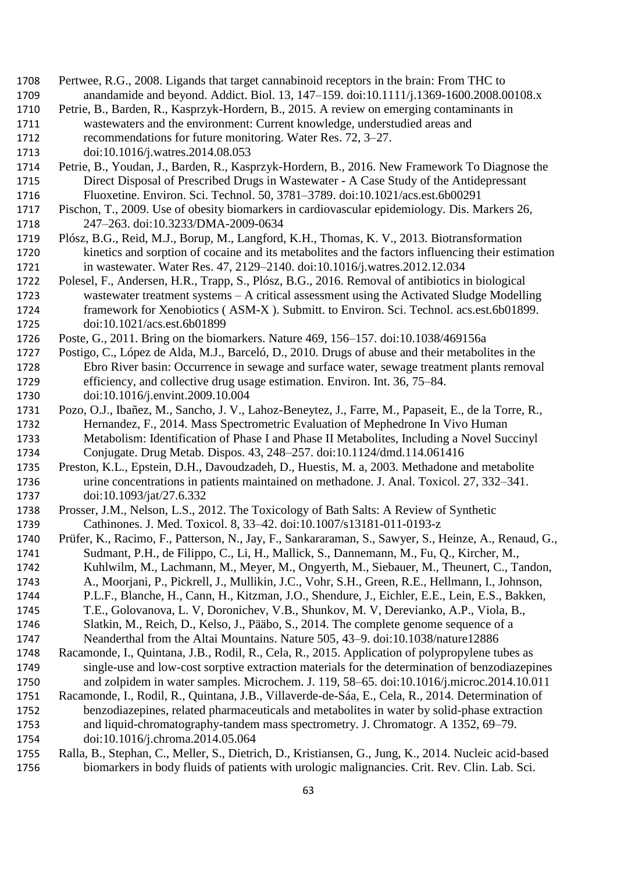- Pertwee, R.G., 2008. Ligands that target cannabinoid receptors in the brain: From THC to anandamide and beyond. Addict. Biol. 13, 147–159. doi:10.1111/j.1369-1600.2008.00108.x
- Petrie, B., Barden, R., Kasprzyk-Hordern, B., 2015. A review on emerging contaminants in wastewaters and the environment: Current knowledge, understudied areas and recommendations for future monitoring. Water Res. 72, 3–27.
- doi:10.1016/j.watres.2014.08.053
- Petrie, B., Youdan, J., Barden, R., Kasprzyk-Hordern, B., 2016. New Framework To Diagnose the Direct Disposal of Prescribed Drugs in Wastewater - A Case Study of the Antidepressant Fluoxetine. Environ. Sci. Technol. 50, 3781–3789. doi:10.1021/acs.est.6b00291
- Pischon, T., 2009. Use of obesity biomarkers in cardiovascular epidemiology. Dis. Markers 26, 247–263. doi:10.3233/DMA-2009-0634
- Plósz, B.G., Reid, M.J., Borup, M., Langford, K.H., Thomas, K. V., 2013. Biotransformation kinetics and sorption of cocaine and its metabolites and the factors influencing their estimation in wastewater. Water Res. 47, 2129–2140. doi:10.1016/j.watres.2012.12.034
- Polesel, F., Andersen, H.R., Trapp, S., Plósz, B.G., 2016. Removal of antibiotics in biological wastewater treatment systems – A critical assessment using the Activated Sludge Modelling framework for Xenobiotics ( ASM-X ). Submitt. to Environ. Sci. Technol. acs.est.6b01899. doi:10.1021/acs.est.6b01899
- Poste, G., 2011. Bring on the biomarkers. Nature 469, 156–157. doi:10.1038/469156a
- Postigo, C., López de Alda, M.J., Barceló, D., 2010. Drugs of abuse and their metabolites in the Ebro River basin: Occurrence in sewage and surface water, sewage treatment plants removal efficiency, and collective drug usage estimation. Environ. Int. 36, 75–84. doi:10.1016/j.envint.2009.10.004
- Pozo, O.J., Ibañez, M., Sancho, J. V., Lahoz-Beneytez, J., Farre, M., Papaseit, E., de la Torre, R., Hernandez, F., 2014. Mass Spectrometric Evaluation of Mephedrone In Vivo Human Metabolism: Identification of Phase I and Phase II Metabolites, Including a Novel Succinyl Conjugate. Drug Metab. Dispos. 43, 248–257. doi:10.1124/dmd.114.061416
- Preston, K.L., Epstein, D.H., Davoudzadeh, D., Huestis, M. a, 2003. Methadone and metabolite urine concentrations in patients maintained on methadone. J. Anal. Toxicol. 27, 332–341. doi:10.1093/jat/27.6.332
- Prosser, J.M., Nelson, L.S., 2012. The Toxicology of Bath Salts: A Review of Synthetic Cathinones. J. Med. Toxicol. 8, 33–42. doi:10.1007/s13181-011-0193-z
- Prüfer, K., Racimo, F., Patterson, N., Jay, F., Sankararaman, S., Sawyer, S., Heinze, A., Renaud, G., Sudmant, P.H., de Filippo, C., Li, H., Mallick, S., Dannemann, M., Fu, Q., Kircher, M.,
- Kuhlwilm, M., Lachmann, M., Meyer, M., Ongyerth, M., Siebauer, M., Theunert, C., Tandon,
- A., Moorjani, P., Pickrell, J., Mullikin, J.C., Vohr, S.H., Green, R.E., Hellmann, I., Johnson,
- P.L.F., Blanche, H., Cann, H., Kitzman, J.O., Shendure, J., Eichler, E.E., Lein, E.S., Bakken,
- T.E., Golovanova, L. V, Doronichev, V.B., Shunkov, M. V, Derevianko, A.P., Viola, B., Slatkin, M., Reich, D., Kelso, J., Pääbo, S., 2014. The complete genome sequence of a
- Neanderthal from the Altai Mountains. Nature 505, 43–9. doi:10.1038/nature12886
- Racamonde, I., Quintana, J.B., Rodil, R., Cela, R., 2015. Application of polypropylene tubes as single-use and low-cost sorptive extraction materials for the determination of benzodiazepines and zolpidem in water samples. Microchem. J. 119, 58–65. doi:10.1016/j.microc.2014.10.011
- Racamonde, I., Rodil, R., Quintana, J.B., Villaverde-de-Sáa, E., Cela, R., 2014. Determination of
- benzodiazepines, related pharmaceuticals and metabolites in water by solid-phase extraction and liquid-chromatography-tandem mass spectrometry. J. Chromatogr. A 1352, 69–79.
- doi:10.1016/j.chroma.2014.05.064
- Ralla, B., Stephan, C., Meller, S., Dietrich, D., Kristiansen, G., Jung, K., 2014. Nucleic acid-based biomarkers in body fluids of patients with urologic malignancies. Crit. Rev. Clin. Lab. Sci.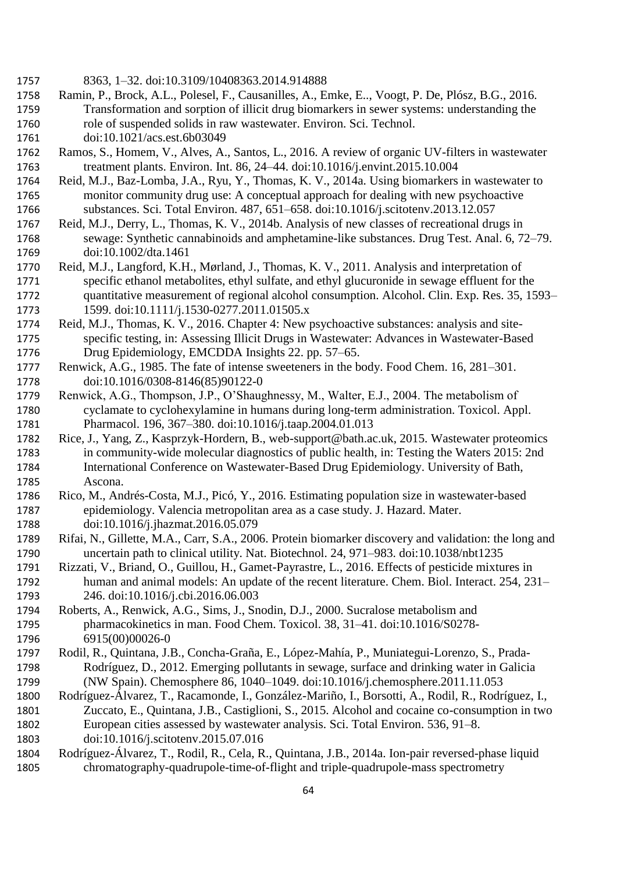- 8363, 1–32. doi:10.3109/10408363.2014.914888
- Ramin, P., Brock, A.L., Polesel, F., Causanilles, A., Emke, E.., Voogt, P. De, Plósz, B.G., 2016. Transformation and sorption of illicit drug biomarkers in sewer systems: understanding the role of suspended solids in raw wastewater. Environ. Sci. Technol.
- doi:10.1021/acs.est.6b03049
- Ramos, S., Homem, V., Alves, A., Santos, L., 2016. A review of organic UV-filters in wastewater treatment plants. Environ. Int. 86, 24–44. doi:10.1016/j.envint.2015.10.004
- Reid, M.J., Baz-Lomba, J.A., Ryu, Y., Thomas, K. V., 2014a. Using biomarkers in wastewater to monitor community drug use: A conceptual approach for dealing with new psychoactive substances. Sci. Total Environ. 487, 651–658. doi:10.1016/j.scitotenv.2013.12.057
- Reid, M.J., Derry, L., Thomas, K. V., 2014b. Analysis of new classes of recreational drugs in sewage: Synthetic cannabinoids and amphetamine-like substances. Drug Test. Anal. 6, 72–79. doi:10.1002/dta.1461
- Reid, M.J., Langford, K.H., Mørland, J., Thomas, K. V., 2011. Analysis and interpretation of specific ethanol metabolites, ethyl sulfate, and ethyl glucuronide in sewage effluent for the quantitative measurement of regional alcohol consumption. Alcohol. Clin. Exp. Res. 35, 1593– 1599. doi:10.1111/j.1530-0277.2011.01505.x
- Reid, M.J., Thomas, K. V., 2016. Chapter 4: New psychoactive substances: analysis and site- specific testing, in: Assessing Illicit Drugs in Wastewater: Advances in Wastewater-Based Drug Epidemiology, EMCDDA Insights 22. pp. 57–65.
- Renwick, A.G., 1985. The fate of intense sweeteners in the body. Food Chem. 16, 281–301. doi:10.1016/0308-8146(85)90122-0
- Renwick, A.G., Thompson, J.P., O'Shaughnessy, M., Walter, E.J., 2004. The metabolism of cyclamate to cyclohexylamine in humans during long-term administration. Toxicol. Appl. Pharmacol. 196, 367–380. doi:10.1016/j.taap.2004.01.013
- Rice, J., Yang, Z., Kasprzyk-Hordern, B., web-support@bath.ac.uk, 2015. Wastewater proteomics in community-wide molecular diagnostics of public health, in: Testing the Waters 2015: 2nd International Conference on Wastewater-Based Drug Epidemiology. University of Bath, Ascona.
- Rico, M., Andrés-Costa, M.J., Picó, Y., 2016. Estimating population size in wastewater-based epidemiology. Valencia metropolitan area as a case study. J. Hazard. Mater. doi:10.1016/j.jhazmat.2016.05.079
- Rifai, N., Gillette, M.A., Carr, S.A., 2006. Protein biomarker discovery and validation: the long and uncertain path to clinical utility. Nat. Biotechnol. 24, 971–983. doi:10.1038/nbt1235
- Rizzati, V., Briand, O., Guillou, H., Gamet-Payrastre, L., 2016. Effects of pesticide mixtures in human and animal models: An update of the recent literature. Chem. Biol. Interact. 254, 231– 246. doi:10.1016/j.cbi.2016.06.003
- Roberts, A., Renwick, A.G., Sims, J., Snodin, D.J., 2000. Sucralose metabolism and pharmacokinetics in man. Food Chem. Toxicol. 38, 31–41. doi:10.1016/S0278- 6915(00)00026-0
- Rodil, R., Quintana, J.B., Concha-Graña, E., López-Mahía, P., Muniategui-Lorenzo, S., Prada- Rodríguez, D., 2012. Emerging pollutants in sewage, surface and drinking water in Galicia (NW Spain). Chemosphere 86, 1040–1049. doi:10.1016/j.chemosphere.2011.11.053
- Rodríguez-Álvarez, T., Racamonde, I., González-Mariño, I., Borsotti, A., Rodil, R., Rodríguez, I., Zuccato, E., Quintana, J.B., Castiglioni, S., 2015. Alcohol and cocaine co-consumption in two European cities assessed by wastewater analysis. Sci. Total Environ. 536, 91–8.
- doi:10.1016/j.scitotenv.2015.07.016
- Rodríguez-Álvarez, T., Rodil, R., Cela, R., Quintana, J.B., 2014a. Ion-pair reversed-phase liquid chromatography-quadrupole-time-of-flight and triple-quadrupole-mass spectrometry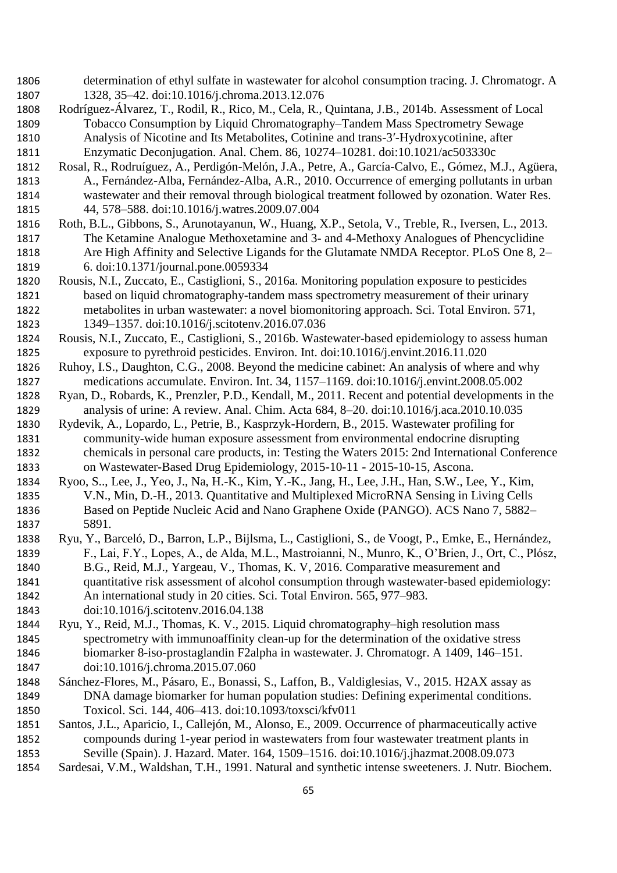- determination of ethyl sulfate in wastewater for alcohol consumption tracing. J. Chromatogr. A 1328, 35–42. doi:10.1016/j.chroma.2013.12.076
- Rodríguez-Álvarez, T., Rodil, R., Rico, M., Cela, R., Quintana, J.B., 2014b. Assessment of Local Tobacco Consumption by Liquid Chromatography–Tandem Mass Spectrometry Sewage Analysis of Nicotine and Its Metabolites, Cotinine and trans-3′-Hydroxycotinine, after Enzymatic Deconjugation. Anal. Chem. 86, 10274–10281. doi:10.1021/ac503330c
- Rosal, R., Rodruíguez, A., Perdigón-Melón, J.A., Petre, A., García-Calvo, E., Gómez, M.J., Agüera, A., Fernández-Alba, Fernández-Alba, A.R., 2010. Occurrence of emerging pollutants in urban wastewater and their removal through biological treatment followed by ozonation. Water Res. 44, 578–588. doi:10.1016/j.watres.2009.07.004
- Roth, B.L., Gibbons, S., Arunotayanun, W., Huang, X.P., Setola, V., Treble, R., Iversen, L., 2013. The Ketamine Analogue Methoxetamine and 3- and 4-Methoxy Analogues of Phencyclidine Are High Affinity and Selective Ligands for the Glutamate NMDA Receptor. PLoS One 8, 2– 6. doi:10.1371/journal.pone.0059334
- Rousis, N.I., Zuccato, E., Castiglioni, S., 2016a. Monitoring population exposure to pesticides based on liquid chromatography-tandem mass spectrometry measurement of their urinary metabolites in urban wastewater: a novel biomonitoring approach. Sci. Total Environ. 571, 1349–1357. doi:10.1016/j.scitotenv.2016.07.036
- Rousis, N.I., Zuccato, E., Castiglioni, S., 2016b. Wastewater-based epidemiology to assess human exposure to pyrethroid pesticides. Environ. Int. doi:10.1016/j.envint.2016.11.020
- Ruhoy, I.S., Daughton, C.G., 2008. Beyond the medicine cabinet: An analysis of where and why medications accumulate. Environ. Int. 34, 1157–1169. doi:10.1016/j.envint.2008.05.002
- Ryan, D., Robards, K., Prenzler, P.D., Kendall, M., 2011. Recent and potential developments in the analysis of urine: A review. Anal. Chim. Acta 684, 8–20. doi:10.1016/j.aca.2010.10.035
- Rydevik, A., Lopardo, L., Petrie, B., Kasprzyk-Hordern, B., 2015. Wastewater profiling for community-wide human exposure assessment from environmental endocrine disrupting chemicals in personal care products, in: Testing the Waters 2015: 2nd International Conference on Wastewater-Based Drug Epidemiology, 2015-10-11 - 2015-10-15, Ascona.
- Ryoo, S.., Lee, J., Yeo, J., Na, H.-K., Kim, Y.-K., Jang, H., Lee, J.H., Han, S.W., Lee, Y., Kim, V.N., Min, D.-H., 2013. Quantitative and Multiplexed MicroRNA Sensing in Living Cells Based on Peptide Nucleic Acid and Nano Graphene Oxide (PANGO). ACS Nano 7, 5882– 5891.
- Ryu, Y., Barceló, D., Barron, L.P., Bijlsma, L., Castiglioni, S., de Voogt, P., Emke, E., Hernández, F., Lai, F.Y., Lopes, A., de Alda, M.L., Mastroianni, N., Munro, K., O'Brien, J., Ort, C., Plósz,
- B.G., Reid, M.J., Yargeau, V., Thomas, K. V, 2016. Comparative measurement and quantitative risk assessment of alcohol consumption through wastewater-based epidemiology:
- An international study in 20 cities. Sci. Total Environ. 565, 977–983.
- doi:10.1016/j.scitotenv.2016.04.138
- Ryu, Y., Reid, M.J., Thomas, K. V., 2015. Liquid chromatography–high resolution mass spectrometry with immunoaffinity clean-up for the determination of the oxidative stress biomarker 8-iso-prostaglandin F2alpha in wastewater. J. Chromatogr. A 1409, 146–151. doi:10.1016/j.chroma.2015.07.060
- Sánchez-Flores, M., Pásaro, E., Bonassi, S., Laffon, B., Valdiglesias, V., 2015. H2AX assay as DNA damage biomarker for human population studies: Defining experimental conditions. Toxicol. Sci. 144, 406–413. doi:10.1093/toxsci/kfv011
- Santos, J.L., Aparicio, I., Callejón, M., Alonso, E., 2009. Occurrence of pharmaceutically active compounds during 1-year period in wastewaters from four wastewater treatment plants in Seville (Spain). J. Hazard. Mater. 164, 1509–1516. doi:10.1016/j.jhazmat.2008.09.073
- Sardesai, V.M., Waldshan, T.H., 1991. Natural and synthetic intense sweeteners. J. Nutr. Biochem.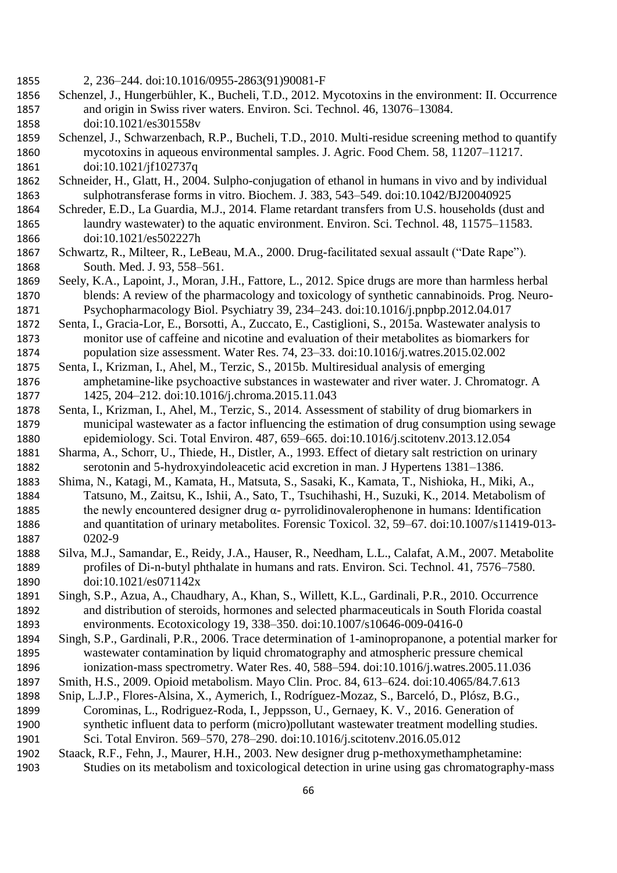- 2, 236–244. doi:10.1016/0955-2863(91)90081-F
- Schenzel, J., Hungerbühler, K., Bucheli, T.D., 2012. Mycotoxins in the environment: II. Occurrence and origin in Swiss river waters. Environ. Sci. Technol. 46, 13076–13084. doi:10.1021/es301558v
- Schenzel, J., Schwarzenbach, R.P., Bucheli, T.D., 2010. Multi-residue screening method to quantify mycotoxins in aqueous environmental samples. J. Agric. Food Chem. 58, 11207–11217. doi:10.1021/jf102737q
- Schneider, H., Glatt, H., 2004. Sulpho-conjugation of ethanol in humans in vivo and by individual sulphotransferase forms in vitro. Biochem. J. 383, 543–549. doi:10.1042/BJ20040925
- Schreder, E.D., La Guardia, M.J., 2014. Flame retardant transfers from U.S. households (dust and laundry wastewater) to the aquatic environment. Environ. Sci. Technol. 48, 11575–11583. doi:10.1021/es502227h
- Schwartz, R., Milteer, R., LeBeau, M.A., 2000. Drug-facilitated sexual assault ("Date Rape"). South. Med. J. 93, 558–561.
- Seely, K.A., Lapoint, J., Moran, J.H., Fattore, L., 2012. Spice drugs are more than harmless herbal blends: A review of the pharmacology and toxicology of synthetic cannabinoids. Prog. Neuro-Psychopharmacology Biol. Psychiatry 39, 234–243. doi:10.1016/j.pnpbp.2012.04.017
- Senta, I., Gracia-Lor, E., Borsotti, A., Zuccato, E., Castiglioni, S., 2015a. Wastewater analysis to monitor use of caffeine and nicotine and evaluation of their metabolites as biomarkers for population size assessment. Water Res. 74, 23–33. doi:10.1016/j.watres.2015.02.002
- Senta, I., Krizman, I., Ahel, M., Terzic, S., 2015b. Multiresidual analysis of emerging amphetamine-like psychoactive substances in wastewater and river water. J. Chromatogr. A 1425, 204–212. doi:10.1016/j.chroma.2015.11.043
- Senta, I., Krizman, I., Ahel, M., Terzic, S., 2014. Assessment of stability of drug biomarkers in municipal wastewater as a factor influencing the estimation of drug consumption using sewage epidemiology. Sci. Total Environ. 487, 659–665. doi:10.1016/j.scitotenv.2013.12.054
- Sharma, A., Schorr, U., Thiede, H., Distler, A., 1993. Effect of dietary salt restriction on urinary serotonin and 5-hydroxyindoleacetic acid excretion in man. J Hypertens 1381–1386.
- Shima, N., Katagi, M., Kamata, H., Matsuta, S., Sasaki, K., Kamata, T., Nishioka, H., Miki, A., Tatsuno, M., Zaitsu, K., Ishii, A., Sato, T., Tsuchihashi, H., Suzuki, K., 2014. Metabolism of the newly encountered designer drug α- pyrrolidinovalerophenone in humans: Identification and quantitation of urinary metabolites. Forensic Toxicol. 32, 59–67. doi:10.1007/s11419-013- 0202-9
- Silva, M.J., Samandar, E., Reidy, J.A., Hauser, R., Needham, L.L., Calafat, A.M., 2007. Metabolite profiles of Di-n-butyl phthalate in humans and rats. Environ. Sci. Technol. 41, 7576–7580. doi:10.1021/es071142x
- Singh, S.P., Azua, A., Chaudhary, A., Khan, S., Willett, K.L., Gardinali, P.R., 2010. Occurrence and distribution of steroids, hormones and selected pharmaceuticals in South Florida coastal environments. Ecotoxicology 19, 338–350. doi:10.1007/s10646-009-0416-0
- Singh, S.P., Gardinali, P.R., 2006. Trace determination of 1-aminopropanone, a potential marker for wastewater contamination by liquid chromatography and atmospheric pressure chemical ionization-mass spectrometry. Water Res. 40, 588–594. doi:10.1016/j.watres.2005.11.036
- Smith, H.S., 2009. Opioid metabolism. Mayo Clin. Proc. 84, 613–624. doi:10.4065/84.7.613
- Snip, L.J.P., Flores-Alsina, X., Aymerich, I., Rodríguez-Mozaz, S., Barceló, D., Plósz, B.G.,
- Corominas, L., Rodriguez-Roda, I., Jeppsson, U., Gernaey, K. V., 2016. Generation of synthetic influent data to perform (micro)pollutant wastewater treatment modelling studies. Sci. Total Environ. 569–570, 278–290. doi:10.1016/j.scitotenv.2016.05.012
- Staack, R.F., Fehn, J., Maurer, H.H., 2003. New designer drug p-methoxymethamphetamine:
- Studies on its metabolism and toxicological detection in urine using gas chromatography-mass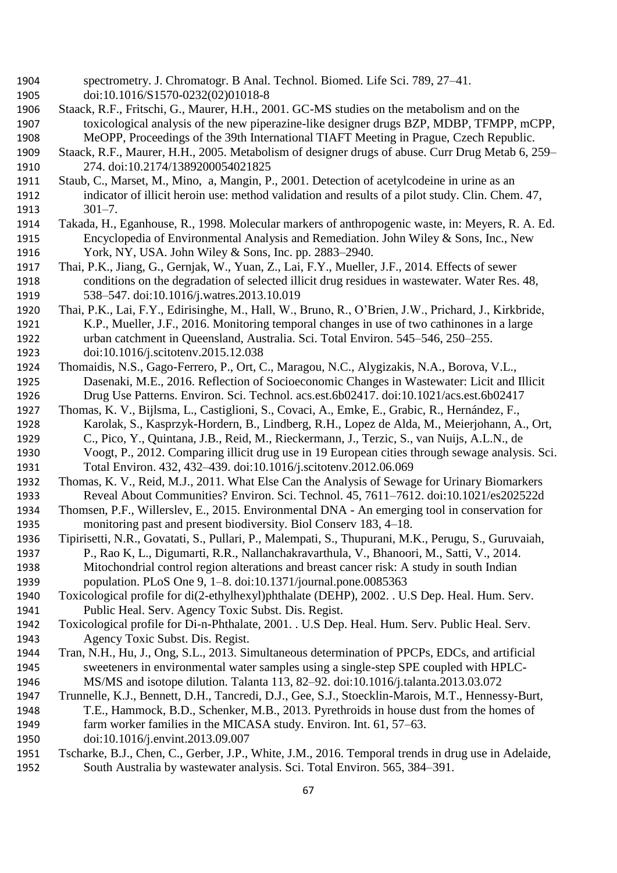- spectrometry. J. Chromatogr. B Anal. Technol. Biomed. Life Sci. 789, 27–41. doi:10.1016/S1570-0232(02)01018-8
- Staack, R.F., Fritschi, G., Maurer, H.H., 2001. GC-MS studies on the metabolism and on the toxicological analysis of the new piperazine-like designer drugs BZP, MDBP, TFMPP, mCPP, MeOPP, Proceedings of the 39th International TIAFT Meeting in Prague, Czech Republic.
- Staack, R.F., Maurer, H.H., 2005. Metabolism of designer drugs of abuse. Curr Drug Metab 6, 259– 274. doi:10.2174/1389200054021825
- Staub, C., Marset, M., Mino, a, Mangin, P., 2001. Detection of acetylcodeine in urine as an indicator of illicit heroin use: method validation and results of a pilot study. Clin. Chem. 47, 301–7.
- Takada, H., Eganhouse, R., 1998. Molecular markers of anthropogenic waste, in: Meyers, R. A. Ed. Encyclopedia of Environmental Analysis and Remediation. John Wiley & Sons, Inc., New York, NY, USA. John Wiley & Sons, Inc. pp. 2883–2940.
- Thai, P.K., Jiang, G., Gernjak, W., Yuan, Z., Lai, F.Y., Mueller, J.F., 2014. Effects of sewer conditions on the degradation of selected illicit drug residues in wastewater. Water Res. 48, 538–547. doi:10.1016/j.watres.2013.10.019
- Thai, P.K., Lai, F.Y., Edirisinghe, M., Hall, W., Bruno, R., O'Brien, J.W., Prichard, J., Kirkbride, K.P., Mueller, J.F., 2016. Monitoring temporal changes in use of two cathinones in a large urban catchment in Queensland, Australia. Sci. Total Environ. 545–546, 250–255. doi:10.1016/j.scitotenv.2015.12.038
- Thomaidis, N.S., Gago-Ferrero, P., Ort, C., Maragou, N.C., Alygizakis, N.A., Borova, V.L., Dasenaki, M.E., 2016. Reflection of Socioeconomic Changes in Wastewater: Licit and Illicit Drug Use Patterns. Environ. Sci. Technol. acs.est.6b02417. doi:10.1021/acs.est.6b02417
- Thomas, K. V., Bijlsma, L., Castiglioni, S., Covaci, A., Emke, E., Grabic, R., Hernández, F., Karolak, S., Kasprzyk-Hordern, B., Lindberg, R.H., Lopez de Alda, M., Meierjohann, A., Ort, C., Pico, Y., Quintana, J.B., Reid, M., Rieckermann, J., Terzic, S., van Nuijs, A.L.N., de Voogt, P., 2012. Comparing illicit drug use in 19 European cities through sewage analysis. Sci.
- Total Environ. 432, 432–439. doi:10.1016/j.scitotenv.2012.06.069
- Thomas, K. V., Reid, M.J., 2011. What Else Can the Analysis of Sewage for Urinary Biomarkers Reveal About Communities? Environ. Sci. Technol. 45, 7611–7612. doi:10.1021/es202522d
- Thomsen, P.F., Willerslev, E., 2015. Environmental DNA An emerging tool in conservation for monitoring past and present biodiversity. Biol Conserv 183, 4–18.
- Tipirisetti, N.R., Govatati, S., Pullari, P., Malempati, S., Thupurani, M.K., Perugu, S., Guruvaiah, P., Rao K, L., Digumarti, R.R., Nallanchakravarthula, V., Bhanoori, M., Satti, V., 2014. Mitochondrial control region alterations and breast cancer risk: A study in south Indian
- population. PLoS One 9, 1–8. doi:10.1371/journal.pone.0085363
- Toxicological profile for di(2-ethylhexyl)phthalate (DEHP), 2002. . U.S Dep. Heal. Hum. Serv. Public Heal. Serv. Agency Toxic Subst. Dis. Regist.
- Toxicological profile for Di-n-Phthalate, 2001. . U.S Dep. Heal. Hum. Serv. Public Heal. Serv. Agency Toxic Subst. Dis. Regist.
- Tran, N.H., Hu, J., Ong, S.L., 2013. Simultaneous determination of PPCPs, EDCs, and artificial sweeteners in environmental water samples using a single-step SPE coupled with HPLC-MS/MS and isotope dilution. Talanta 113, 82–92. doi:10.1016/j.talanta.2013.03.072
- Trunnelle, K.J., Bennett, D.H., Tancredi, D.J., Gee, S.J., Stoecklin-Marois, M.T., Hennessy-Burt, T.E., Hammock, B.D., Schenker, M.B., 2013. Pyrethroids in house dust from the homes of
- farm worker families in the MICASA study. Environ. Int. 61, 57–63.
- doi:10.1016/j.envint.2013.09.007
- Tscharke, B.J., Chen, C., Gerber, J.P., White, J.M., 2016. Temporal trends in drug use in Adelaide, South Australia by wastewater analysis. Sci. Total Environ. 565, 384–391.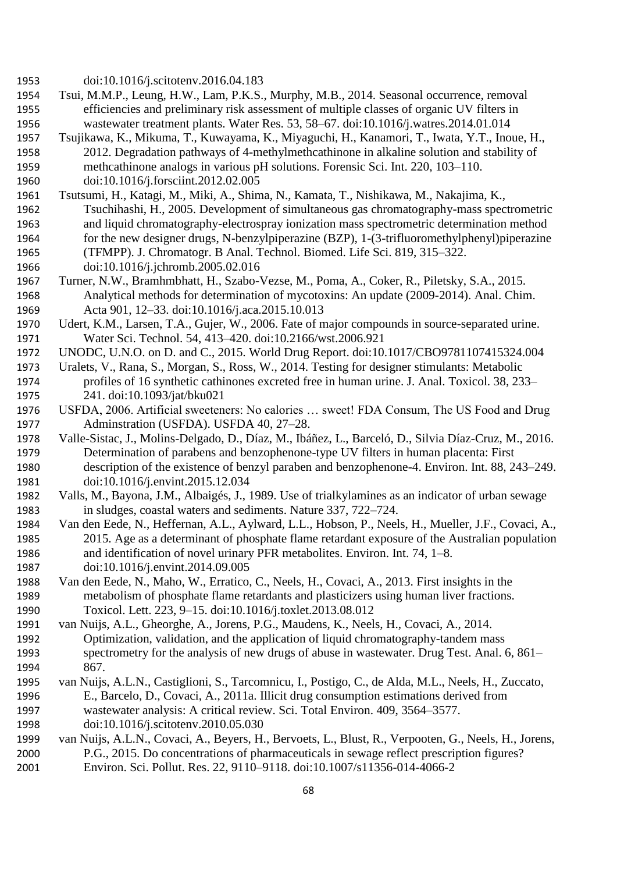- doi:10.1016/j.scitotenv.2016.04.183
- Tsui, M.M.P., Leung, H.W., Lam, P.K.S., Murphy, M.B., 2014. Seasonal occurrence, removal efficiencies and preliminary risk assessment of multiple classes of organic UV filters in wastewater treatment plants. Water Res. 53, 58–67. doi:10.1016/j.watres.2014.01.014
- Tsujikawa, K., Mikuma, T., Kuwayama, K., Miyaguchi, H., Kanamori, T., Iwata, Y.T., Inoue, H., 2012. Degradation pathways of 4-methylmethcathinone in alkaline solution and stability of methcathinone analogs in various pH solutions. Forensic Sci. Int. 220, 103–110. doi:10.1016/j.forsciint.2012.02.005
- Tsutsumi, H., Katagi, M., Miki, A., Shima, N., Kamata, T., Nishikawa, M., Nakajima, K., Tsuchihashi, H., 2005. Development of simultaneous gas chromatography-mass spectrometric and liquid chromatography-electrospray ionization mass spectrometric determination method for the new designer drugs, N-benzylpiperazine (BZP), 1-(3-trifluoromethylphenyl)piperazine (TFMPP). J. Chromatogr. B Anal. Technol. Biomed. Life Sci. 819, 315–322.
- doi:10.1016/j.jchromb.2005.02.016
- Turner, N.W., Bramhmbhatt, H., Szabo-Vezse, M., Poma, A., Coker, R., Piletsky, S.A., 2015. Analytical methods for determination of mycotoxins: An update (2009-2014). Anal. Chim. Acta 901, 12–33. doi:10.1016/j.aca.2015.10.013
- Udert, K.M., Larsen, T.A., Gujer, W., 2006. Fate of major compounds in source-separated urine. Water Sci. Technol. 54, 413–420. doi:10.2166/wst.2006.921
- UNODC, U.N.O. on D. and C., 2015. World Drug Report. doi:10.1017/CBO9781107415324.004
- Uralets, V., Rana, S., Morgan, S., Ross, W., 2014. Testing for designer stimulants: Metabolic profiles of 16 synthetic cathinones excreted free in human urine. J. Anal. Toxicol. 38, 233– 241. doi:10.1093/jat/bku021
- USFDA, 2006. Artificial sweeteners: No calories … sweet! FDA Consum, The US Food and Drug Adminstration (USFDA). USFDA 40, 27–28.
- Valle-Sistac, J., Molins-Delgado, D., Díaz, M., Ibáñez, L., Barceló, D., Silvia Díaz-Cruz, M., 2016. Determination of parabens and benzophenone-type UV filters in human placenta: First description of the existence of benzyl paraben and benzophenone-4. Environ. Int. 88, 243–249. doi:10.1016/j.envint.2015.12.034
- Valls, M., Bayona, J.M., Albaigés, J., 1989. Use of trialkylamines as an indicator of urban sewage in sludges, coastal waters and sediments. Nature 337, 722–724.
- Van den Eede, N., Heffernan, A.L., Aylward, L.L., Hobson, P., Neels, H., Mueller, J.F., Covaci, A., 2015. Age as a determinant of phosphate flame retardant exposure of the Australian population and identification of novel urinary PFR metabolites. Environ. Int. 74, 1–8. doi:10.1016/j.envint.2014.09.005
- Van den Eede, N., Maho, W., Erratico, C., Neels, H., Covaci, A., 2013. First insights in the metabolism of phosphate flame retardants and plasticizers using human liver fractions. Toxicol. Lett. 223, 9–15. doi:10.1016/j.toxlet.2013.08.012
- van Nuijs, A.L., Gheorghe, A., Jorens, P.G., Maudens, K., Neels, H., Covaci, A., 2014. Optimization, validation, and the application of liquid chromatography-tandem mass spectrometry for the analysis of new drugs of abuse in wastewater. Drug Test. Anal. 6, 861– 867.
- van Nuijs, A.L.N., Castiglioni, S., Tarcomnicu, I., Postigo, C., de Alda, M.L., Neels, H., Zuccato, E., Barcelo, D., Covaci, A., 2011a. Illicit drug consumption estimations derived from wastewater analysis: A critical review. Sci. Total Environ. 409, 3564–3577.
- doi:10.1016/j.scitotenv.2010.05.030
- van Nuijs, A.L.N., Covaci, A., Beyers, H., Bervoets, L., Blust, R., Verpooten, G., Neels, H., Jorens, P.G., 2015. Do concentrations of pharmaceuticals in sewage reflect prescription figures? Environ. Sci. Pollut. Res. 22, 9110–9118. doi:10.1007/s11356-014-4066-2
	-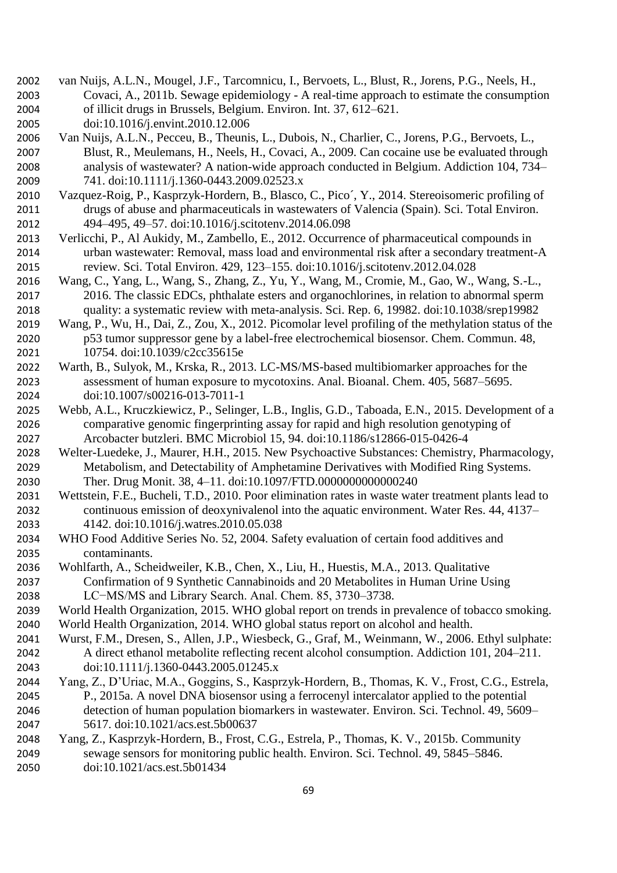- van Nuijs, A.L.N., Mougel, J.F., Tarcomnicu, I., Bervoets, L., Blust, R., Jorens, P.G., Neels, H., Covaci, A., 2011b. Sewage epidemiology - A real-time approach to estimate the consumption of illicit drugs in Brussels, Belgium. Environ. Int. 37, 612–621. doi:10.1016/j.envint.2010.12.006
- Van Nuijs, A.L.N., Pecceu, B., Theunis, L., Dubois, N., Charlier, C., Jorens, P.G., Bervoets, L., Blust, R., Meulemans, H., Neels, H., Covaci, A., 2009. Can cocaine use be evaluated through analysis of wastewater? A nation-wide approach conducted in Belgium. Addiction 104, 734– 741. doi:10.1111/j.1360-0443.2009.02523.x
- Vazquez-Roig, P., Kasprzyk-Hordern, B., Blasco, C., Pico´, Y., 2014. Stereoisomeric profiling of drugs of abuse and pharmaceuticals in wastewaters of Valencia (Spain). Sci. Total Environ. 494–495, 49–57. doi:10.1016/j.scitotenv.2014.06.098
- Verlicchi, P., Al Aukidy, M., Zambello, E., 2012. Occurrence of pharmaceutical compounds in urban wastewater: Removal, mass load and environmental risk after a secondary treatment-A review. Sci. Total Environ. 429, 123–155. doi:10.1016/j.scitotenv.2012.04.028
- Wang, C., Yang, L., Wang, S., Zhang, Z., Yu, Y., Wang, M., Cromie, M., Gao, W., Wang, S.-L., 2016. The classic EDCs, phthalate esters and organochlorines, in relation to abnormal sperm quality: a systematic review with meta-analysis. Sci. Rep. 6, 19982. doi:10.1038/srep19982
- Wang, P., Wu, H., Dai, Z., Zou, X., 2012. Picomolar level profiling of the methylation status of the p53 tumor suppressor gene by a label-free electrochemical biosensor. Chem. Commun. 48, 10754. doi:10.1039/c2cc35615e
- Warth, B., Sulyok, M., Krska, R., 2013. LC-MS/MS-based multibiomarker approaches for the assessment of human exposure to mycotoxins. Anal. Bioanal. Chem. 405, 5687–5695. doi:10.1007/s00216-013-7011-1
- Webb, A.L., Kruczkiewicz, P., Selinger, L.B., Inglis, G.D., Taboada, E.N., 2015. Development of a comparative genomic fingerprinting assay for rapid and high resolution genotyping of Arcobacter butzleri. BMC Microbiol 15, 94. doi:10.1186/s12866-015-0426-4
- Welter-Luedeke, J., Maurer, H.H., 2015. New Psychoactive Substances: Chemistry, Pharmacology, Metabolism, and Detectability of Amphetamine Derivatives with Modified Ring Systems. Ther. Drug Monit. 38, 4–11. doi:10.1097/FTD.0000000000000240
- Wettstein, F.E., Bucheli, T.D., 2010. Poor elimination rates in waste water treatment plants lead to continuous emission of deoxynivalenol into the aquatic environment. Water Res. 44, 4137– 4142. doi:10.1016/j.watres.2010.05.038
- WHO Food Additive Series No. 52, 2004. Safety evaluation of certain food additives and contaminants.
- Wohlfarth, A., Scheidweiler, K.B., Chen, X., Liu, H., Huestis, M.A., 2013. Qualitative Confirmation of 9 Synthetic Cannabinoids and 20 Metabolites in Human Urine Using LC−MS/MS and Library Search. Anal. Chem. 85, 3730–3738.
- World Health Organization, 2015. WHO global report on trends in prevalence of tobacco smoking.
- World Health Organization, 2014. WHO global status report on alcohol and health.
- Wurst, F.M., Dresen, S., Allen, J.P., Wiesbeck, G., Graf, M., Weinmann, W., 2006. Ethyl sulphate: A direct ethanol metabolite reflecting recent alcohol consumption. Addiction 101, 204–211. doi:10.1111/j.1360-0443.2005.01245.x
- Yang, Z., D'Uriac, M.A., Goggins, S., Kasprzyk-Hordern, B., Thomas, K. V., Frost, C.G., Estrela, P., 2015a. A novel DNA biosensor using a ferrocenyl intercalator applied to the potential detection of human population biomarkers in wastewater. Environ. Sci. Technol. 49, 5609– 5617. doi:10.1021/acs.est.5b00637
- Yang, Z., Kasprzyk-Hordern, B., Frost, C.G., Estrela, P., Thomas, K. V., 2015b. Community sewage sensors for monitoring public health. Environ. Sci. Technol. 49, 5845–5846. doi:10.1021/acs.est.5b01434